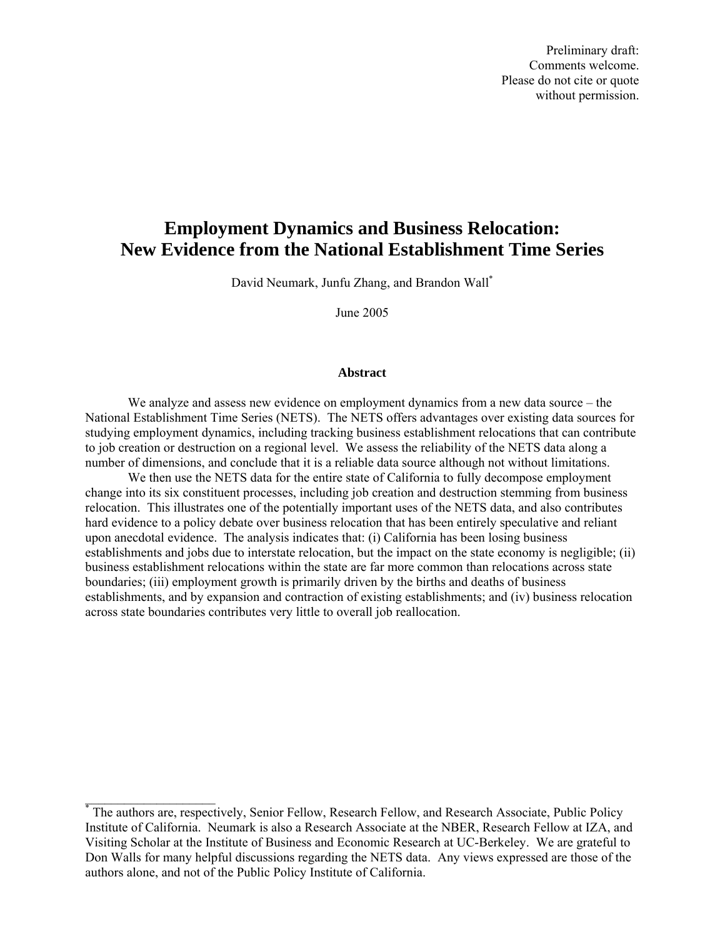Preliminary draft: Comments welcome. Please do not cite or quote without permission.

# **Employment Dynamics and Business Relocation: New Evidence from the National Establishment Time Series**

David Neumark, Junfu Zhang, and Brandon Wal[l\\*](#page-0-0) 

June 2005

## **Abstract**

We analyze and assess new evidence on employment dynamics from a new data source – the National Establishment Time Series (NETS). The NETS offers advantages over existing data sources for studying employment dynamics, including tracking business establishment relocations that can contribute to job creation or destruction on a regional level. We assess the reliability of the NETS data along a number of dimensions, and conclude that it is a reliable data source although not without limitations.

We then use the NETS data for the entire state of California to fully decompose employment change into its six constituent processes, including job creation and destruction stemming from business relocation. This illustrates one of the potentially important uses of the NETS data, and also contributes hard evidence to a policy debate over business relocation that has been entirely speculative and reliant upon anecdotal evidence. The analysis indicates that: (i) California has been losing business establishments and jobs due to interstate relocation, but the impact on the state economy is negligible; (ii) business establishment relocations within the state are far more common than relocations across state boundaries; (iii) employment growth is primarily driven by the births and deaths of business establishments, and by expansion and contraction of existing establishments; and (iv) business relocation across state boundaries contributes very little to overall job reallocation.

<span id="page-0-0"></span><sup>\*</sup> The authors are, respectively, Senior Fellow, Research Fellow, and Research Associate, Public Policy Institute of California. Neumark is also a Research Associate at the NBER, Research Fellow at IZA, and Visiting Scholar at the Institute of Business and Economic Research at UC-Berkeley. We are grateful to Don Walls for many helpful discussions regarding the NETS data. Any views expressed are those of the authors alone, and not of the Public Policy Institute of California.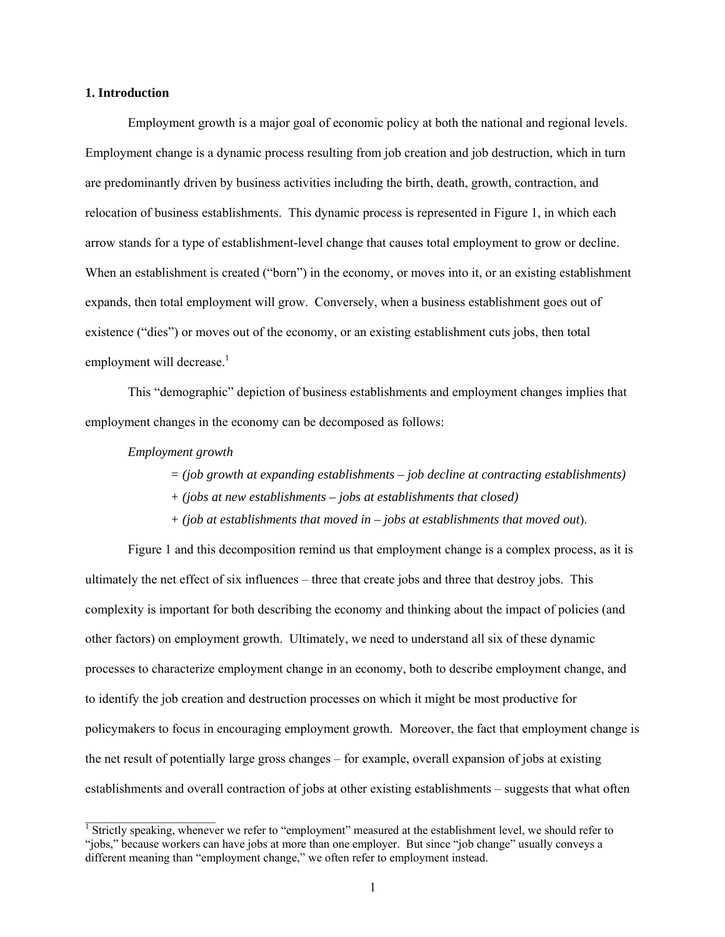## **1. Introduction**

Employment growth is a major goal of economic policy at both the national and regional levels. Employment change is a dynamic process resulting from job creation and job destruction, which in turn are predominantly driven by business activities including the birth, death, growth, contraction, and relocation of business establishments. This dynamic process is represented in Figure 1, in which each arrow stands for a type of establishment-level change that causes total employment to grow or decline. When an establishment is created ("born") in the economy, or moves into it, or an existing establishment expands, then total employment will grow. Conversely, when a business establishment goes out of existence ("dies") or moves out of the economy, or an existing establishment cuts jobs, then total employmentwill decrease.<sup>1</sup>

This "demographic" depiction of business establishments and employment changes implies that employment changes in the economy can be decomposed as follows:

#### *Employment growth*

 $\mathcal{L}_\text{max}$ 

*= (job growth at expanding establishments – job decline at contracting establishments)* 

- *+ (jobs at new establishments jobs at establishments that closed)*
- *+ (job at establishments that moved in jobs at establishments that moved out*).

Figure 1 and this decomposition remind us that employment change is a complex process, as it is ultimately the net effect of six influences – three that create jobs and three that destroy jobs. This complexity is important for both describing the economy and thinking about the impact of policies (and other factors) on employment growth. Ultimately, we need to understand all six of these dynamic processes to characterize employment change in an economy, both to describe employment change, and to identify the job creation and destruction processes on which it might be most productive for policymakers to focus in encouraging employment growth. Moreover, the fact that employment change is the net result of potentially large gross changes – for example, overall expansion of jobs at existing establishments and overall contraction of jobs at other existing establishments – suggests that what often

<span id="page-1-0"></span><sup>&</sup>lt;sup>1</sup> Strictly speaking, whenever we refer to "employment" measured at the establishment level, we should refer to "jobs," because workers can have jobs at more than one employer. But since "job change" usually conveys a different meaning than "employment change," we often refer to employment instead.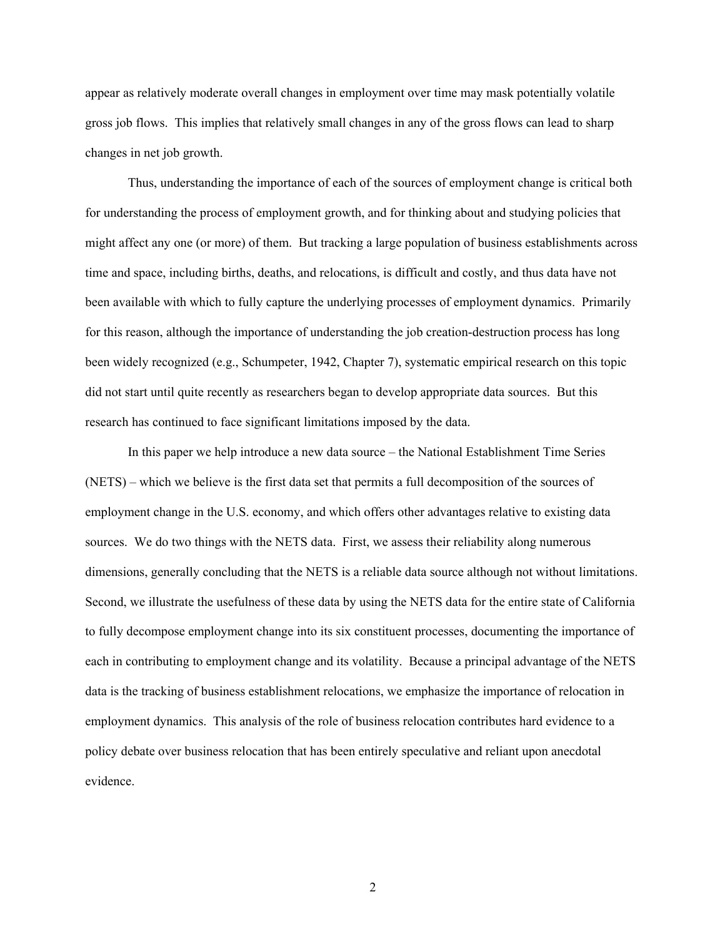appear as relatively moderate overall changes in employment over time may mask potentially volatile gross job flows. This implies that relatively small changes in any of the gross flows can lead to sharp changes in net job growth.

Thus, understanding the importance of each of the sources of employment change is critical both for understanding the process of employment growth, and for thinking about and studying policies that might affect any one (or more) of them. But tracking a large population of business establishments across time and space, including births, deaths, and relocations, is difficult and costly, and thus data have not been available with which to fully capture the underlying processes of employment dynamics. Primarily for this reason, although the importance of understanding the job creation-destruction process has long been widely recognized (e.g., Schumpeter, 1942, Chapter 7), systematic empirical research on this topic did not start until quite recently as researchers began to develop appropriate data sources. But this research has continued to face significant limitations imposed by the data.

In this paper we help introduce a new data source – the National Establishment Time Series (NETS) – which we believe is the first data set that permits a full decomposition of the sources of employment change in the U.S. economy, and which offers other advantages relative to existing data sources. We do two things with the NETS data. First, we assess their reliability along numerous dimensions, generally concluding that the NETS is a reliable data source although not without limitations. Second, we illustrate the usefulness of these data by using the NETS data for the entire state of California to fully decompose employment change into its six constituent processes, documenting the importance of each in contributing to employment change and its volatility. Because a principal advantage of the NETS data is the tracking of business establishment relocations, we emphasize the importance of relocation in employment dynamics. This analysis of the role of business relocation contributes hard evidence to a policy debate over business relocation that has been entirely speculative and reliant upon anecdotal evidence.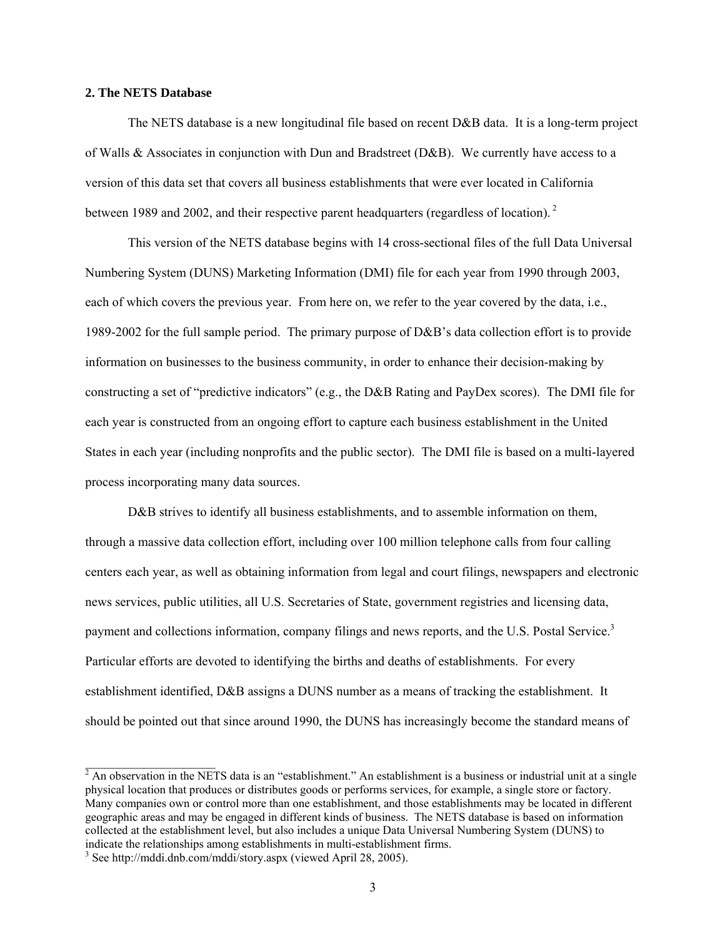# **2. The NETS Database**

The NETS database is a new longitudinal file based on recent D&B data. It is a long-term project of Walls & Associates in conjunction with Dun and Bradstreet (D&B). We currently have access to a version of this data set that covers all business establishments that were ever located in California between 1989 and 2002, and their respective parent headquarters (regardless of location).<sup>2</sup>

This version of the NETS database begins with 14 cross-sectional files of the full Data Universal Numbering System (DUNS) Marketing Information (DMI) file for each year from 1990 through 2003, each of which covers the previous year. From here on, we refer to the year covered by the data, i.e., 1989-2002 for the full sample period. The primary purpose of D&B's data collection effort is to provide information on businesses to the business community, in order to enhance their decision-making by constructing a set of "predictive indicators" (e.g., the D&B Rating and PayDex scores). The DMI file for each year is constructed from an ongoing effort to capture each business establishment in the United States in each year (including nonprofits and the public sector). The DMI file is based on a multi-layered process incorporating many data sources.

D&B strives to identify all business establishments, and to assemble information on them, through a massive data collection effort, including over 100 million telephone calls from four calling centers each year, as well as obtaining information from legal and court filings, newspapers and electronic news services, public utilities, all U.S. Secretaries of State, government registries and licensing data, payment and collections information, company filings and news reports, and the U.S. Postal Service.<sup>[3](#page-3-1)</sup> Particular efforts are devoted to identifying the births and deaths of establishments. For every establishment identified, D&B assigns a DUNS number as a means of tracking the establishment. It should be pointed out that since around 1990, the DUNS has increasingly become the standard means of

<span id="page-3-0"></span> $2 \text{ An observation in the NETS data is an "establishment." An establishment is a business or industrial unit at a single$ physical location that produces or distributes goods or performs services, for example, a single store or factory. Many companies own or control more than one establishment, and those establishments may be located in different geographic areas and may be engaged in different kinds of business. The NETS database is based on information collected at the establishment level, but also includes a unique Data Universal Numbering System (DUNS) to indicate the relationships among establishments in multi-establishment firms.

<span id="page-3-1"></span><sup>&</sup>lt;sup>3</sup> See http://mddi.dnb.com/mddi/story.aspx (viewed April 28, 2005).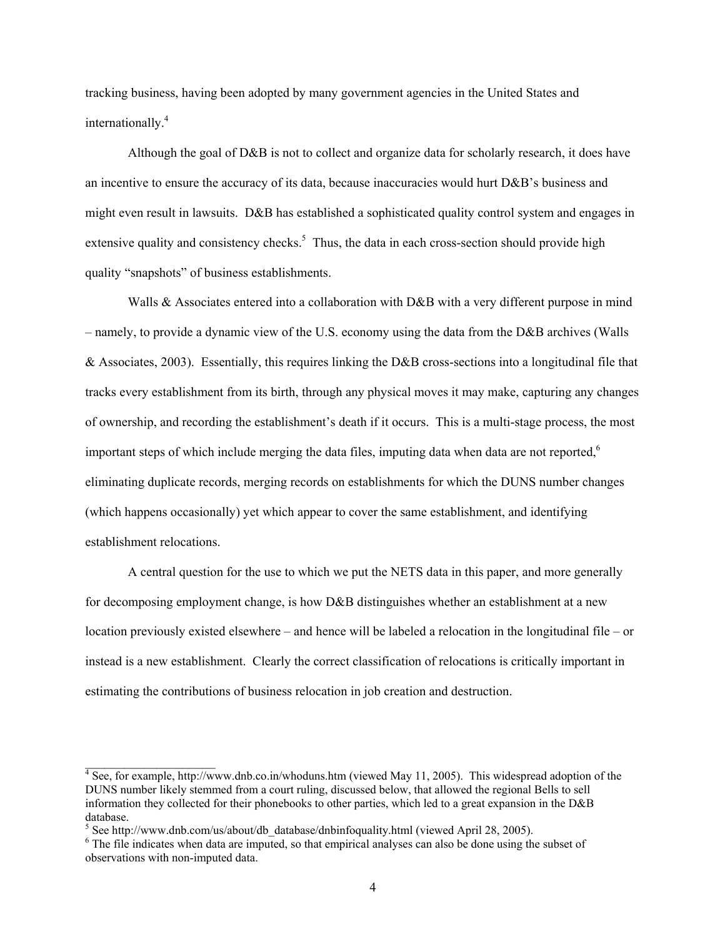tracking business, having been adopted by many government agencies in the United States and internationally.<sup>[4](#page-4-0)</sup>

Although the goal of D&B is not to collect and organize data for scholarly research, it does have an incentive to ensure the accuracy of its data, because inaccuracies would hurt D&B's business and might even result in lawsuits. D&B has established a sophisticated quality control system and engages in extensive quality and consistency checks.<sup>5</sup> Thus, the data in each cross-section should provide high quality "snapshots" of business establishments.

Walls & Associates entered into a collaboration with D&B with a very different purpose in mind – namely, to provide a dynamic view of the U.S. economy using the data from the D&B archives (Walls & Associates, 2003). Essentially, this requires linking the D&B cross-sections into a longitudinal file that tracks every establishment from its birth, through any physical moves it may make, capturing any changes of ownership, and recording the establishment's death if it occurs. This is a multi-stage process, the most important steps of which include merging the data files, imputing data when data are not reported, $6\%$  $6\%$ eliminating duplicate records, merging records on establishments for which the DUNS number changes (which happens occasionally) yet which appear to cover the same establishment, and identifying establishment relocations.

A central question for the use to which we put the NETS data in this paper, and more generally for decomposing employment change, is how D&B distinguishes whether an establishment at a new location previously existed elsewhere – and hence will be labeled a relocation in the longitudinal file – or instead is a new establishment. Clearly the correct classification of relocations is critically important in estimating the contributions of business relocation in job creation and destruction.

<span id="page-4-0"></span> $4$  See, for example, http://www.dnb.co.in/whoduns.htm (viewed May 11, 2005). This widespread adoption of the DUNS number likely stemmed from a court ruling, discussed below, that allowed the regional Bells to sell information they collected for their phonebooks to other parties, which led to a great expansion in the D&B database.

<span id="page-4-1"></span><sup>&</sup>lt;sup>5</sup> See http://www.dnb.com/us/about/db\_database/dnbinfoquality.html (viewed April 28, 2005).

<span id="page-4-2"></span><sup>&</sup>lt;sup>6</sup> The file indicates when data are imputed, so that empirical analyses can also be done using the subset of observations with non-imputed data.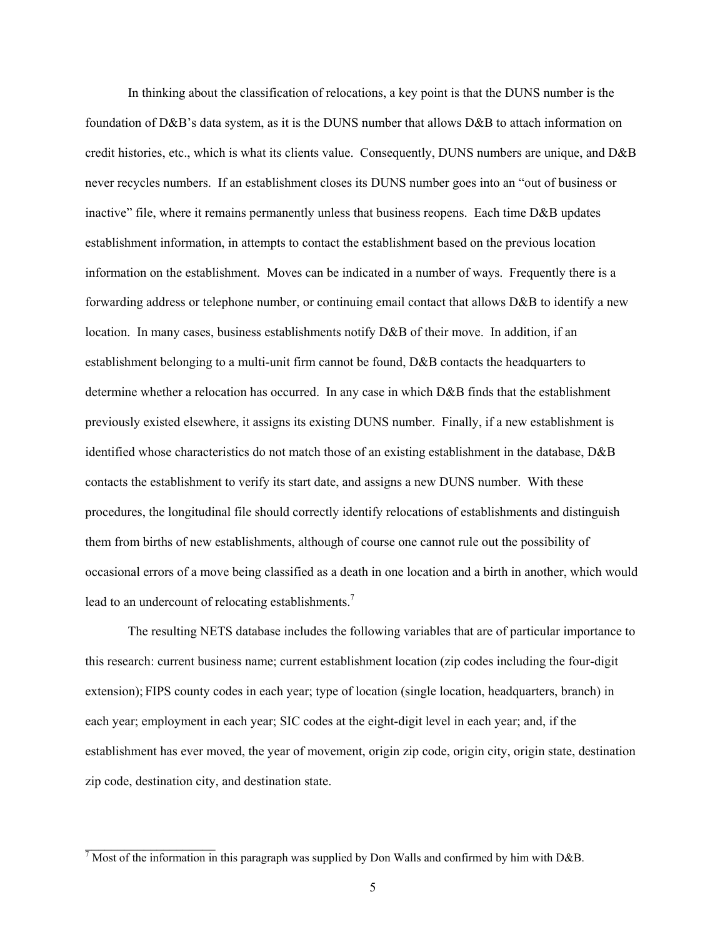In thinking about the classification of relocations, a key point is that the DUNS number is the foundation of D&B's data system, as it is the DUNS number that allows D&B to attach information on credit histories, etc., which is what its clients value. Consequently, DUNS numbers are unique, and D&B never recycles numbers. If an establishment closes its DUNS number goes into an "out of business or inactive" file, where it remains permanently unless that business reopens. Each time D&B updates establishment information, in attempts to contact the establishment based on the previous location information on the establishment. Moves can be indicated in a number of ways. Frequently there is a forwarding address or telephone number, or continuing email contact that allows D&B to identify a new location. In many cases, business establishments notify D&B of their move. In addition, if an establishment belonging to a multi-unit firm cannot be found, D&B contacts the headquarters to determine whether a relocation has occurred. In any case in which D&B finds that the establishment previously existed elsewhere, it assigns its existing DUNS number. Finally, if a new establishment is identified whose characteristics do not match those of an existing establishment in the database, D&B contacts the establishment to verify its start date, and assigns a new DUNS number. With these procedures, the longitudinal file should correctly identify relocations of establishments and distinguish them from births of new establishments, although of course one cannot rule out the possibility of occasional errors of a move being classified as a death in one location and a birth in another, which would lead to an undercount of relocating establishments.<sup>7</sup>

The resulting NETS database includes the following variables that are of particular importance to this research: current business name; current establishment location (zip codes including the four-digit extension); FIPS county codes in each year; type of location (single location, headquarters, branch) in each year; employment in each year; SIC codes at the eight-digit level in each year; and, if the establishment has ever moved, the year of movement, origin zip code, origin city, origin state, destination zip code, destination city, and destination state.

<span id="page-5-0"></span> $^7$  Most of the information in this paragraph was supplied by Don Walls and confirmed by him with D&B.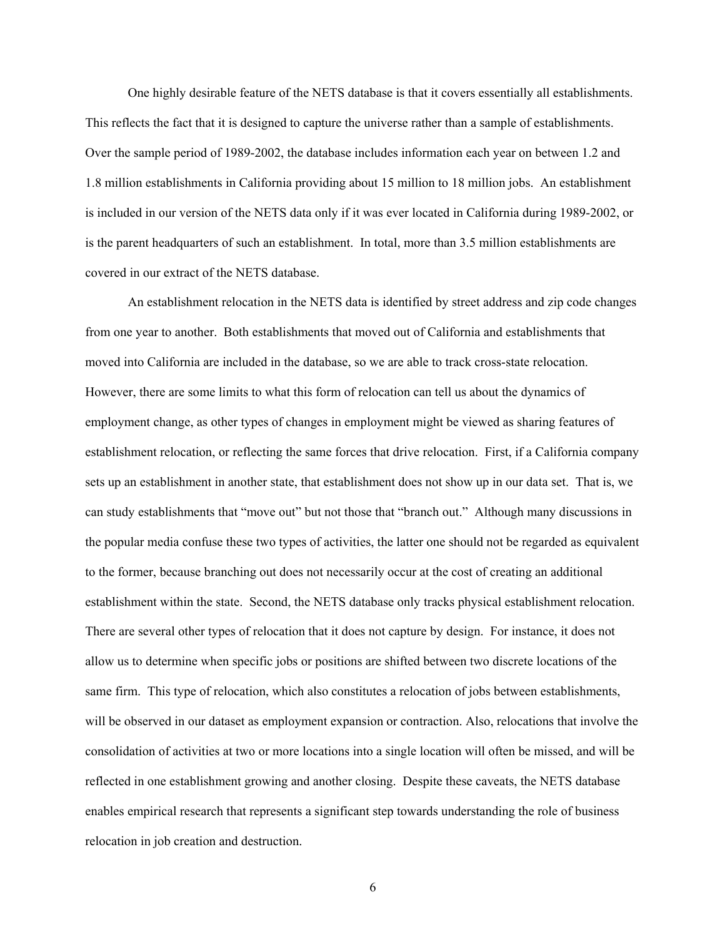One highly desirable feature of the NETS database is that it covers essentially all establishments. This reflects the fact that it is designed to capture the universe rather than a sample of establishments. Over the sample period of 1989-2002, the database includes information each year on between 1.2 and 1.8 million establishments in California providing about 15 million to 18 million jobs. An establishment is included in our version of the NETS data only if it was ever located in California during 1989-2002, or is the parent headquarters of such an establishment. In total, more than 3.5 million establishments are covered in our extract of the NETS database.

An establishment relocation in the NETS data is identified by street address and zip code changes from one year to another. Both establishments that moved out of California and establishments that moved into California are included in the database, so we are able to track cross-state relocation. However, there are some limits to what this form of relocation can tell us about the dynamics of employment change, as other types of changes in employment might be viewed as sharing features of establishment relocation, or reflecting the same forces that drive relocation. First, if a California company sets up an establishment in another state, that establishment does not show up in our data set. That is, we can study establishments that "move out" but not those that "branch out." Although many discussions in the popular media confuse these two types of activities, the latter one should not be regarded as equivalent to the former, because branching out does not necessarily occur at the cost of creating an additional establishment within the state. Second, the NETS database only tracks physical establishment relocation. There are several other types of relocation that it does not capture by design. For instance, it does not allow us to determine when specific jobs or positions are shifted between two discrete locations of the same firm. This type of relocation, which also constitutes a relocation of jobs between establishments, will be observed in our dataset as employment expansion or contraction. Also, relocations that involve the consolidation of activities at two or more locations into a single location will often be missed, and will be reflected in one establishment growing and another closing. Despite these caveats, the NETS database enables empirical research that represents a significant step towards understanding the role of business relocation in job creation and destruction.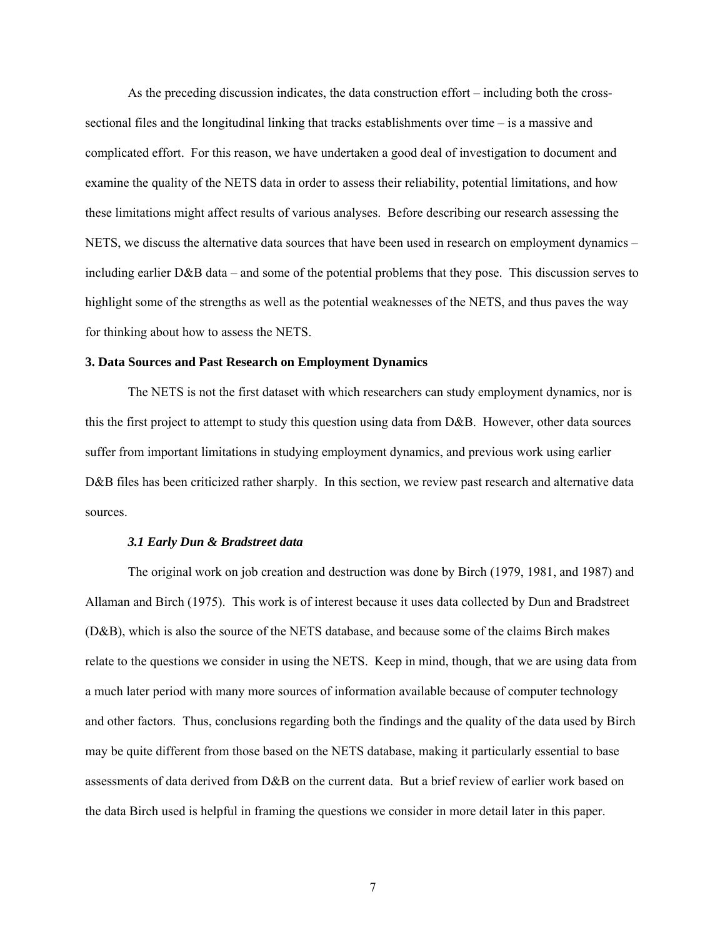As the preceding discussion indicates, the data construction effort – including both the crosssectional files and the longitudinal linking that tracks establishments over time – is a massive and complicated effort. For this reason, we have undertaken a good deal of investigation to document and examine the quality of the NETS data in order to assess their reliability, potential limitations, and how these limitations might affect results of various analyses. Before describing our research assessing the NETS, we discuss the alternative data sources that have been used in research on employment dynamics – including earlier D&B data – and some of the potential problems that they pose. This discussion serves to highlight some of the strengths as well as the potential weaknesses of the NETS, and thus paves the way for thinking about how to assess the NETS.

## **3. Data Sources and Past Research on Employment Dynamics**

The NETS is not the first dataset with which researchers can study employment dynamics, nor is this the first project to attempt to study this question using data from D&B. However, other data sources suffer from important limitations in studying employment dynamics, and previous work using earlier D&B files has been criticized rather sharply. In this section, we review past research and alternative data sources.

#### *3.1 Early Dun & Bradstreet data*

The original work on job creation and destruction was done by Birch (1979, 1981, and 1987) and Allaman and Birch (1975). This work is of interest because it uses data collected by Dun and Bradstreet (D&B), which is also the source of the NETS database, and because some of the claims Birch makes relate to the questions we consider in using the NETS. Keep in mind, though, that we are using data from a much later period with many more sources of information available because of computer technology and other factors. Thus, conclusions regarding both the findings and the quality of the data used by Birch may be quite different from those based on the NETS database, making it particularly essential to base assessments of data derived from D&B on the current data. But a brief review of earlier work based on the data Birch used is helpful in framing the questions we consider in more detail later in this paper.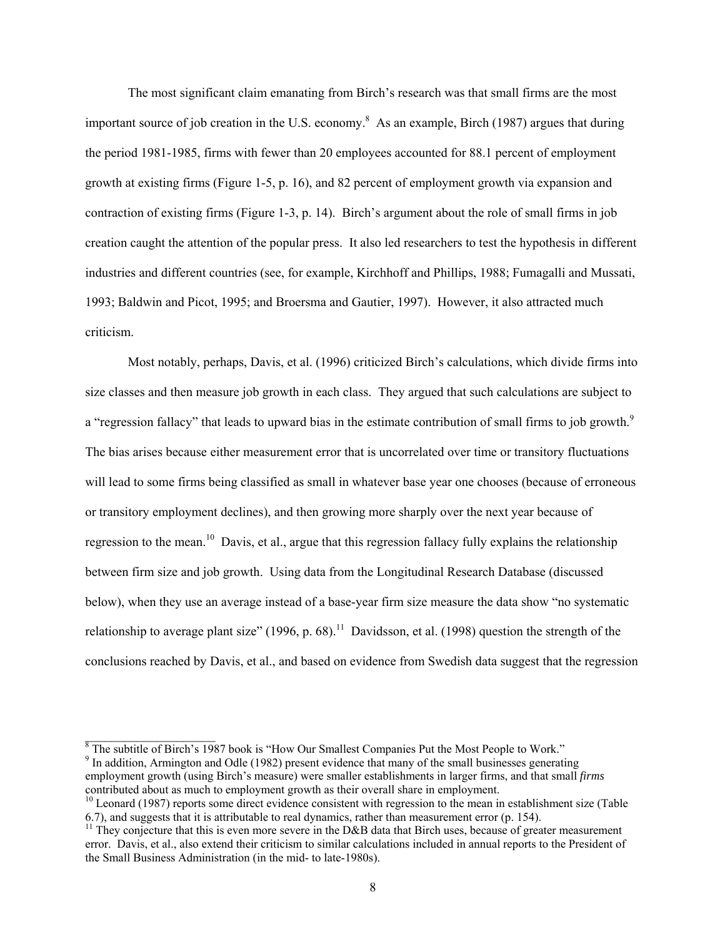The most significant claim emanating from Birch's research was that small firms are the most important source of job creation in the U.S. economy.<sup>[8](#page-8-0)</sup> As an example, Birch (1987) argues that during the period 1981-1985, firms with fewer than 20 employees accounted for 88.1 percent of employment growth at existing firms (Figure 1-5, p. 16), and 82 percent of employment growth via expansion and contraction of existing firms (Figure 1-3, p. 14). Birch's argument about the role of small firms in job creation caught the attention of the popular press. It also led researchers to test the hypothesis in different industries and different countries (see, for example, Kirchhoff and Phillips, 1988; Fumagalli and Mussati, 1993; Baldwin and Picot, 1995; and Broersma and Gautier, 1997). However, it also attracted much criticism.

Most notably, perhaps, Davis, et al. (1996) criticized Birch's calculations, which divide firms into size classes and then measure job growth in each class. They argued that such calculations are subject to a "regression fallacy" that leads to upward bias in the estimate contribution of small firms to job growth.<sup>[9](#page-8-1)</sup> The bias arises because either measurement error that is uncorrelated over time or transitory fluctuations will lead to some firms being classified as small in whatever base year one chooses (because of erroneous or transitory employment declines), and then growing more sharply over the next year because of regression to the mean.<sup>10</sup> Davis, et al., argue that this regression fallacy fully explains the relationship between firm size and job growth. Using data from the Longitudinal Research Database (discussed below), when they use an average instead of a base-year firm size measure the data show "no systematic relationship to average plant size" (1996, p. 68).<sup>11</sup> Davidsson, et al. (1998) question the strength of the conclusions reached by Davis, et al., and based on evidence from Swedish data suggest that the regression

<span id="page-8-1"></span><sup>9</sup> In addition, Armington and Odle (1982) present evidence that many of the small businesses generating employment growth (using Birch's measure) were smaller establishments in larger firms, and that small *firms* contributed about as much to employment growth as their overall share in employment.

<span id="page-8-0"></span> $\frac{8}{10}$  The subtitle of Birch's 1987 book is "How Our Smallest Companies Put the Most People to Work."

<span id="page-8-2"></span><sup>&</sup>lt;sup>10</sup> Leonard (1987) reports some direct evidence consistent with regression to the mean in establishment size (Table 6.7), and suggests that it is attributable to real dynamics, rather than measurement error (p. 154).

<span id="page-8-3"></span><sup>&</sup>lt;sup>11</sup> They conjecture that this is even more severe in the D&B data that Birch uses, because of greater measurement error. Davis, et al., also extend their criticism to similar calculations included in annual reports to the President of the Small Business Administration (in the mid- to late-1980s).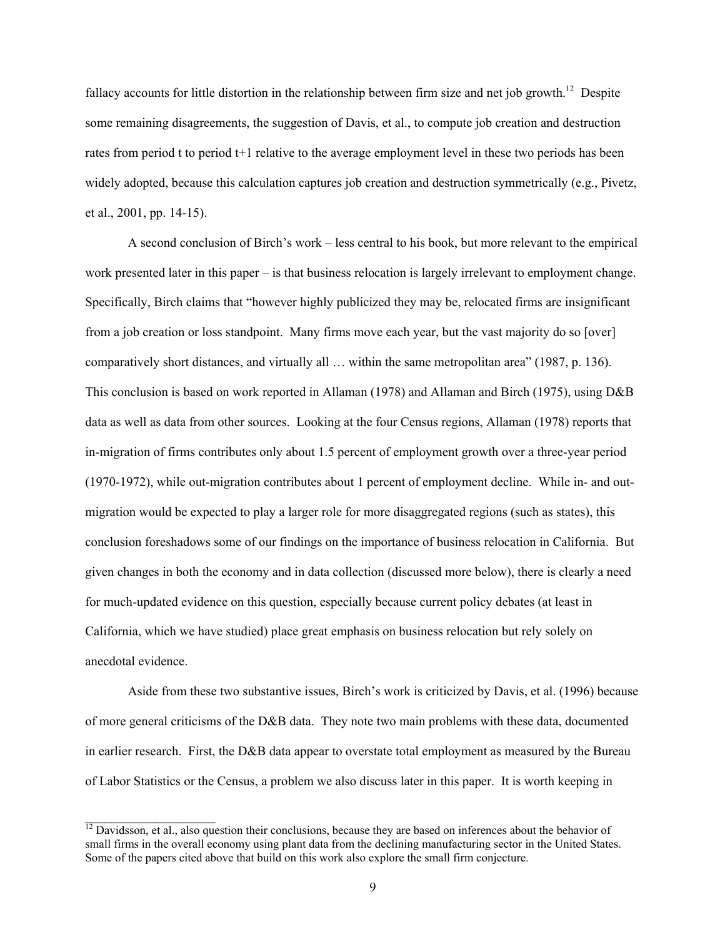fallacy accounts for little distortion in the relationship between firm size and net job growth.<sup>12</sup> Despite some remaining disagreements, the suggestion of Davis, et al., to compute job creation and destruction rates from period t to period t+1 relative to the average employment level in these two periods has been widely adopted, because this calculation captures job creation and destruction symmetrically (e.g., Pivetz, et al., 2001, pp. 14-15).

A second conclusion of Birch's work – less central to his book, but more relevant to the empirical work presented later in this paper – is that business relocation is largely irrelevant to employment change. Specifically, Birch claims that "however highly publicized they may be, relocated firms are insignificant from a job creation or loss standpoint. Many firms move each year, but the vast majority do so [over] comparatively short distances, and virtually all … within the same metropolitan area" (1987, p. 136). This conclusion is based on work reported in Allaman (1978) and Allaman and Birch (1975), using D&B data as well as data from other sources. Looking at the four Census regions, Allaman (1978) reports that in-migration of firms contributes only about 1.5 percent of employment growth over a three-year period (1970-1972), while out-migration contributes about 1 percent of employment decline. While in- and outmigration would be expected to play a larger role for more disaggregated regions (such as states), this conclusion foreshadows some of our findings on the importance of business relocation in California. But given changes in both the economy and in data collection (discussed more below), there is clearly a need for much-updated evidence on this question, especially because current policy debates (at least in California, which we have studied) place great emphasis on business relocation but rely solely on anecdotal evidence.

Aside from these two substantive issues, Birch's work is criticized by Davis, et al. (1996) because of more general criticisms of the D&B data. They note two main problems with these data, documented in earlier research. First, the D&B data appear to overstate total employment as measured by the Bureau of Labor Statistics or the Census, a problem we also discuss later in this paper. It is worth keeping in

<span id="page-9-0"></span> $^{12}$  Davidsson, et al., also question their conclusions, because they are based on inferences about the behavior of small firms in the overall economy using plant data from the declining manufacturing sector in the United States. Some of the papers cited above that build on this work also explore the small firm conjecture.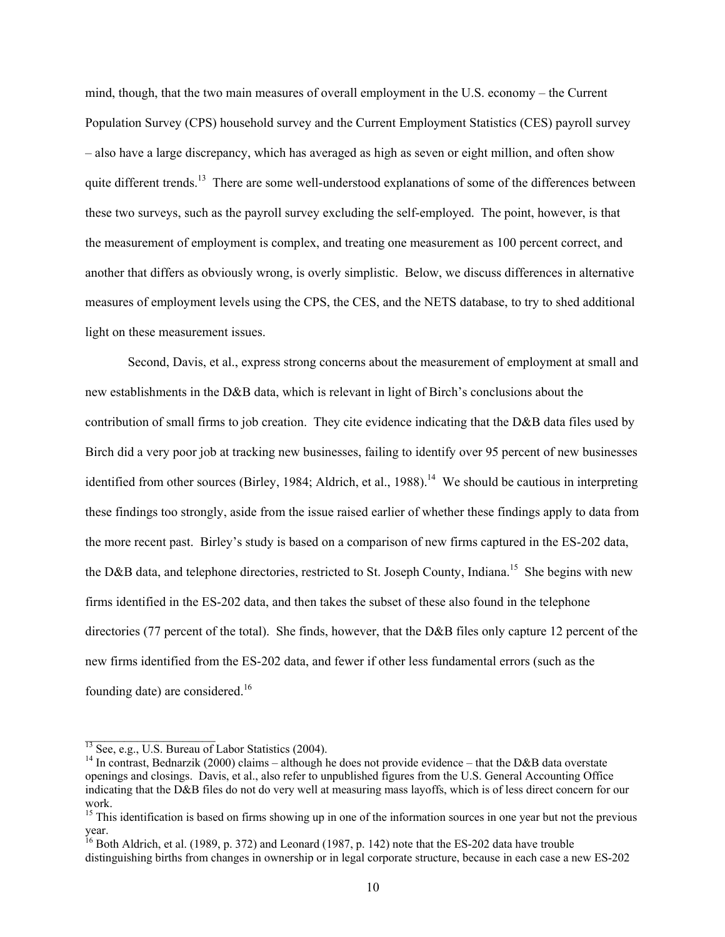mind, though, that the two main measures of overall employment in the U.S. economy – the Current Population Survey (CPS) household survey and the Current Employment Statistics (CES) payroll survey – also have a large discrepancy, which has averaged as high as seven or eight million, and often show quite different trends.<sup>13</sup> There are some well-understood explanations of some of the differences between these two surveys, such as the payroll survey excluding the self-employed. The point, however, is that the measurement of employment is complex, and treating one measurement as 100 percent correct, and another that differs as obviously wrong, is overly simplistic. Below, we discuss differences in alternative measures of employment levels using the CPS, the CES, and the NETS database, to try to shed additional light on these measurement issues.

Second, Davis, et al., express strong concerns about the measurement of employment at small and new establishments in the D&B data, which is relevant in light of Birch's conclusions about the contribution of small firms to job creation. They cite evidence indicating that the D&B data files used by Birch did a very poor job at tracking new businesses, failing to identify over 95 percent of new businesses identified from other sources (Birley, 1984; Aldrich, et al., 1988).<sup>14</sup> We should be cautious in interpreting these findings too strongly, aside from the issue raised earlier of whether these findings apply to data from the more recent past. Birley's study is based on a comparison of new firms captured in the ES-202 data, the D&B data, and telephone directories, restricted to St. Joseph County, Indiana.<sup>15</sup> She begins with new firms identified in the ES-202 data, and then takes the subset of these also found in the telephone directories (77 percent of the total). She finds, however, that the D&B files only capture 12 percent of the new firms identified from the ES-202 data, and fewer if other less fundamental errors (such as the founding date) are considered.[16](#page-10-3) 

<span id="page-10-0"></span> $13$  See, e.g., U.S. Bureau of Labor Statistics (2004).

<span id="page-10-1"></span><sup>&</sup>lt;sup>14</sup> In contrast, Bednarzik (2000) claims – although he does not provide evidence – that the D&B data overstate openings and closings. Davis, et al., also refer to unpublished figures from the U.S. General Accounting Office indicating that the D&B files do not do very well at measuring mass layoffs, which is of less direct concern for our work.

<span id="page-10-2"></span><sup>&</sup>lt;sup>15</sup> This identification is based on firms showing up in one of the information sources in one year but not the previous year.

<span id="page-10-3"></span><sup>&</sup>lt;sup>16</sup> Both Aldrich, et al. (1989, p. 372) and Leonard (1987, p. 142) note that the ES-202 data have trouble distinguishing births from changes in ownership or in legal corporate structure, because in each case a new ES-202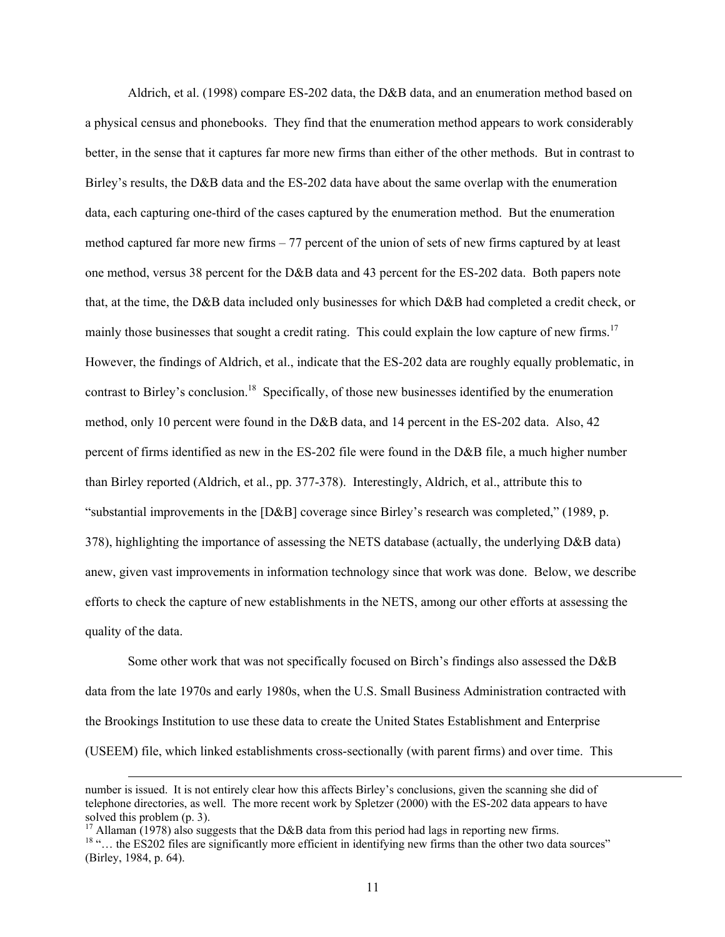Aldrich, et al. (1998) compare ES-202 data, the D&B data, and an enumeration method based on a physical census and phonebooks. They find that the enumeration method appears to work considerably better, in the sense that it captures far more new firms than either of the other methods. But in contrast to Birley's results, the D&B data and the ES-202 data have about the same overlap with the enumeration data, each capturing one-third of the cases captured by the enumeration method. But the enumeration method captured far more new firms – 77 percent of the union of sets of new firms captured by at least one method, versus 38 percent for the D&B data and 43 percent for the ES-202 data. Both papers note that, at the time, the D&B data included only businesses for which D&B had completed a credit check, or mainly those businesses that sought a credit rating. This could explain the low capture of new firms.<sup>17</sup> However, the findings of Aldrich, et al., indicate that the ES-202 data are roughly equally problematic, in contrast to Birley's conclusion.<sup>18</sup> Specifically, of those new businesses identified by the enumeration method, only 10 percent were found in the D&B data, and 14 percent in the ES-202 data. Also, 42 percent of firms identified as new in the ES-202 file were found in the D&B file, a much higher number than Birley reported (Aldrich, et al., pp. 377-378). Interestingly, Aldrich, et al., attribute this to "substantial improvements in the [D&B] coverage since Birley's research was completed," (1989, p. 378), highlighting the importance of assessing the NETS database (actually, the underlying D&B data) anew, given vast improvements in information technology since that work was done. Below, we describe efforts to check the capture of new establishments in the NETS, among our other efforts at assessing the quality of the data.

Some other work that was not specifically focused on Birch's findings also assessed the D&B data from the late 1970s and early 1980s, when the U.S. Small Business Administration contracted with the Brookings Institution to use these data to create the United States Establishment and Enterprise (USEEM) file, which linked establishments cross-sectionally (with parent firms) and over time. This

l

number is issued. It is not entirely clear how this affects Birley's conclusions, given the scanning she did of telephone directories, as well. The more recent work by Spletzer (2000) with the ES-202 data appears to have solved this problem (p. 3).

<span id="page-11-1"></span><span id="page-11-0"></span><sup>&</sup>lt;sup>17</sup> Allaman (1978) also suggests that the D&B data from this period had lags in reporting new firms. <sup>18</sup> "... the ES202 files are significantly more efficient in identifying new firms than the other two data sources" (Birley, 1984, p. 64).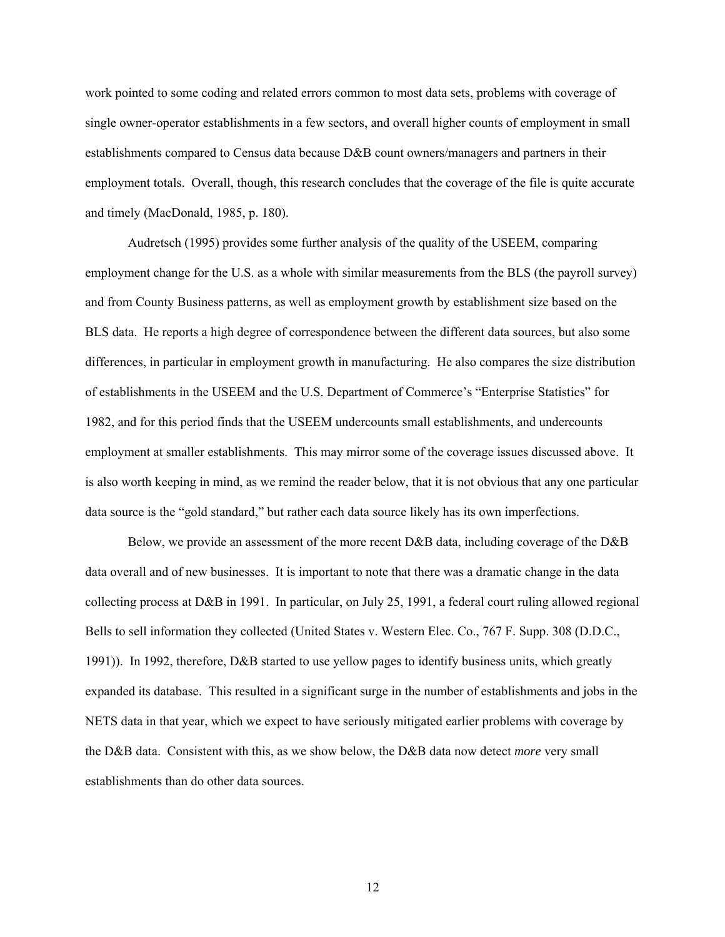work pointed to some coding and related errors common to most data sets, problems with coverage of single owner-operator establishments in a few sectors, and overall higher counts of employment in small establishments compared to Census data because D&B count owners/managers and partners in their employment totals. Overall, though, this research concludes that the coverage of the file is quite accurate and timely (MacDonald, 1985, p. 180).

Audretsch (1995) provides some further analysis of the quality of the USEEM, comparing employment change for the U.S. as a whole with similar measurements from the BLS (the payroll survey) and from County Business patterns, as well as employment growth by establishment size based on the BLS data. He reports a high degree of correspondence between the different data sources, but also some differences, in particular in employment growth in manufacturing. He also compares the size distribution of establishments in the USEEM and the U.S. Department of Commerce's "Enterprise Statistics" for 1982, and for this period finds that the USEEM undercounts small establishments, and undercounts employment at smaller establishments. This may mirror some of the coverage issues discussed above. It is also worth keeping in mind, as we remind the reader below, that it is not obvious that any one particular data source is the "gold standard," but rather each data source likely has its own imperfections.

Below, we provide an assessment of the more recent D&B data, including coverage of the D&B data overall and of new businesses. It is important to note that there was a dramatic change in the data collecting process at D&B in 1991. In particular, on July 25, 1991, a federal court ruling allowed regional Bells to sell information they collected (United States v. Western Elec. Co., 767 F. Supp. 308 (D.D.C., 1991)). In 1992, therefore, D&B started to use yellow pages to identify business units, which greatly expanded its database. This resulted in a significant surge in the number of establishments and jobs in the NETS data in that year, which we expect to have seriously mitigated earlier problems with coverage by the D&B data. Consistent with this, as we show below, the D&B data now detect *more* very small establishments than do other data sources.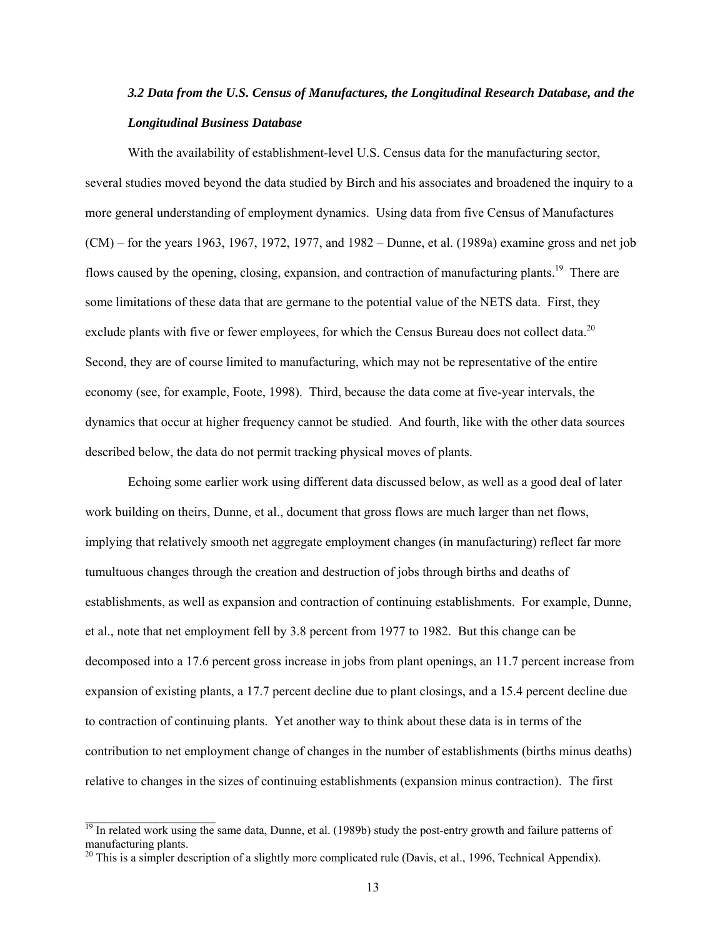# *3.2 Data from the U.S. Census of Manufactures, the Longitudinal Research Database, and the Longitudinal Business Database*

With the availability of establishment-level U.S. Census data for the manufacturing sector, several studies moved beyond the data studied by Birch and his associates and broadened the inquiry to a more general understanding of employment dynamics. Using data from five Census of Manufactures (CM) – for the years 1963, 1967, 1972, 1977, and 1982 – Dunne, et al. (1989a) examine gross and net job flows caused by the opening, closing, expansion, and contraction of manufacturing plants.<sup>19</sup> There are some limitations of these data that are germane to the potential value of the NETS data. First, they exclude plants with five or fewer employees, for which the Census Bureau does not collect data.<sup>20</sup> Second, they are of course limited to manufacturing, which may not be representative of the entire economy (see, for example, Foote, 1998). Third, because the data come at five-year intervals, the dynamics that occur at higher frequency cannot be studied. And fourth, like with the other data sources described below, the data do not permit tracking physical moves of plants.

Echoing some earlier work using different data discussed below, as well as a good deal of later work building on theirs, Dunne, et al., document that gross flows are much larger than net flows, implying that relatively smooth net aggregate employment changes (in manufacturing) reflect far more tumultuous changes through the creation and destruction of jobs through births and deaths of establishments, as well as expansion and contraction of continuing establishments. For example, Dunne, et al., note that net employment fell by 3.8 percent from 1977 to 1982. But this change can be decomposed into a 17.6 percent gross increase in jobs from plant openings, an 11.7 percent increase from expansion of existing plants, a 17.7 percent decline due to plant closings, and a 15.4 percent decline due to contraction of continuing plants. Yet another way to think about these data is in terms of the contribution to net employment change of changes in the number of establishments (births minus deaths) relative to changes in the sizes of continuing establishments (expansion minus contraction). The first

<span id="page-13-0"></span><sup>&</sup>lt;sup>19</sup> In related work using the same data, Dunne, et al. (1989b) study the post-entry growth and failure patterns of manufacturing plants.

<span id="page-13-1"></span> $20$  This is a simpler description of a slightly more complicated rule (Davis, et al., 1996, Technical Appendix).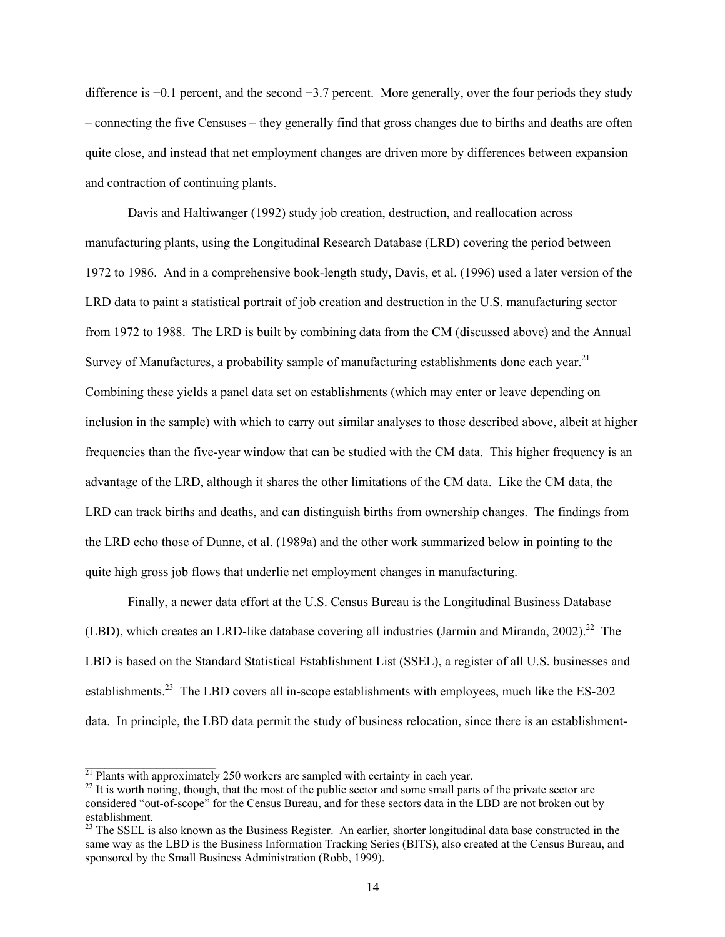difference is −0.1 percent, and the second −3.7 percent. More generally, over the four periods they study – connecting the five Censuses – they generally find that gross changes due to births and deaths are often quite close, and instead that net employment changes are driven more by differences between expansion and contraction of continuing plants.

Davis and Haltiwanger (1992) study job creation, destruction, and reallocation across manufacturing plants, using the Longitudinal Research Database (LRD) covering the period between 1972 to 1986. And in a comprehensive book-length study, Davis, et al. (1996) used a later version of the LRD data to paint a statistical portrait of job creation and destruction in the U.S. manufacturing sector from 1972 to 1988. The LRD is built by combining data from the CM (discussed above) and the Annual Survey of Manufactures, a probability sample of manufacturing establishments done each year.<sup>21</sup> Combining these yields a panel data set on establishments (which may enter or leave depending on inclusion in the sample) with which to carry out similar analyses to those described above, albeit at higher frequencies than the five-year window that can be studied with the CM data. This higher frequency is an advantage of the LRD, although it shares the other limitations of the CM data. Like the CM data, the LRD can track births and deaths, and can distinguish births from ownership changes. The findings from the LRD echo those of Dunne, et al. (1989a) and the other work summarized below in pointing to the quite high gross job flows that underlie net employment changes in manufacturing.

Finally, a newer data effort at the U.S. Census Bureau is the Longitudinal Business Database (LBD), which creates an LRD-like database covering all industries (Jarmin and Miranda, 2002).<sup>22</sup> The LBD is based on the Standard Statistical Establishment List (SSEL), a register of all U.S. businesses and establishments.<sup>23</sup> The LBD covers all in-scope establishments with employees, much like the ES-202 data. In principle, the LBD data permit the study of business relocation, since there is an establishment-

<span id="page-14-0"></span> $^{21}$  Plants with approximately 250 workers are sampled with certainty in each year.

<span id="page-14-1"></span> $^{22}$  It is worth noting, though, that the most of the public sector and some small parts of the private sector are considered "out-of-scope" for the Census Bureau, and for these sectors data in the LBD are not broken out by establishment.

<span id="page-14-2"></span> $23$  The SSEL is also known as the Business Register. An earlier, shorter longitudinal data base constructed in the same way as the LBD is the Business Information Tracking Series (BITS), also created at the Census Bureau, and sponsored by the Small Business Administration (Robb, 1999).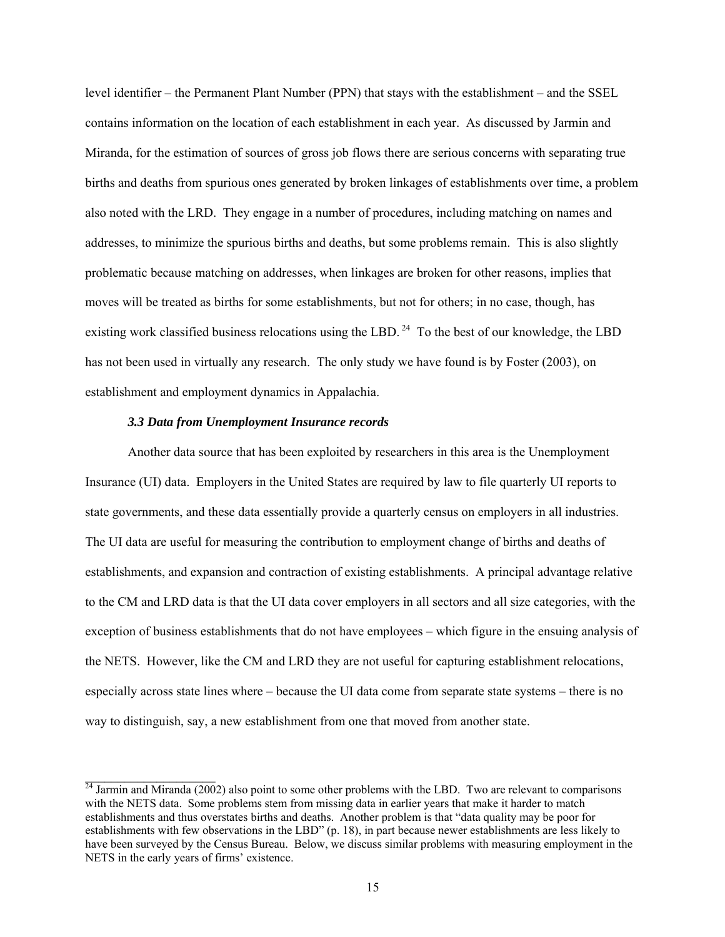level identifier – the Permanent Plant Number (PPN) that stays with the establishment – and the SSEL contains information on the location of each establishment in each year. As discussed by Jarmin and Miranda, for the estimation of sources of gross job flows there are serious concerns with separating true births and deaths from spurious ones generated by broken linkages of establishments over time, a problem also noted with the LRD. They engage in a number of procedures, including matching on names and addresses, to minimize the spurious births and deaths, but some problems remain. This is also slightly problematic because matching on addresses, when linkages are broken for other reasons, implies that moves will be treated as births for some establishments, but not for others; in no case, though, has existing work classified business relocations using the LBD.<sup>24</sup> To the best of our knowledge, the LBD has not been used in virtually any research. The only study we have found is by Foster (2003), on establishment and employment dynamics in Appalachia.

# *3.3 Data from Unemployment Insurance records*

 $\mathcal{L}_\text{max}$ 

Another data source that has been exploited by researchers in this area is the Unemployment Insurance (UI) data. Employers in the United States are required by law to file quarterly UI reports to state governments, and these data essentially provide a quarterly census on employers in all industries. The UI data are useful for measuring the contribution to employment change of births and deaths of establishments, and expansion and contraction of existing establishments. A principal advantage relative to the CM and LRD data is that the UI data cover employers in all sectors and all size categories, with the exception of business establishments that do not have employees – which figure in the ensuing analysis of the NETS. However, like the CM and LRD they are not useful for capturing establishment relocations, especially across state lines where – because the UI data come from separate state systems – there is no way to distinguish, say, a new establishment from one that moved from another state.

<span id="page-15-0"></span> $^{24}$  Jarmin and Miranda (2002) also point to some other problems with the LBD. Two are relevant to comparisons with the NETS data. Some problems stem from missing data in earlier years that make it harder to match establishments and thus overstates births and deaths. Another problem is that "data quality may be poor for establishments with few observations in the LBD" (p. 18), in part because newer establishments are less likely to have been surveyed by the Census Bureau. Below, we discuss similar problems with measuring employment in the NETS in the early years of firms' existence.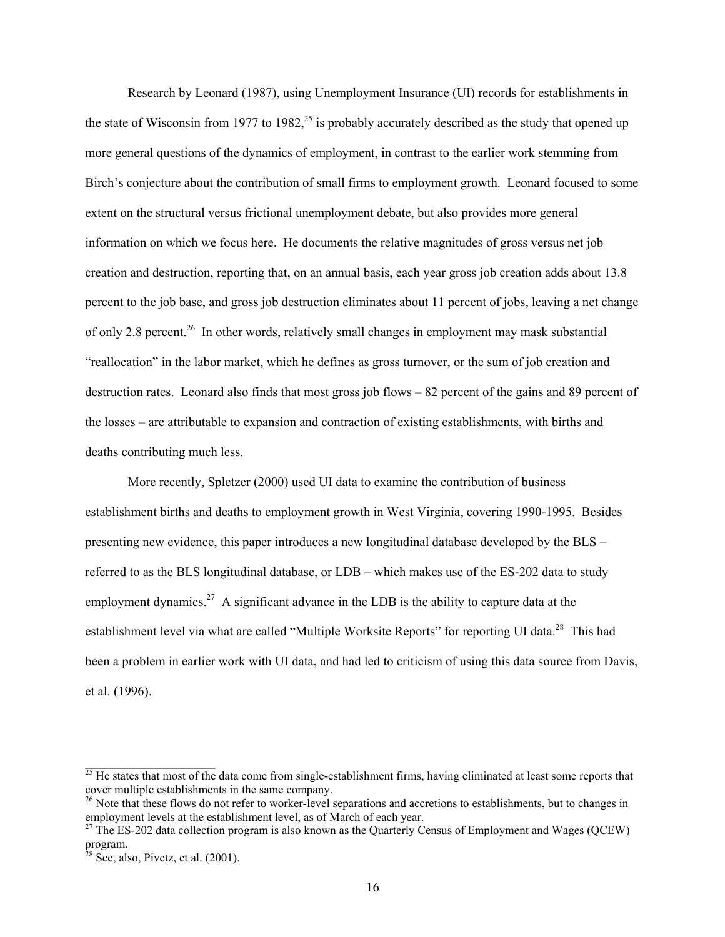Research by Leonard (1987), using Unemployment Insurance (UI) records for establishments in the state of Wisconsin from 1977 to 1982,<sup>25</sup> is probably accurately described as the study that opened up more general questions of the dynamics of employment, in contrast to the earlier work stemming from Birch's conjecture about the contribution of small firms to employment growth. Leonard focused to some extent on the structural versus frictional unemployment debate, but also provides more general information on which we focus here. He documents the relative magnitudes of gross versus net job creation and destruction, reporting that, on an annual basis, each year gross job creation adds about 13.8 percent to the job base, and gross job destruction eliminates about 11 percent of jobs, leaving a net change of only 2.8 percent.<sup>26</sup> In other words, relatively small changes in employment may mask substantial "reallocation" in the labor market, which he defines as gross turnover, or the sum of job creation and destruction rates. Leonard also finds that most gross job flows – 82 percent of the gains and 89 percent of the losses – are attributable to expansion and contraction of existing establishments, with births and deaths contributing much less.

More recently, Spletzer (2000) used UI data to examine the contribution of business establishment births and deaths to employment growth in West Virginia, covering 1990-1995. Besides presenting new evidence, this paper introduces a new longitudinal database developed by the BLS – referred to as the BLS longitudinal database, or LDB – which makes use of the ES-202 data to study employment dynamics.<sup>27</sup> A significant advance in the LDB is the ability to capture data at the establishment level via what are called "Multiple Worksite Reports" for reporting UI data.<sup>28</sup> This had been a problem in earlier work with UI data, and had led to criticism of using this data source from Davis, et al. (1996).

<span id="page-16-0"></span> $\frac{25}{25}$  He states that most of the data come from single-establishment firms, having eliminated at least some reports that cover multiple establishments in the same company.

<span id="page-16-1"></span><sup>&</sup>lt;sup>26</sup> Note that these flows do not refer to worker-level separations and accretions to establishments, but to changes in employment levels at the establishment level, as of March of each year.<br><sup>27</sup> The ES-202 data collection program is also known as the Quarterly Census of Employment and Wages (QCEW)

<span id="page-16-2"></span>program.

<span id="page-16-3"></span> $28$  See, also, Pivetz, et al. (2001).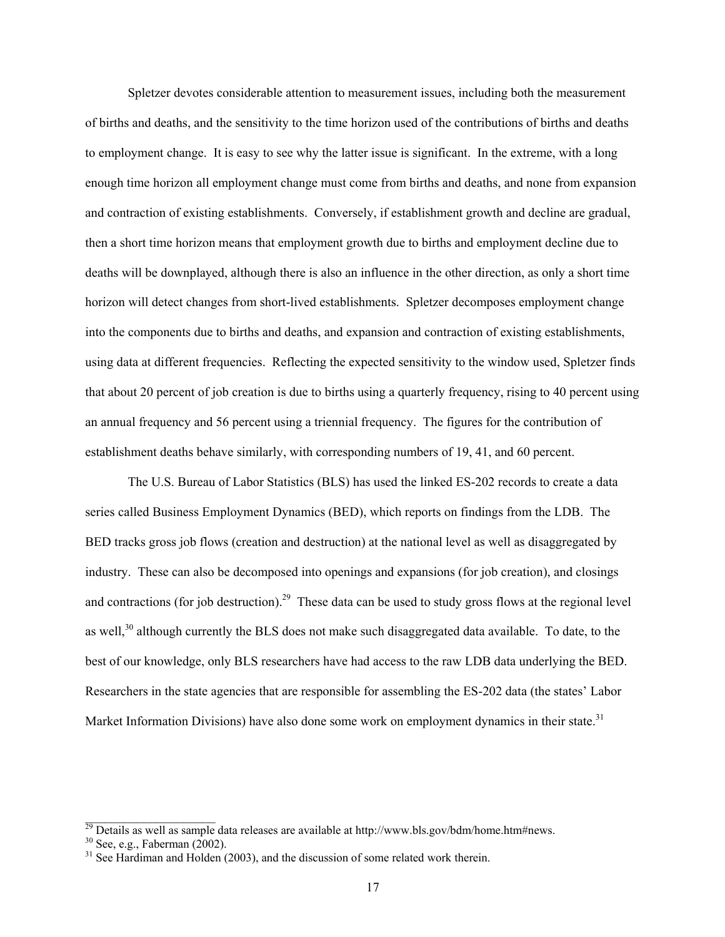Spletzer devotes considerable attention to measurement issues, including both the measurement of births and deaths, and the sensitivity to the time horizon used of the contributions of births and deaths to employment change. It is easy to see why the latter issue is significant. In the extreme, with a long enough time horizon all employment change must come from births and deaths, and none from expansion and contraction of existing establishments. Conversely, if establishment growth and decline are gradual, then a short time horizon means that employment growth due to births and employment decline due to deaths will be downplayed, although there is also an influence in the other direction, as only a short time horizon will detect changes from short-lived establishments. Spletzer decomposes employment change into the components due to births and deaths, and expansion and contraction of existing establishments, using data at different frequencies. Reflecting the expected sensitivity to the window used, Spletzer finds that about 20 percent of job creation is due to births using a quarterly frequency, rising to 40 percent using an annual frequency and 56 percent using a triennial frequency. The figures for the contribution of establishment deaths behave similarly, with corresponding numbers of 19, 41, and 60 percent.

The U.S. Bureau of Labor Statistics (BLS) has used the linked ES-202 records to create a data series called Business Employment Dynamics (BED), which reports on findings from the LDB. The BED tracks gross job flows (creation and destruction) at the national level as well as disaggregated by industry. These can also be decomposed into openings and expansions (for job creation), and closings and contractions (for job destruction).<sup>29</sup> These data can be used to study gross flows at the regional level as well,<sup>30</sup> although currently the BLS does not make such disaggregated data available. To date, to the best of our knowledge, only BLS researchers have had access to the raw LDB data underlying the BED. Researchers in the state agencies that are responsible for assembling the ES-202 data (the states' Labor Market Information Divisions) have also done some work on employment dynamics in their state.<sup>31</sup>

<span id="page-17-0"></span> $^{29}$  Details as well as sample data releases are available at http://www.bls.gov/bdm/home.htm#news. <sup>29</sup> Details as well as sample data releases are available at http://www.bls.gov/bdm/home.htm#news. <sup>30</sup> See, e.g., Faberman (2002).

<span id="page-17-1"></span>

<span id="page-17-2"></span><sup>&</sup>lt;sup>31</sup> See Hardiman and Holden (2003), and the discussion of some related work therein.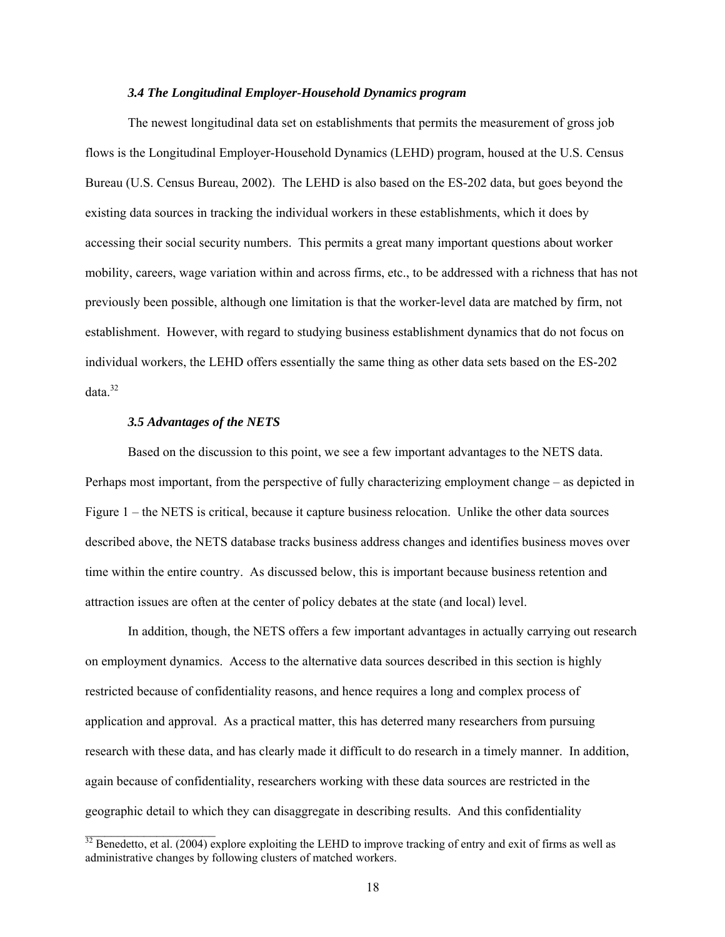### *3.4 The Longitudinal Employer-Household Dynamics program*

The newest longitudinal data set on establishments that permits the measurement of gross job flows is the Longitudinal Employer-Household Dynamics (LEHD) program, housed at the U.S. Census Bureau (U.S. Census Bureau, 2002). The LEHD is also based on the ES-202 data, but goes beyond the existing data sources in tracking the individual workers in these establishments, which it does by accessing their social security numbers. This permits a great many important questions about worker mobility, careers, wage variation within and across firms, etc., to be addressed with a richness that has not previously been possible, although one limitation is that the worker-level data are matched by firm, not establishment. However, with regard to studying business establishment dynamics that do not focus on individual workers, the LEHD offers essentially the same thing as other data sets based on the ES-202 data.<sup>32</sup>

# *3.5 Advantages of the NETS*

 $\mathcal{L}_\text{max}$  , where  $\mathcal{L}_\text{max}$ 

Based on the discussion to this point, we see a few important advantages to the NETS data. Perhaps most important, from the perspective of fully characterizing employment change – as depicted in Figure 1 – the NETS is critical, because it capture business relocation. Unlike the other data sources described above, the NETS database tracks business address changes and identifies business moves over time within the entire country. As discussed below, this is important because business retention and attraction issues are often at the center of policy debates at the state (and local) level.

In addition, though, the NETS offers a few important advantages in actually carrying out research on employment dynamics. Access to the alternative data sources described in this section is highly restricted because of confidentiality reasons, and hence requires a long and complex process of application and approval. As a practical matter, this has deterred many researchers from pursuing research with these data, and has clearly made it difficult to do research in a timely manner. In addition, again because of confidentiality, researchers working with these data sources are restricted in the geographic detail to which they can disaggregate in describing results. And this confidentiality

<span id="page-18-0"></span> $32$  Benedetto, et al. (2004) explore exploiting the LEHD to improve tracking of entry and exit of firms as well as administrative changes by following clusters of matched workers.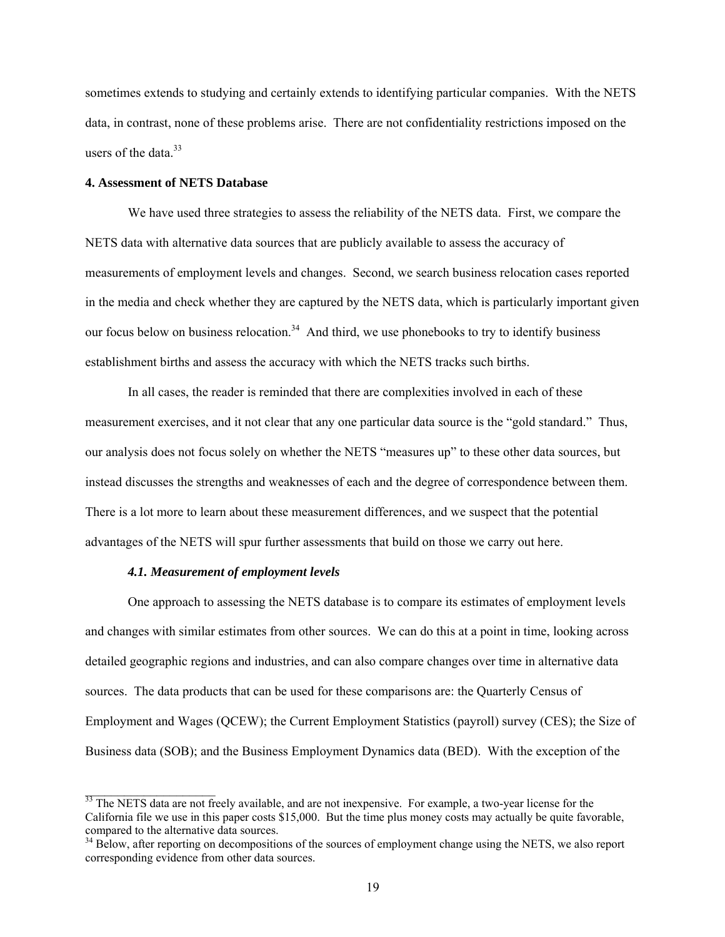sometimes extends to studying and certainly extends to identifying particular companies. With the NETS data, in contrast, none of these problems arise. There are not confidentiality restrictions imposed on the users of the data  $33$ 

# **4. Assessment of NETS Database**

We have used three strategies to assess the reliability of the NETS data. First, we compare the NETS data with alternative data sources that are publicly available to assess the accuracy of measurements of employment levels and changes. Second, we search business relocation cases reported in the media and check whether they are captured by the NETS data, which is particularly important given our focus below on business relocation.<sup>34</sup> And third, we use phonebooks to try to identify business establishment births and assess the accuracy with which the NETS tracks such births.

In all cases, the reader is reminded that there are complexities involved in each of these measurement exercises, and it not clear that any one particular data source is the "gold standard." Thus, our analysis does not focus solely on whether the NETS "measures up" to these other data sources, but instead discusses the strengths and weaknesses of each and the degree of correspondence between them. There is a lot more to learn about these measurement differences, and we suspect that the potential advantages of the NETS will spur further assessments that build on those we carry out here.

## *4.1. Measurement of employment levels*

 $\_$ 

One approach to assessing the NETS database is to compare its estimates of employment levels and changes with similar estimates from other sources. We can do this at a point in time, looking across detailed geographic regions and industries, and can also compare changes over time in alternative data sources. The data products that can be used for these comparisons are: the Quarterly Census of Employment and Wages (QCEW); the Current Employment Statistics (payroll) survey (CES); the Size of Business data (SOB); and the Business Employment Dynamics data (BED). With the exception of the

<span id="page-19-0"></span> $\frac{33}{33}$  The NETS data are not freely available, and are not inexpensive. For example, a two-year license for the California file we use in this paper costs \$15,000. But the time plus money costs may actually be quite favorable, compared to the alternative data sources.

<span id="page-19-1"></span><sup>&</sup>lt;sup>34</sup> Below, after reporting on decompositions of the sources of employment change using the NETS, we also report corresponding evidence from other data sources.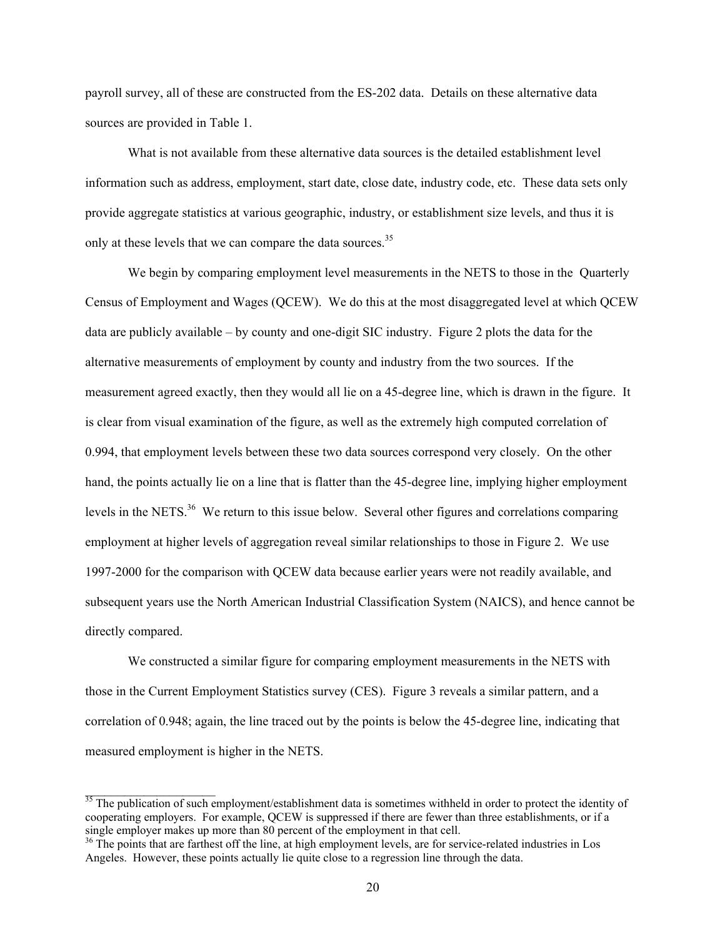payroll survey, all of these are constructed from the ES-202 data. Details on these alternative data sources are provided in Table 1.

What is not available from these alternative data sources is the detailed establishment level information such as address, employment, start date, close date, industry code, etc. These data sets only provide aggregate statistics at various geographic, industry, or establishment size levels, and thus it is only at these levels that we can compare the data sources.<sup>35</sup>

We begin by comparing employment level measurements in the NETS to those in the Quarterly Census of Employment and Wages (QCEW). We do this at the most disaggregated level at which QCEW data are publicly available – by county and one-digit SIC industry. Figure 2 plots the data for the alternative measurements of employment by county and industry from the two sources. If the measurement agreed exactly, then they would all lie on a 45-degree line, which is drawn in the figure. It is clear from visual examination of the figure, as well as the extremely high computed correlation of 0.994, that employment levels between these two data sources correspond very closely. On the other hand, the points actually lie on a line that is flatter than the 45-degree line, implying higher employment levels in the NETS.<sup>36</sup> We return to this issue below. Several other figures and correlations comparing employment at higher levels of aggregation reveal similar relationships to those in Figure 2. We use 1997-2000 for the comparison with QCEW data because earlier years were not readily available, and subsequent years use the North American Industrial Classification System (NAICS), and hence cannot be directly compared.

We constructed a similar figure for comparing employment measurements in the NETS with those in the Current Employment Statistics survey (CES). Figure 3 reveals a similar pattern, and a correlation of 0.948; again, the line traced out by the points is below the 45-degree line, indicating that measured employment is higher in the NETS.

 $\_$ 

<span id="page-20-0"></span> $\frac{35}{35}$  The publication of such employment/establishment data is sometimes withheld in order to protect the identity of cooperating employers. For example, QCEW is suppressed if there are fewer than three establishments, or if a single employer makes up more than 80 percent of the employment in that cell.

<span id="page-20-1"></span><sup>&</sup>lt;sup>36</sup> The points that are farthest off the line, at high employment levels, are for service-related industries in Los Angeles. However, these points actually lie quite close to a regression line through the data.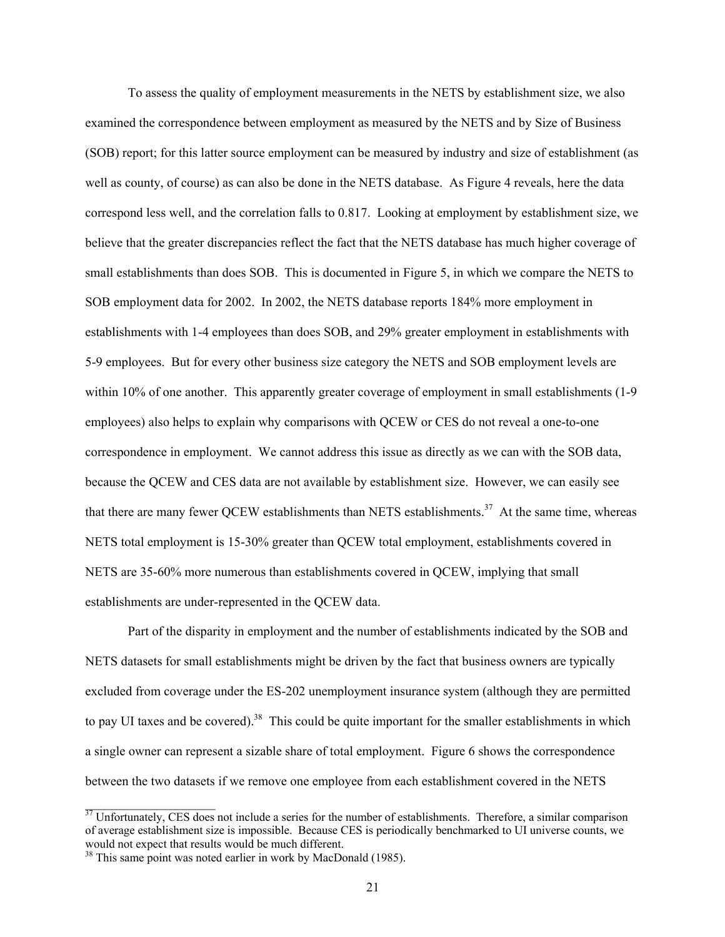To assess the quality of employment measurements in the NETS by establishment size, we also examined the correspondence between employment as measured by the NETS and by Size of Business (SOB) report; for this latter source employment can be measured by industry and size of establishment (as well as county, of course) as can also be done in the NETS database. As Figure 4 reveals, here the data correspond less well, and the correlation falls to 0.817. Looking at employment by establishment size, we believe that the greater discrepancies reflect the fact that the NETS database has much higher coverage of small establishments than does SOB. This is documented in Figure 5, in which we compare the NETS to SOB employment data for 2002. In 2002, the NETS database reports 184% more employment in establishments with 1-4 employees than does SOB, and 29% greater employment in establishments with 5-9 employees. But for every other business size category the NETS and SOB employment levels are within 10% of one another. This apparently greater coverage of employment in small establishments (1-9 employees) also helps to explain why comparisons with QCEW or CES do not reveal a one-to-one correspondence in employment. We cannot address this issue as directly as we can with the SOB data, because the QCEW and CES data are not available by establishment size. However, we can easily see that there are many fewer QCEW establishments than NETS establishments.<sup>37</sup> At the same time, whereas NETS total employment is 15-30% greater than QCEW total employment, establishments covered in NETS are 35-60% more numerous than establishments covered in QCEW, implying that small establishments are under-represented in the QCEW data.

Part of the disparity in employment and the number of establishments indicated by the SOB and NETS datasets for small establishments might be driven by the fact that business owners are typically excluded from coverage under the ES-202 unemployment insurance system (although they are permitted to pay UI taxes and be covered).<sup>38</sup> This could be quite important for the smaller establishments in which a single owner can represent a sizable share of total employment. Figure 6 shows the correspondence between the two datasets if we remove one employee from each establishment covered in the NETS

<span id="page-21-0"></span><sup>&</sup>lt;sup>37</sup> Unfortunately, CES does not include a series for the number of establishments. Therefore, a similar comparison of average establishment size is impossible. Because CES is periodically benchmarked to UI universe counts, we would not expect that results would be much different.

<span id="page-21-1"></span><sup>&</sup>lt;sup>38</sup> This same point was noted earlier in work by MacDonald (1985).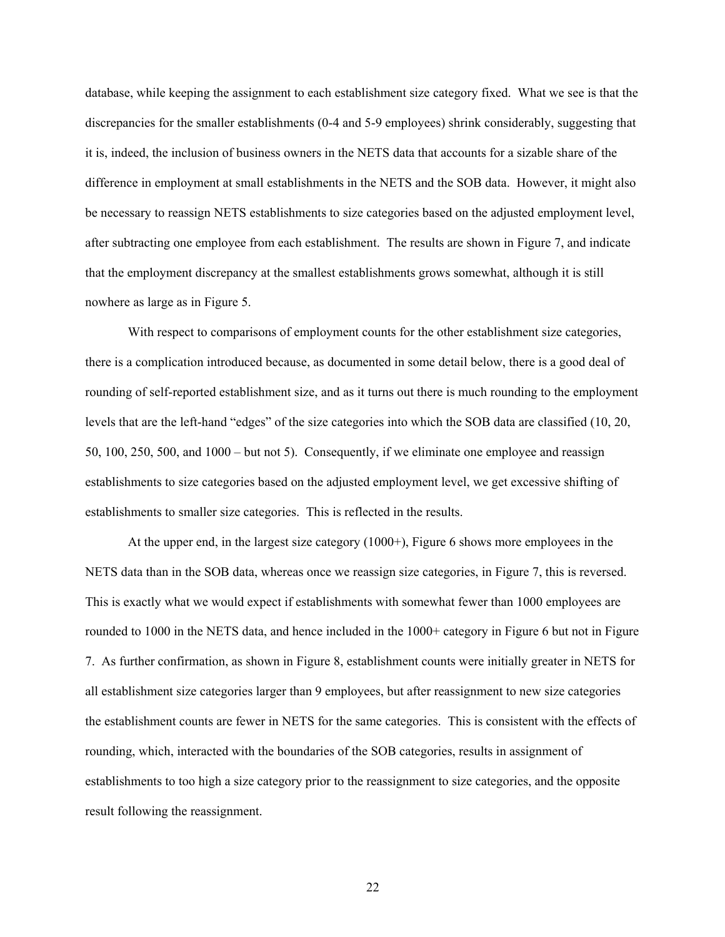database, while keeping the assignment to each establishment size category fixed. What we see is that the discrepancies for the smaller establishments (0-4 and 5-9 employees) shrink considerably, suggesting that it is, indeed, the inclusion of business owners in the NETS data that accounts for a sizable share of the difference in employment at small establishments in the NETS and the SOB data. However, it might also be necessary to reassign NETS establishments to size categories based on the adjusted employment level, after subtracting one employee from each establishment. The results are shown in Figure 7, and indicate that the employment discrepancy at the smallest establishments grows somewhat, although it is still nowhere as large as in Figure 5.

With respect to comparisons of employment counts for the other establishment size categories, there is a complication introduced because, as documented in some detail below, there is a good deal of rounding of self-reported establishment size, and as it turns out there is much rounding to the employment levels that are the left-hand "edges" of the size categories into which the SOB data are classified (10, 20, 50, 100, 250, 500, and 1000 – but not 5). Consequently, if we eliminate one employee and reassign establishments to size categories based on the adjusted employment level, we get excessive shifting of establishments to smaller size categories. This is reflected in the results.

At the upper end, in the largest size category (1000+), Figure 6 shows more employees in the NETS data than in the SOB data, whereas once we reassign size categories, in Figure 7, this is reversed. This is exactly what we would expect if establishments with somewhat fewer than 1000 employees are rounded to 1000 in the NETS data, and hence included in the 1000+ category in Figure 6 but not in Figure 7. As further confirmation, as shown in Figure 8, establishment counts were initially greater in NETS for all establishment size categories larger than 9 employees, but after reassignment to new size categories the establishment counts are fewer in NETS for the same categories. This is consistent with the effects of rounding, which, interacted with the boundaries of the SOB categories, results in assignment of establishments to too high a size category prior to the reassignment to size categories, and the opposite result following the reassignment.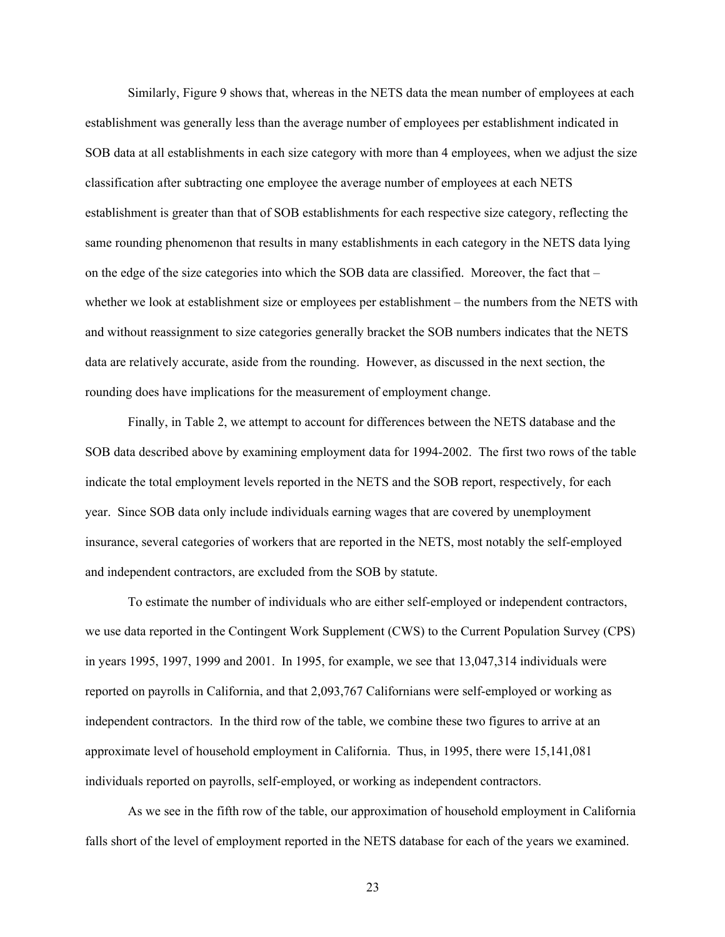Similarly, Figure 9 shows that, whereas in the NETS data the mean number of employees at each establishment was generally less than the average number of employees per establishment indicated in SOB data at all establishments in each size category with more than 4 employees, when we adjust the size classification after subtracting one employee the average number of employees at each NETS establishment is greater than that of SOB establishments for each respective size category, reflecting the same rounding phenomenon that results in many establishments in each category in the NETS data lying on the edge of the size categories into which the SOB data are classified. Moreover, the fact that – whether we look at establishment size or employees per establishment – the numbers from the NETS with and without reassignment to size categories generally bracket the SOB numbers indicates that the NETS data are relatively accurate, aside from the rounding. However, as discussed in the next section, the rounding does have implications for the measurement of employment change.

Finally, in Table 2, we attempt to account for differences between the NETS database and the SOB data described above by examining employment data for 1994-2002. The first two rows of the table indicate the total employment levels reported in the NETS and the SOB report, respectively, for each year. Since SOB data only include individuals earning wages that are covered by unemployment insurance, several categories of workers that are reported in the NETS, most notably the self-employed and independent contractors, are excluded from the SOB by statute.

To estimate the number of individuals who are either self-employed or independent contractors, we use data reported in the Contingent Work Supplement (CWS) to the Current Population Survey (CPS) in years 1995, 1997, 1999 and 2001. In 1995, for example, we see that 13,047,314 individuals were reported on payrolls in California, and that 2,093,767 Californians were self-employed or working as independent contractors. In the third row of the table, we combine these two figures to arrive at an approximate level of household employment in California. Thus, in 1995, there were 15,141,081 individuals reported on payrolls, self-employed, or working as independent contractors.

As we see in the fifth row of the table, our approximation of household employment in California falls short of the level of employment reported in the NETS database for each of the years we examined.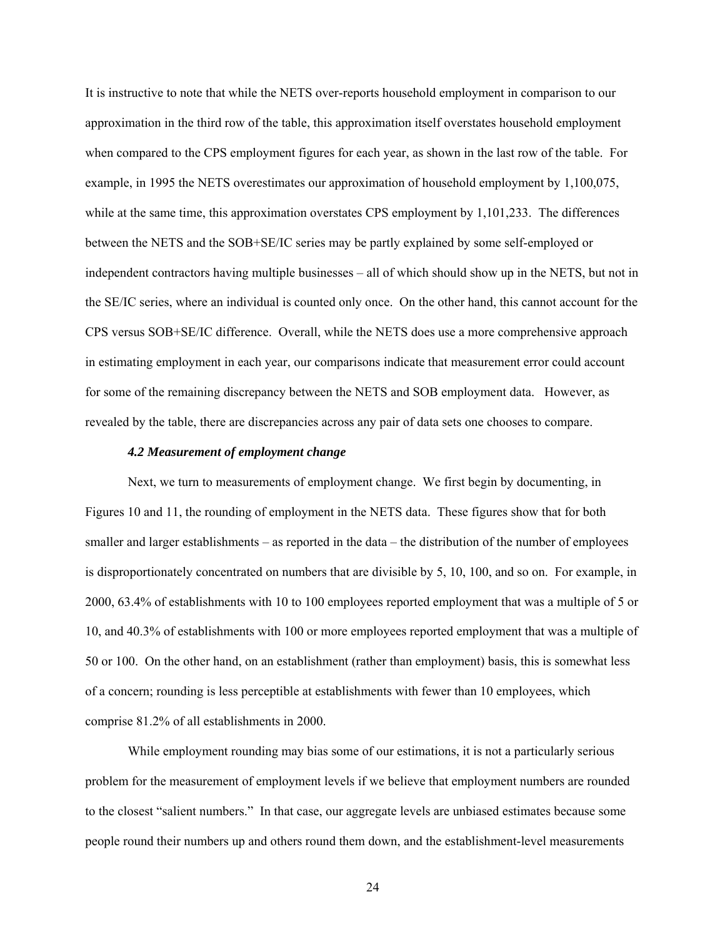It is instructive to note that while the NETS over-reports household employment in comparison to our approximation in the third row of the table, this approximation itself overstates household employment when compared to the CPS employment figures for each year, as shown in the last row of the table. For example, in 1995 the NETS overestimates our approximation of household employment by 1,100,075, while at the same time, this approximation overstates CPS employment by 1,101,233. The differences between the NETS and the SOB+SE/IC series may be partly explained by some self-employed or independent contractors having multiple businesses – all of which should show up in the NETS, but not in the SE/IC series, where an individual is counted only once. On the other hand, this cannot account for the CPS versus SOB+SE/IC difference. Overall, while the NETS does use a more comprehensive approach in estimating employment in each year, our comparisons indicate that measurement error could account for some of the remaining discrepancy between the NETS and SOB employment data. However, as revealed by the table, there are discrepancies across any pair of data sets one chooses to compare.

## *4.2 Measurement of employment change*

Next, we turn to measurements of employment change. We first begin by documenting, in Figures 10 and 11, the rounding of employment in the NETS data. These figures show that for both smaller and larger establishments – as reported in the data – the distribution of the number of employees is disproportionately concentrated on numbers that are divisible by 5, 10, 100, and so on. For example, in 2000, 63.4% of establishments with 10 to 100 employees reported employment that was a multiple of 5 or 10, and 40.3% of establishments with 100 or more employees reported employment that was a multiple of 50 or 100. On the other hand, on an establishment (rather than employment) basis, this is somewhat less of a concern; rounding is less perceptible at establishments with fewer than 10 employees, which comprise 81.2% of all establishments in 2000.

While employment rounding may bias some of our estimations, it is not a particularly serious problem for the measurement of employment levels if we believe that employment numbers are rounded to the closest "salient numbers." In that case, our aggregate levels are unbiased estimates because some people round their numbers up and others round them down, and the establishment-level measurements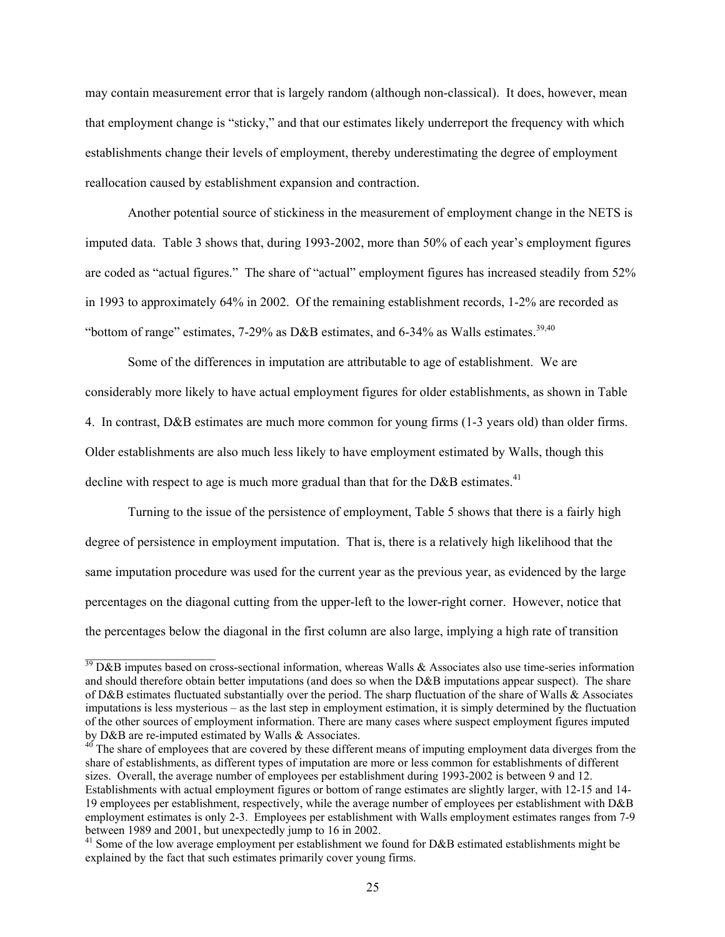may contain measurement error that is largely random (although non-classical). It does, however, mean that employment change is "sticky," and that our estimates likely underreport the frequency with which establishments change their levels of employment, thereby underestimating the degree of employment reallocation caused by establishment expansion and contraction.

Another potential source of stickiness in the measurement of employment change in the NETS is imputed data. Table 3 shows that, during 1993-2002, more than 50% of each year's employment figures are coded as "actual figures." The share of "actual" employment figures has increased steadily from 52% in 1993 to approximately 64% in 2002. Of the remaining establishment records, 1-2% are recorded as "bottom of range" estimates,  $7-29\%$  as D&B estimates, and  $6-34\%$  as Walls estimates.<sup>[39,](#page-25-0)40</sup>

Some of the differences in imputation are attributable to age of establishment. We are considerably more likely to have actual employment figures for older establishments, as shown in Table 4. In contrast, D&B estimates are much more common for young firms (1-3 years old) than older firms. Older establishments are also much less likely to have employment estimated by Walls, though this decline with respect to age is much more gradual than that for the  $D&B$  estimates.<sup>41</sup>

Turning to the issue of the persistence of employment, Table 5 shows that there is a fairly high degree of persistence in employment imputation. That is, there is a relatively high likelihood that the same imputation procedure was used for the current year as the previous year, as evidenced by the large percentages on the diagonal cutting from the upper-left to the lower-right corner. However, notice that the percentages below the diagonal in the first column are also large, implying a high rate of transition

<span id="page-25-0"></span> $39$  D&B imputes based on cross-sectional information, whereas Walls & Associates also use time-series information and should therefore obtain better imputations (and does so when the D&B imputations appear suspect). The share of D&B estimates fluctuated substantially over the period. The sharp fluctuation of the share of Walls & Associates imputations is less mysterious – as the last step in employment estimation, it is simply determined by the fluctuation of the other sources of employment information. There are many cases where suspect employment figures imputed<br>by D&B are re-imputed estimated by Walls & Associates.

<span id="page-25-1"></span> $\frac{40}{10}$  The share of employees that are covered by these different means of imputing employment data diverges from the share of establishments, as different types of imputation are more or less common for establishments of different sizes. Overall, the average number of employees per establishment during 1993-2002 is between 9 and 12. Establishments with actual employment figures or bottom of range estimates are slightly larger, with 12-15 and 14- 19 employees per establishment, respectively, while the average number of employees per establishment with D&B employment estimates is only 2-3. Employees per establishment with Walls employment estimates ranges from 7-9 between 1989 and 2001, but unexpectedly jump to 16 in 2002.

<span id="page-25-2"></span><sup>&</sup>lt;sup>41</sup> Some of the low average employment per establishment we found for D&B estimated establishments might be explained by the fact that such estimates primarily cover young firms.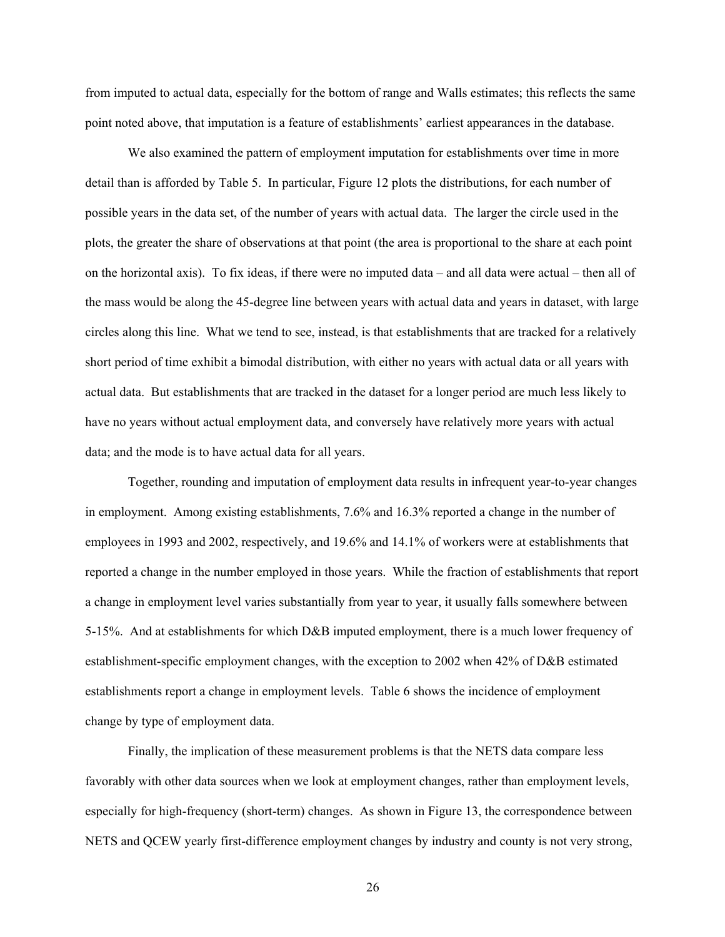from imputed to actual data, especially for the bottom of range and Walls estimates; this reflects the same point noted above, that imputation is a feature of establishments' earliest appearances in the database.

We also examined the pattern of employment imputation for establishments over time in more detail than is afforded by Table 5. In particular, Figure 12 plots the distributions, for each number of possible years in the data set, of the number of years with actual data. The larger the circle used in the plots, the greater the share of observations at that point (the area is proportional to the share at each point on the horizontal axis). To fix ideas, if there were no imputed data – and all data were actual – then all of the mass would be along the 45-degree line between years with actual data and years in dataset, with large circles along this line. What we tend to see, instead, is that establishments that are tracked for a relatively short period of time exhibit a bimodal distribution, with either no years with actual data or all years with actual data. But establishments that are tracked in the dataset for a longer period are much less likely to have no years without actual employment data, and conversely have relatively more years with actual data; and the mode is to have actual data for all years.

Together, rounding and imputation of employment data results in infrequent year-to-year changes in employment. Among existing establishments, 7.6% and 16.3% reported a change in the number of employees in 1993 and 2002, respectively, and 19.6% and 14.1% of workers were at establishments that reported a change in the number employed in those years. While the fraction of establishments that report a change in employment level varies substantially from year to year, it usually falls somewhere between 5-15%. And at establishments for which D&B imputed employment, there is a much lower frequency of establishment-specific employment changes, with the exception to 2002 when 42% of D&B estimated establishments report a change in employment levels. Table 6 shows the incidence of employment change by type of employment data.

Finally, the implication of these measurement problems is that the NETS data compare less favorably with other data sources when we look at employment changes, rather than employment levels, especially for high-frequency (short-term) changes. As shown in Figure 13, the correspondence between NETS and QCEW yearly first-difference employment changes by industry and county is not very strong,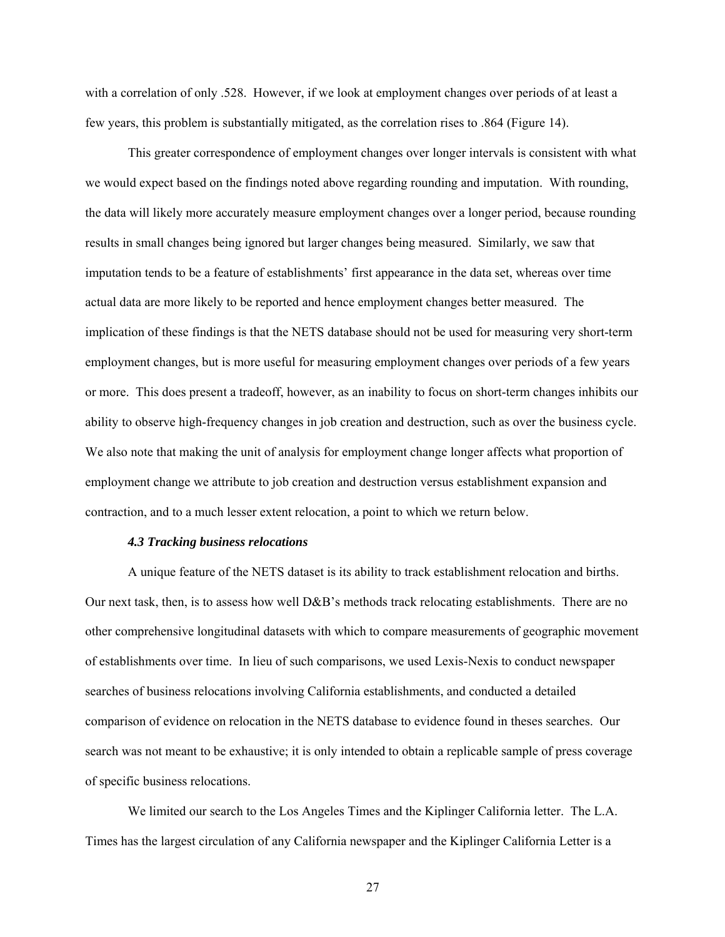with a correlation of only .528. However, if we look at employment changes over periods of at least a few years, this problem is substantially mitigated, as the correlation rises to .864 (Figure 14).

This greater correspondence of employment changes over longer intervals is consistent with what we would expect based on the findings noted above regarding rounding and imputation. With rounding, the data will likely more accurately measure employment changes over a longer period, because rounding results in small changes being ignored but larger changes being measured. Similarly, we saw that imputation tends to be a feature of establishments' first appearance in the data set, whereas over time actual data are more likely to be reported and hence employment changes better measured. The implication of these findings is that the NETS database should not be used for measuring very short-term employment changes, but is more useful for measuring employment changes over periods of a few years or more. This does present a tradeoff, however, as an inability to focus on short-term changes inhibits our ability to observe high-frequency changes in job creation and destruction, such as over the business cycle. We also note that making the unit of analysis for employment change longer affects what proportion of employment change we attribute to job creation and destruction versus establishment expansion and contraction, and to a much lesser extent relocation, a point to which we return below.

#### *4.3 Tracking business relocations*

A unique feature of the NETS dataset is its ability to track establishment relocation and births. Our next task, then, is to assess how well D&B's methods track relocating establishments. There are no other comprehensive longitudinal datasets with which to compare measurements of geographic movement of establishments over time. In lieu of such comparisons, we used Lexis-Nexis to conduct newspaper searches of business relocations involving California establishments, and conducted a detailed comparison of evidence on relocation in the NETS database to evidence found in theses searches. Our search was not meant to be exhaustive; it is only intended to obtain a replicable sample of press coverage of specific business relocations.

We limited our search to the Los Angeles Times and the Kiplinger California letter. The L.A. Times has the largest circulation of any California newspaper and the Kiplinger California Letter is a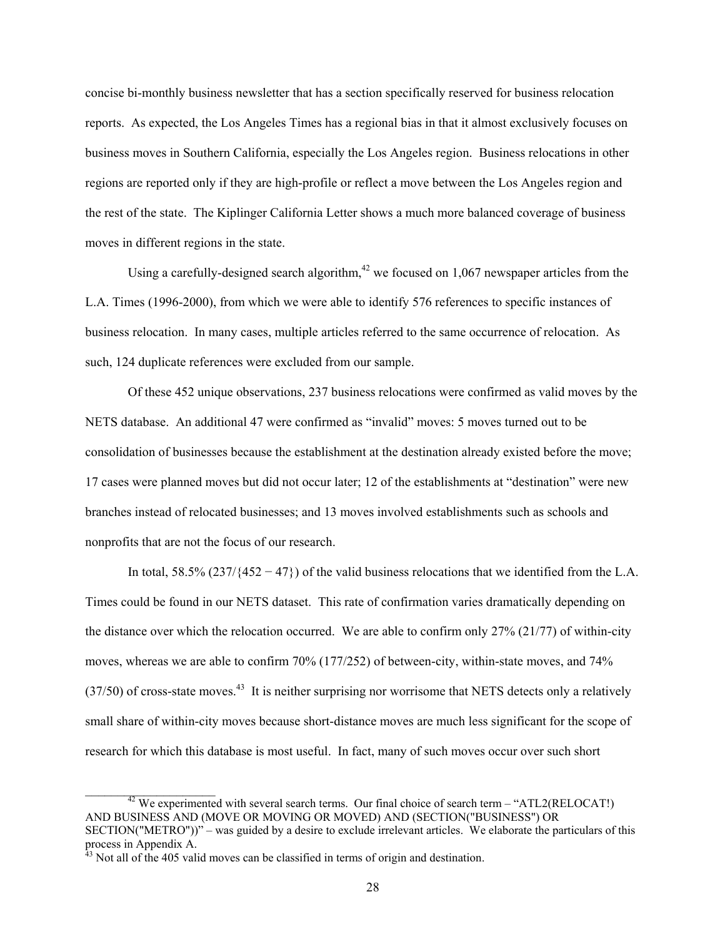concise bi-monthly business newsletter that has a section specifically reserved for business relocation reports. As expected, the Los Angeles Times has a regional bias in that it almost exclusively focuses on business moves in Southern California, especially the Los Angeles region. Business relocations in other regions are reported only if they are high-profile or reflect a move between the Los Angeles region and the rest of the state. The Kiplinger California Letter shows a much more balanced coverage of business moves in different regions in the state.

Using a carefully-designed search algorithm,  $42$  we focused on 1,067 newspaper articles from the L.A. Times (1996-2000), from which we were able to identify 576 references to specific instances of business relocation. In many cases, multiple articles referred to the same occurrence of relocation. As such, 124 duplicate references were excluded from our sample.

Of these 452 unique observations, 237 business relocations were confirmed as valid moves by the NETS database. An additional 47 were confirmed as "invalid" moves: 5 moves turned out to be consolidation of businesses because the establishment at the destination already existed before the move; 17 cases were planned moves but did not occur later; 12 of the establishments at "destination" were new branches instead of relocated businesses; and 13 moves involved establishments such as schools and nonprofits that are not the focus of our research.

In total, 58.5%  $(237/\{452-47\})$  of the valid business relocations that we identified from the L.A. Times could be found in our NETS dataset. This rate of confirmation varies dramatically depending on the distance over which the relocation occurred. We are able to confirm only 27% (21/77) of within-city moves, whereas we are able to confirm 70% (177/252) of between-city, within-state moves, and 74%  $(37/50)$  of cross-state moves.<sup>43</sup> It is neither surprising nor worrisome that NETS detects only a relatively small share of within-city moves because short-distance moves are much less significant for the scope of research for which this database is most useful. In fact, many of such moves occur over such short

<span id="page-28-0"></span> $\_$ 

 $42$  We experimented with several search terms. Our final choice of search term – "ATL2(RELOCAT!) AND BUSINESS AND (MOVE OR MOVING OR MOVED) AND (SECTION("BUSINESS") OR SECTION("METRO"))" – was guided by a desire to exclude irrelevant articles. We elaborate the particulars of this process in Appendix A.

<span id="page-28-1"></span><sup>&</sup>lt;sup>43</sup> Not all of the 405 valid moves can be classified in terms of origin and destination.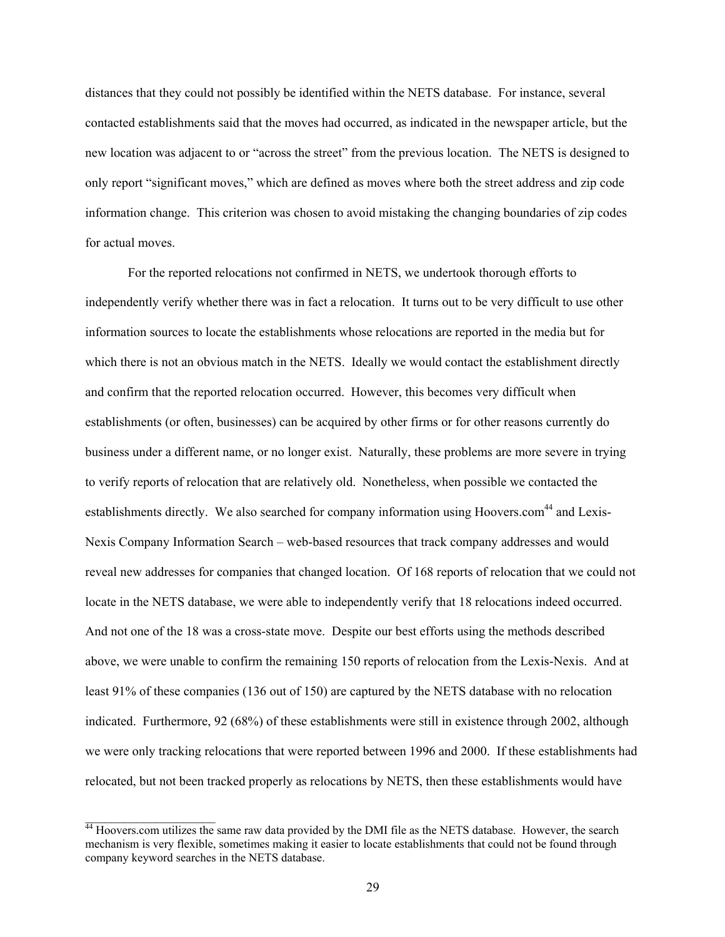distances that they could not possibly be identified within the NETS database. For instance, several contacted establishments said that the moves had occurred, as indicated in the newspaper article, but the new location was adjacent to or "across the street" from the previous location. The NETS is designed to only report "significant moves," which are defined as moves where both the street address and zip code information change. This criterion was chosen to avoid mistaking the changing boundaries of zip codes for actual moves.

For the reported relocations not confirmed in NETS, we undertook thorough efforts to independently verify whether there was in fact a relocation. It turns out to be very difficult to use other information sources to locate the establishments whose relocations are reported in the media but for which there is not an obvious match in the NETS. Ideally we would contact the establishment directly and confirm that the reported relocation occurred. However, this becomes very difficult when establishments (or often, businesses) can be acquired by other firms or for other reasons currently do business under a different name, or no longer exist. Naturally, these problems are more severe in trying to verify reports of relocation that are relatively old. Nonetheless, when possible we contacted the establishments directly. We also searched for company information using Hoovers.com<sup>44</sup> and Lexis-Nexis Company Information Search – web-based resources that track company addresses and would reveal new addresses for companies that changed location. Of 168 reports of relocation that we could not locate in the NETS database, we were able to independently verify that 18 relocations indeed occurred. And not one of the 18 was a cross-state move. Despite our best efforts using the methods described above, we were unable to confirm the remaining 150 reports of relocation from the Lexis-Nexis. And at least 91% of these companies (136 out of 150) are captured by the NETS database with no relocation indicated. Furthermore, 92 (68%) of these establishments were still in existence through 2002, although we were only tracking relocations that were reported between 1996 and 2000. If these establishments had relocated, but not been tracked properly as relocations by NETS, then these establishments would have

<span id="page-29-0"></span> $44$  Hoovers.com utilizes the same raw data provided by the DMI file as the NETS database. However, the search mechanism is very flexible, sometimes making it easier to locate establishments that could not be found through company keyword searches in the NETS database.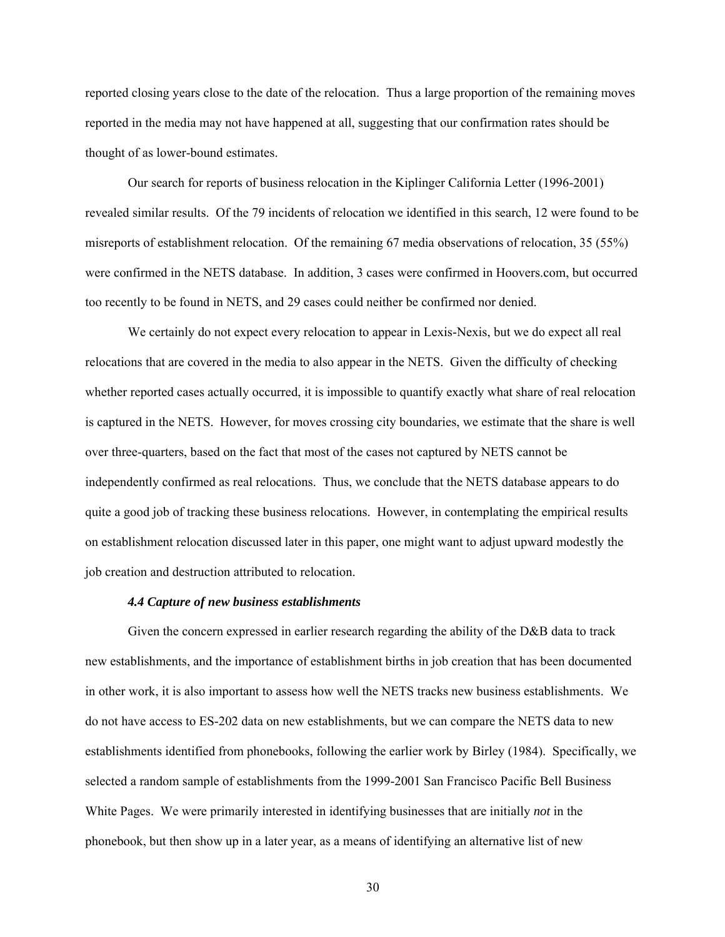reported closing years close to the date of the relocation. Thus a large proportion of the remaining moves reported in the media may not have happened at all, suggesting that our confirmation rates should be thought of as lower-bound estimates.

Our search for reports of business relocation in the Kiplinger California Letter (1996-2001) revealed similar results. Of the 79 incidents of relocation we identified in this search, 12 were found to be misreports of establishment relocation. Of the remaining 67 media observations of relocation, 35 (55%) were confirmed in the NETS database. In addition, 3 cases were confirmed in Hoovers.com, but occurred too recently to be found in NETS, and 29 cases could neither be confirmed nor denied.

We certainly do not expect every relocation to appear in Lexis-Nexis, but we do expect all real relocations that are covered in the media to also appear in the NETS. Given the difficulty of checking whether reported cases actually occurred, it is impossible to quantify exactly what share of real relocation is captured in the NETS. However, for moves crossing city boundaries, we estimate that the share is well over three-quarters, based on the fact that most of the cases not captured by NETS cannot be independently confirmed as real relocations. Thus, we conclude that the NETS database appears to do quite a good job of tracking these business relocations. However, in contemplating the empirical results on establishment relocation discussed later in this paper, one might want to adjust upward modestly the job creation and destruction attributed to relocation.

## *4.4 Capture of new business establishments*

Given the concern expressed in earlier research regarding the ability of the D&B data to track new establishments, and the importance of establishment births in job creation that has been documented in other work, it is also important to assess how well the NETS tracks new business establishments. We do not have access to ES-202 data on new establishments, but we can compare the NETS data to new establishments identified from phonebooks, following the earlier work by Birley (1984). Specifically, we selected a random sample of establishments from the 1999-2001 San Francisco Pacific Bell Business White Pages. We were primarily interested in identifying businesses that are initially *not* in the phonebook, but then show up in a later year, as a means of identifying an alternative list of new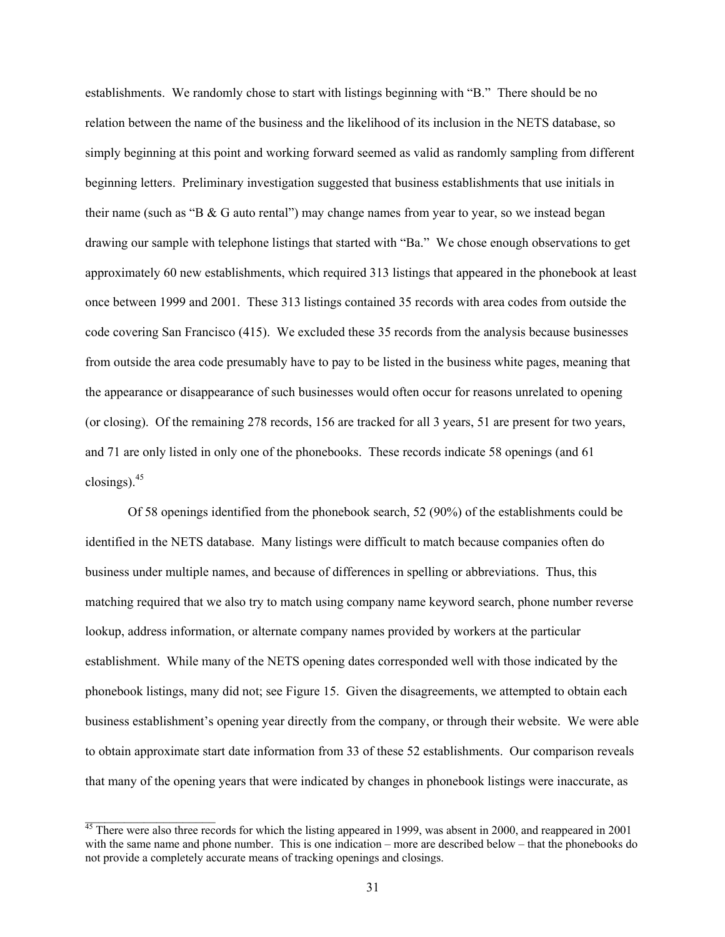establishments. We randomly chose to start with listings beginning with "B." There should be no relation between the name of the business and the likelihood of its inclusion in the NETS database, so simply beginning at this point and working forward seemed as valid as randomly sampling from different beginning letters. Preliminary investigation suggested that business establishments that use initials in their name (such as "B & G auto rental") may change names from year to year, so we instead began drawing our sample with telephone listings that started with "Ba." We chose enough observations to get approximately 60 new establishments, which required 313 listings that appeared in the phonebook at least once between 1999 and 2001. These 313 listings contained 35 records with area codes from outside the code covering San Francisco (415). We excluded these 35 records from the analysis because businesses from outside the area code presumably have to pay to be listed in the business white pages, meaning that the appearance or disappearance of such businesses would often occur for reasons unrelated to opening (or closing). Of the remaining 278 records, 156 are tracked for all 3 years, 51 are present for two years, and 71 are only listed in only one of the phonebooks. These records indicate 58 openings (and 61 closings). $45$ 

Of 58 openings identified from the phonebook search, 52 (90%) of the establishments could be identified in the NETS database. Many listings were difficult to match because companies often do business under multiple names, and because of differences in spelling or abbreviations. Thus, this matching required that we also try to match using company name keyword search, phone number reverse lookup, address information, or alternate company names provided by workers at the particular establishment. While many of the NETS opening dates corresponded well with those indicated by the phonebook listings, many did not; see Figure 15. Given the disagreements, we attempted to obtain each business establishment's opening year directly from the company, or through their website. We were able to obtain approximate start date information from 33 of these 52 establishments. Our comparison reveals that many of the opening years that were indicated by changes in phonebook listings were inaccurate, as

<span id="page-31-0"></span> $45$  There were also three records for which the listing appeared in 1999, was absent in 2000, and reappeared in 2001 with the same name and phone number. This is one indication – more are described below – that the phonebooks do not provide a completely accurate means of tracking openings and closings.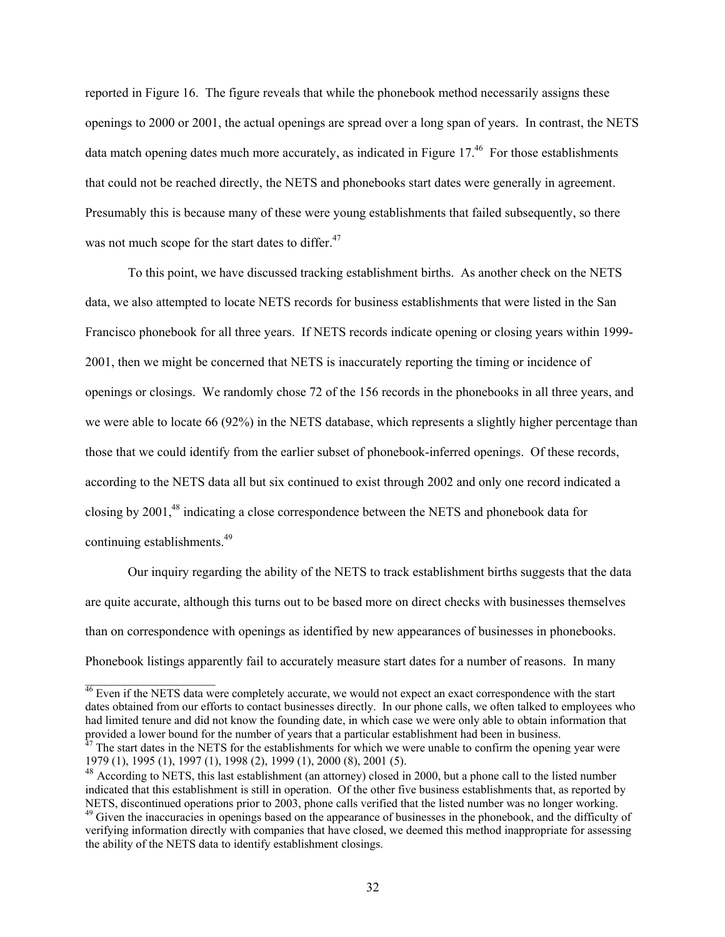reported in Figure 16. The figure reveals that while the phonebook method necessarily assigns these openings to 2000 or 2001, the actual openings are spread over a long span of years. In contrast, the NETS data match opening dates much more accurately, as indicated in Figure  $17<sup>46</sup>$  For those establishments that could not be reached directly, the NETS and phonebooks start dates were generally in agreement. Presumably this is because many of these were young establishments that failed subsequently, so there was not much scope for the start dates to differ.<sup>47</sup>

To this point, we have discussed tracking establishment births. As another check on the NETS data, we also attempted to locate NETS records for business establishments that were listed in the San Francisco phonebook for all three years. If NETS records indicate opening or closing years within 1999- 2001, then we might be concerned that NETS is inaccurately reporting the timing or incidence of openings or closings. We randomly chose 72 of the 156 records in the phonebooks in all three years, and we were able to locate 66 (92%) in the NETS database, which represents a slightly higher percentage than those that we could identify from the earlier subset of phonebook-inferred openings. Of these records, according to the NETS data all but six continued to exist through 2002 and only one record indicated a closing by 2001,<sup>48</sup> indicating a close correspondence between the NETS and phonebook data for continuing establishments.[49](#page-32-3)

Our inquiry regarding the ability of the NETS to track establishment births suggests that the data are quite accurate, although this turns out to be based more on direct checks with businesses themselves than on correspondence with openings as identified by new appearances of businesses in phonebooks. Phonebook listings apparently fail to accurately measure start dates for a number of reasons. In many

<span id="page-32-0"></span><sup>&</sup>lt;sup>46</sup> Even if the NETS data were completely accurate, we would not expect an exact correspondence with the start dates obtained from our efforts to contact businesses directly. In our phone calls, we often talked to employees who had limited tenure and did not know the founding date, in which case we were only able to obtain information that provided a lower bound for the number of years that a particular establishment had been in business.  $47$  The start dates in the NETS for the establishments for which we were unable to confirm the opening year were

<span id="page-32-1"></span><sup>1979 (1), 1995 (1), 1997 (1), 1998 (2), 1999 (1), 2000 (8), 2001 (5).</sup>  <sup>48</sup> According to NETS, this last establishment (an attorney) closed in 2000, but a phone call to the listed number

<span id="page-32-3"></span><span id="page-32-2"></span>indicated that this establishment is still in operation. Of the other five business establishments that, as reported by NETS, discontinued operations prior to 2003, phone calls verified that the listed number was no longer working. <sup>49</sup> Given the inaccuracies in openings based on the appearance of businesses in the phonebook, and the difficulty of verifying information directly with companies that have closed, we deemed this method inappropriate for assessing the ability of the NETS data to identify establishment closings.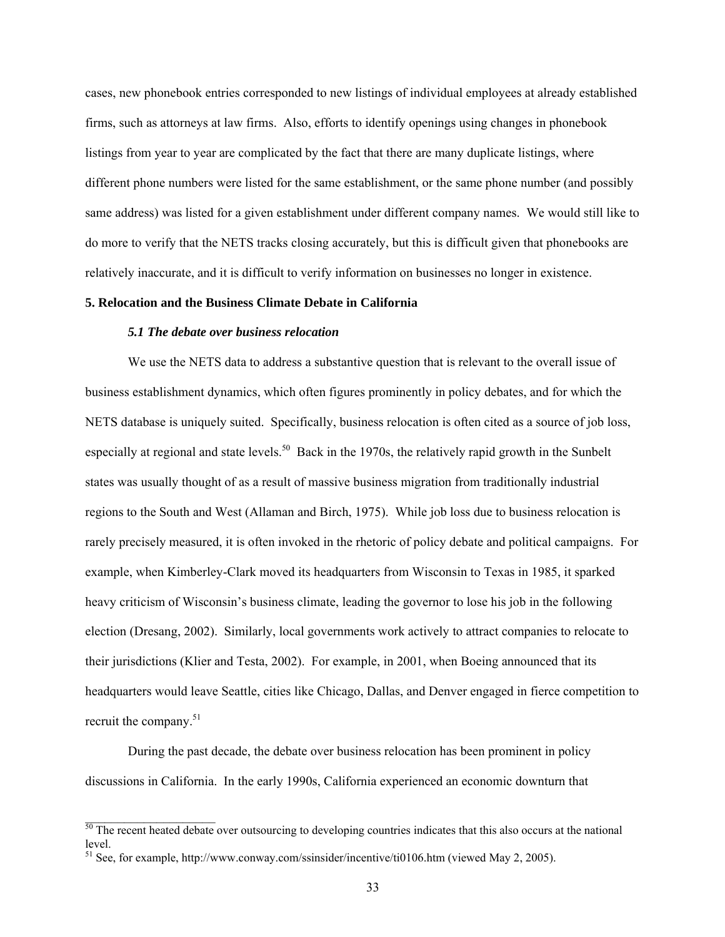cases, new phonebook entries corresponded to new listings of individual employees at already established firms, such as attorneys at law firms. Also, efforts to identify openings using changes in phonebook listings from year to year are complicated by the fact that there are many duplicate listings, where different phone numbers were listed for the same establishment, or the same phone number (and possibly same address) was listed for a given establishment under different company names. We would still like to do more to verify that the NETS tracks closing accurately, but this is difficult given that phonebooks are relatively inaccurate, and it is difficult to verify information on businesses no longer in existence.

## **5. Relocation and the Business Climate Debate in California**

# *5.1 The debate over business relocation*

We use the NETS data to address a substantive question that is relevant to the overall issue of business establishment dynamics, which often figures prominently in policy debates, and for which the NETS database is uniquely suited. Specifically, business relocation is often cited as a source of job loss, especially at regional and state levels.<sup>50</sup> Back in the 1970s, the relatively rapid growth in the Sunbelt states was usually thought of as a result of massive business migration from traditionally industrial regions to the South and West (Allaman and Birch, 1975). While job loss due to business relocation is rarely precisely measured, it is often invoked in the rhetoric of policy debate and political campaigns. For example, when Kimberley-Clark moved its headquarters from Wisconsin to Texas in 1985, it sparked heavy criticism of Wisconsin's business climate, leading the governor to lose his job in the following election (Dresang, 2002). Similarly, local governments work actively to attract companies to relocate to their jurisdictions (Klier and Testa, 2002). For example, in 2001, when Boeing announced that its headquarters would leave Seattle, cities like Chicago, Dallas, and Denver engaged in fierce competition to recruit the company. $51$ 

During the past decade, the debate over business relocation has been prominent in policy discussions in California. In the early 1990s, California experienced an economic downturn that

<span id="page-33-0"></span> $50$  The recent heated debate over outsourcing to developing countries indicates that this also occurs at the national level.

<span id="page-33-1"></span><sup>51</sup> See, for example, http://www.conway.com/ssinsider/incentive/ti0106.htm (viewed May 2, 2005).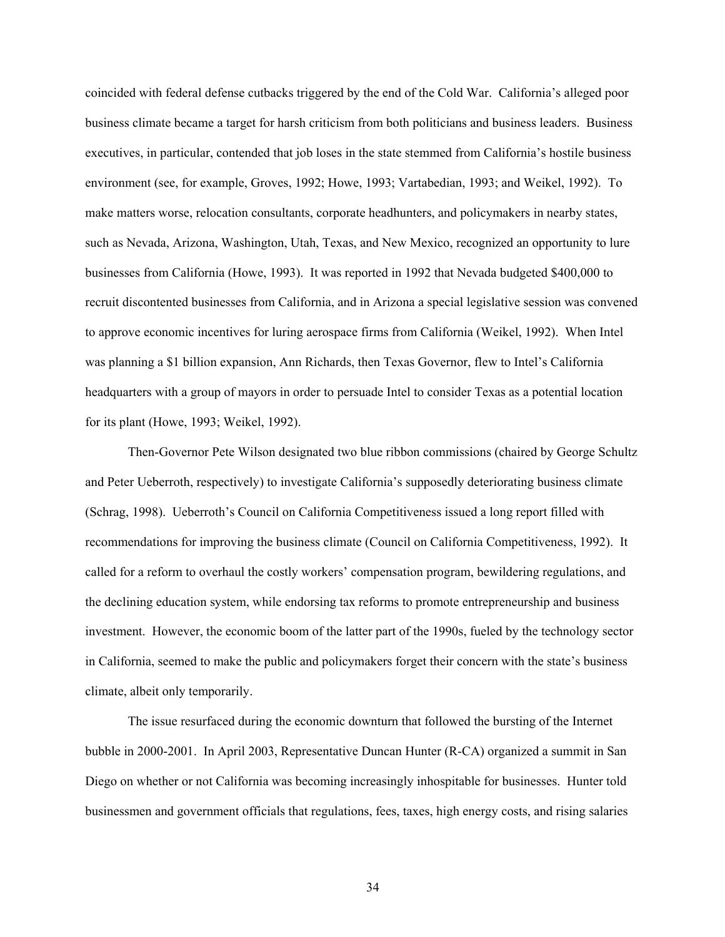coincided with federal defense cutbacks triggered by the end of the Cold War. California's alleged poor business climate became a target for harsh criticism from both politicians and business leaders. Business executives, in particular, contended that job loses in the state stemmed from California's hostile business environment (see, for example, Groves, 1992; Howe, 1993; Vartabedian, 1993; and Weikel, 1992). To make matters worse, relocation consultants, corporate headhunters, and policymakers in nearby states, such as Nevada, Arizona, Washington, Utah, Texas, and New Mexico, recognized an opportunity to lure businesses from California (Howe, 1993). It was reported in 1992 that Nevada budgeted \$400,000 to recruit discontented businesses from California, and in Arizona a special legislative session was convened to approve economic incentives for luring aerospace firms from California (Weikel, 1992). When Intel was planning a \$1 billion expansion, Ann Richards, then Texas Governor, flew to Intel's California headquarters with a group of mayors in order to persuade Intel to consider Texas as a potential location for its plant (Howe, 1993; Weikel, 1992).

Then-Governor Pete Wilson designated two blue ribbon commissions (chaired by George Schultz and Peter Ueberroth, respectively) to investigate California's supposedly deteriorating business climate (Schrag, 1998). Ueberroth's Council on California Competitiveness issued a long report filled with recommendations for improving the business climate (Council on California Competitiveness, 1992). It called for a reform to overhaul the costly workers' compensation program, bewildering regulations, and the declining education system, while endorsing tax reforms to promote entrepreneurship and business investment. However, the economic boom of the latter part of the 1990s, fueled by the technology sector in California, seemed to make the public and policymakers forget their concern with the state's business climate, albeit only temporarily.

The issue resurfaced during the economic downturn that followed the bursting of the Internet bubble in 2000-2001. In April 2003, Representative Duncan Hunter (R-CA) organized a summit in San Diego on whether or not California was becoming increasingly inhospitable for businesses. Hunter told businessmen and government officials that regulations, fees, taxes, high energy costs, and rising salaries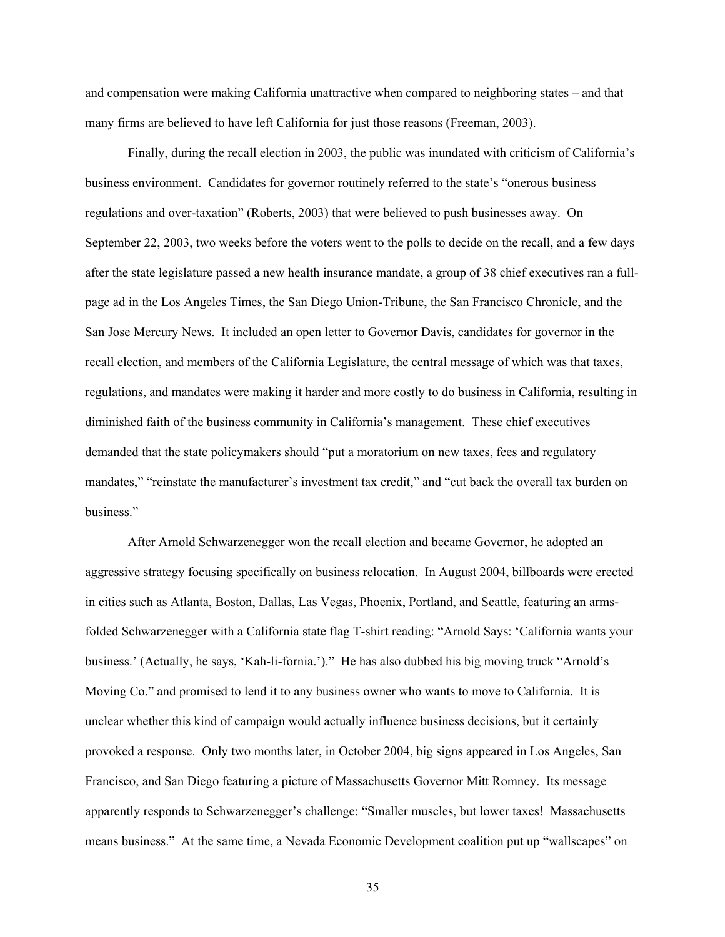and compensation were making California unattractive when compared to neighboring states – and that many firms are believed to have left California for just those reasons (Freeman, 2003).

Finally, during the recall election in 2003, the public was inundated with criticism of California's business environment. Candidates for governor routinely referred to the state's "onerous business regulations and over-taxation" (Roberts, 2003) that were believed to push businesses away. On September 22, 2003, two weeks before the voters went to the polls to decide on the recall, and a few days after the state legislature passed a new health insurance mandate, a group of 38 chief executives ran a fullpage ad in the Los Angeles Times, the San Diego Union-Tribune, the San Francisco Chronicle, and the San Jose Mercury News. It included an open letter to Governor Davis, candidates for governor in the recall election, and members of the California Legislature, the central message of which was that taxes, regulations, and mandates were making it harder and more costly to do business in California, resulting in diminished faith of the business community in California's management. These chief executives demanded that the state policymakers should "put a moratorium on new taxes, fees and regulatory mandates," "reinstate the manufacturer's investment tax credit," and "cut back the overall tax burden on business."

After Arnold Schwarzenegger won the recall election and became Governor, he adopted an aggressive strategy focusing specifically on business relocation. In August 2004, billboards were erected in cities such as Atlanta, Boston, Dallas, Las Vegas, Phoenix, Portland, and Seattle, featuring an armsfolded Schwarzenegger with a California state flag T-shirt reading: "Arnold Says: 'California wants your business.' (Actually, he says, 'Kah-li-fornia.')." He has also dubbed his big moving truck "Arnold's Moving Co." and promised to lend it to any business owner who wants to move to California. It is unclear whether this kind of campaign would actually influence business decisions, but it certainly provoked a response. Only two months later, in October 2004, big signs appeared in Los Angeles, San Francisco, and San Diego featuring a picture of Massachusetts Governor Mitt Romney. Its message apparently responds to Schwarzenegger's challenge: "Smaller muscles, but lower taxes! Massachusetts means business." At the same time, a Nevada Economic Development coalition put up "wallscapes" on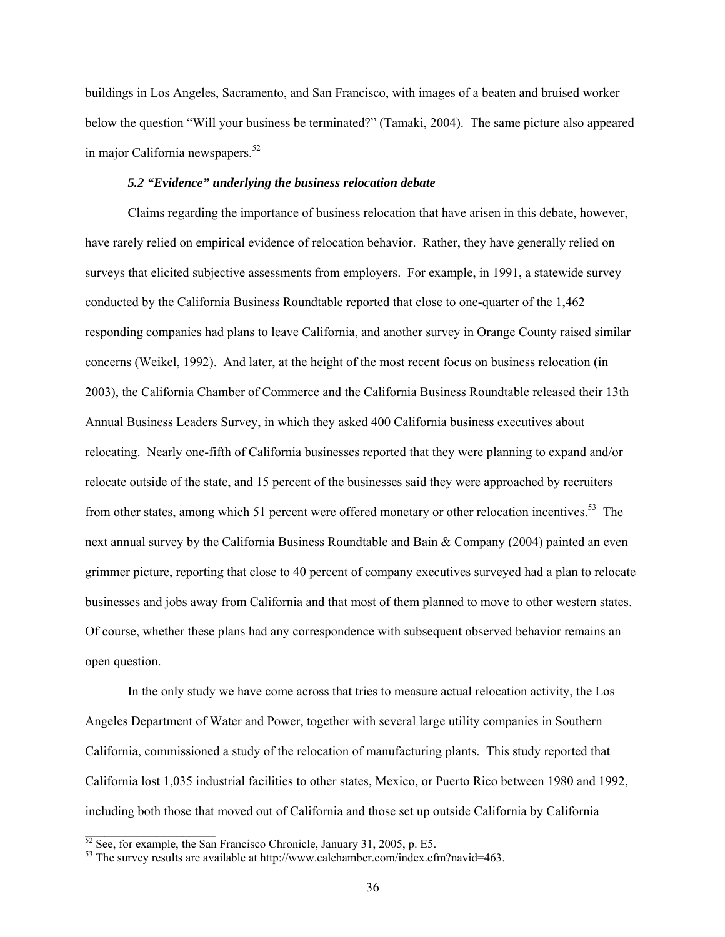buildings in Los Angeles, Sacramento, and San Francisco, with images of a beaten and bruised worker below the question "Will your business be terminated?" (Tamaki, 2004). The same picture also appeared in major California newspapers.<sup>52</sup>

## *5.2 "Evidence" underlying the business relocation debate*

Claims regarding the importance of business relocation that have arisen in this debate, however, have rarely relied on empirical evidence of relocation behavior. Rather, they have generally relied on surveys that elicited subjective assessments from employers. For example, in 1991, a statewide survey conducted by the California Business Roundtable reported that close to one-quarter of the 1,462 responding companies had plans to leave California, and another survey in Orange County raised similar concerns (Weikel, 1992). And later, at the height of the most recent focus on business relocation (in 2003), the California Chamber of Commerce and the California Business Roundtable released their 13th Annual Business Leaders Survey, in which they asked 400 California business executives about relocating. Nearly one-fifth of California businesses reported that they were planning to expand and/or relocate outside of the state, and 15 percent of the businesses said they were approached by recruiters from other states, among which 51 percent were offered monetary or other relocation incentives.<sup>53</sup> The next annual survey by the California Business Roundtable and Bain & Company (2004) painted an even grimmer picture, reporting that close to 40 percent of company executives surveyed had a plan to relocate businesses and jobs away from California and that most of them planned to move to other western states. Of course, whether these plans had any correspondence with subsequent observed behavior remains an open question.

In the only study we have come across that tries to measure actual relocation activity, the Los Angeles Department of Water and Power, together with several large utility companies in Southern California, commissioned a study of the relocation of manufacturing plants. This study reported that California lost 1,035 industrial facilities to other states, Mexico, or Puerto Rico between 1980 and 1992, including both those that moved out of California and those set up outside California by California

 $\mathcal{L}_\text{max}$  , where  $\mathcal{L}_\text{max}$ 

<span id="page-36-1"></span><span id="page-36-0"></span>

<sup>&</sup>lt;sup>52</sup> See, for example, the San Francisco Chronicle, January 31, 2005, p. E5.<br><sup>53</sup> The survey results are available at http://www.calchamber.com/index.cfm?navid=463.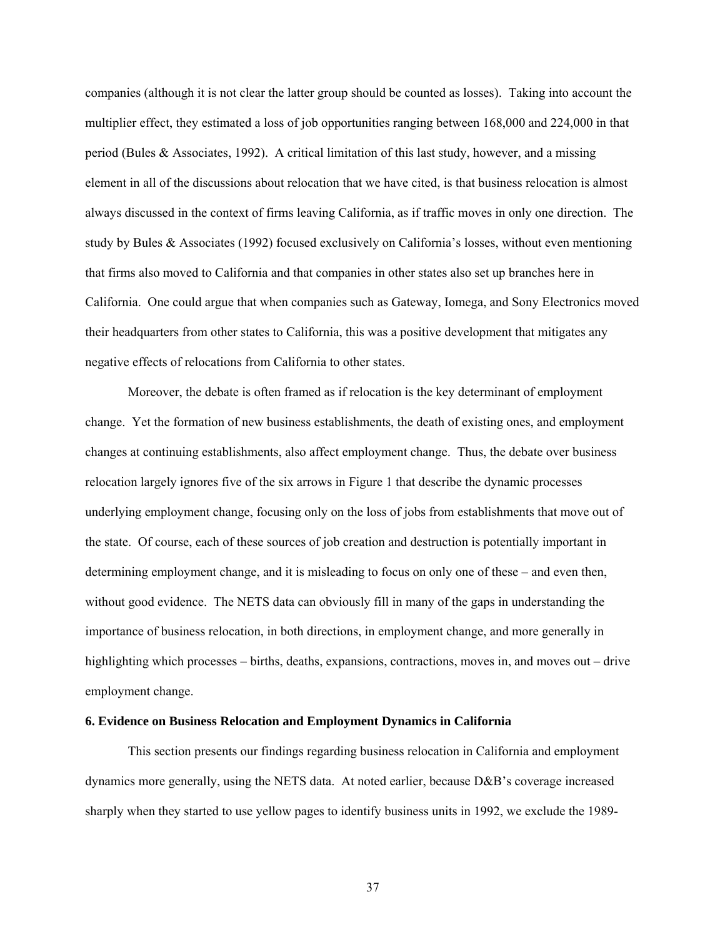companies (although it is not clear the latter group should be counted as losses). Taking into account the multiplier effect, they estimated a loss of job opportunities ranging between 168,000 and 224,000 in that period (Bules & Associates, 1992). A critical limitation of this last study, however, and a missing element in all of the discussions about relocation that we have cited, is that business relocation is almost always discussed in the context of firms leaving California, as if traffic moves in only one direction. The study by Bules & Associates (1992) focused exclusively on California's losses, without even mentioning that firms also moved to California and that companies in other states also set up branches here in California. One could argue that when companies such as Gateway, Iomega, and Sony Electronics moved their headquarters from other states to California, this was a positive development that mitigates any negative effects of relocations from California to other states.

Moreover, the debate is often framed as if relocation is the key determinant of employment change. Yet the formation of new business establishments, the death of existing ones, and employment changes at continuing establishments, also affect employment change. Thus, the debate over business relocation largely ignores five of the six arrows in Figure 1 that describe the dynamic processes underlying employment change, focusing only on the loss of jobs from establishments that move out of the state. Of course, each of these sources of job creation and destruction is potentially important in determining employment change, and it is misleading to focus on only one of these – and even then, without good evidence. The NETS data can obviously fill in many of the gaps in understanding the importance of business relocation, in both directions, in employment change, and more generally in highlighting which processes – births, deaths, expansions, contractions, moves in, and moves out – drive employment change.

### **6. Evidence on Business Relocation and Employment Dynamics in California**

This section presents our findings regarding business relocation in California and employment dynamics more generally, using the NETS data. At noted earlier, because D&B's coverage increased sharply when they started to use yellow pages to identify business units in 1992, we exclude the 1989-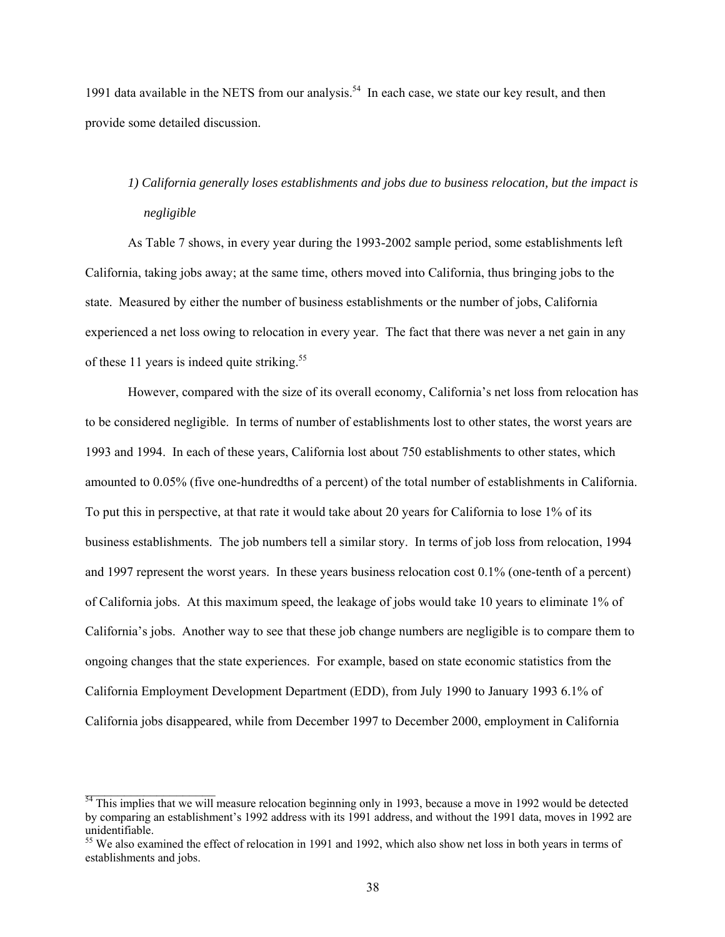1991 data available in the NETS from our analysis.<sup>54</sup> In each case, we state our key result, and then provide some detailed discussion.

# *1) California generally loses establishments and jobs due to business relocation, but the impact is negligible*

As Table 7 shows, in every year during the 1993-2002 sample period, some establishments left California, taking jobs away; at the same time, others moved into California, thus bringing jobs to the state. Measured by either the number of business establishments or the number of jobs, California experienced a net loss owing to relocation in every year. The fact that there was never a net gain in any of these 11 years is indeed quite striking.<sup>55</sup>

However, compared with the size of its overall economy, California's net loss from relocation has to be considered negligible. In terms of number of establishments lost to other states, the worst years are 1993 and 1994. In each of these years, California lost about 750 establishments to other states, which amounted to 0.05% (five one-hundredths of a percent) of the total number of establishments in California. To put this in perspective, at that rate it would take about 20 years for California to lose 1% of its business establishments. The job numbers tell a similar story. In terms of job loss from relocation, 1994 and 1997 represent the worst years. In these years business relocation cost 0.1% (one-tenth of a percent) of California jobs. At this maximum speed, the leakage of jobs would take 10 years to eliminate 1% of California's jobs. Another way to see that these job change numbers are negligible is to compare them to ongoing changes that the state experiences. For example, based on state economic statistics from the California Employment Development Department (EDD), from July 1990 to January 1993 6.1% of California jobs disappeared, while from December 1997 to December 2000, employment in California

 $\_$ 

<span id="page-38-0"></span> $54$  This implies that we will measure relocation beginning only in 1993, because a move in 1992 would be detected by comparing an establishment's 1992 address with its 1991 address, and without the 1991 data, moves in 1992 are unidentifiable.

<span id="page-38-1"></span><sup>&</sup>lt;sup>55</sup> We also examined the effect of relocation in 1991 and 1992, which also show net loss in both years in terms of establishments and jobs.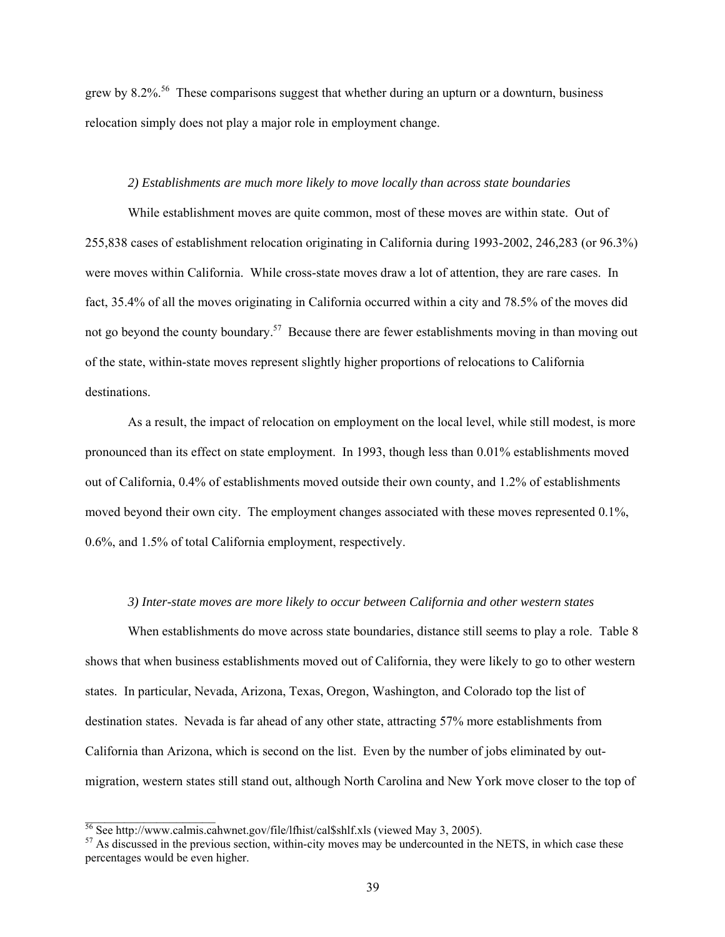grew by  $8.2\%$ <sup>56</sup>. These comparisons suggest that whether during an upturn or a downturn, business relocation simply does not play a major role in employment change.

## *2) Establishments are much more likely to move locally than across state boundaries*

While establishment moves are quite common, most of these moves are within state. Out of 255,838 cases of establishment relocation originating in California during 1993-2002, 246,283 (or 96.3%) were moves within California. While cross-state moves draw a lot of attention, they are rare cases. In fact, 35.4% of all the moves originating in California occurred within a city and 78.5% of the moves did not go beyond the county boundary.<sup>57</sup> Because there are fewer establishments moving in than moving out of the state, within-state moves represent slightly higher proportions of relocations to California destinations.

As a result, the impact of relocation on employment on the local level, while still modest, is more pronounced than its effect on state employment. In 1993, though less than 0.01% establishments moved out of California, 0.4% of establishments moved outside their own county, and 1.2% of establishments moved beyond their own city. The employment changes associated with these moves represented 0.1%, 0.6%, and 1.5% of total California employment, respectively.

## *3) Inter-state moves are more likely to occur between California and other western states*

When establishments do move across state boundaries, distance still seems to play a role. Table 8 shows that when business establishments moved out of California, they were likely to go to other western states. In particular, Nevada, Arizona, Texas, Oregon, Washington, and Colorado top the list of destination states. Nevada is far ahead of any other state, attracting 57% more establishments from California than Arizona, which is second on the list. Even by the number of jobs eliminated by outmigration, western states still stand out, although North Carolina and New York move closer to the top of

<span id="page-39-0"></span> $\frac{56}{36}$  See http://www.calmis.cahwnet.gov/file/lfhist/cal\$shlf.xls (viewed May 3, 2005).

<span id="page-39-1"></span> $57$  As discussed in the previous section, within-city moves may be undercounted in the NETS, in which case these percentages would be even higher.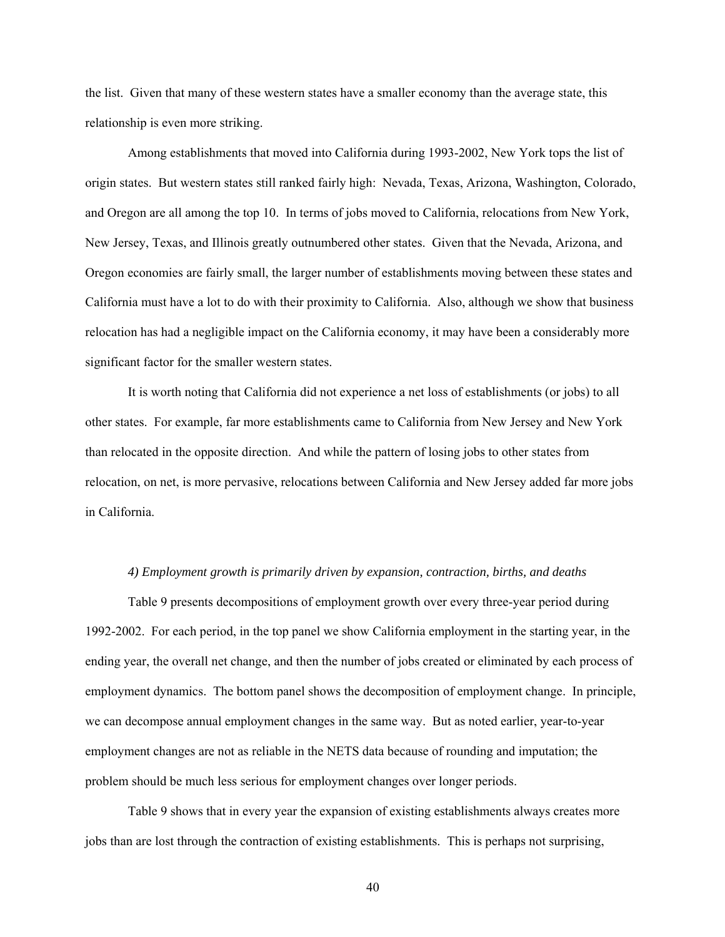the list. Given that many of these western states have a smaller economy than the average state, this relationship is even more striking.

Among establishments that moved into California during 1993-2002, New York tops the list of origin states. But western states still ranked fairly high: Nevada, Texas, Arizona, Washington, Colorado, and Oregon are all among the top 10. In terms of jobs moved to California, relocations from New York, New Jersey, Texas, and Illinois greatly outnumbered other states. Given that the Nevada, Arizona, and Oregon economies are fairly small, the larger number of establishments moving between these states and California must have a lot to do with their proximity to California. Also, although we show that business relocation has had a negligible impact on the California economy, it may have been a considerably more significant factor for the smaller western states.

It is worth noting that California did not experience a net loss of establishments (or jobs) to all other states. For example, far more establishments came to California from New Jersey and New York than relocated in the opposite direction. And while the pattern of losing jobs to other states from relocation, on net, is more pervasive, relocations between California and New Jersey added far more jobs in California.

#### *4) Employment growth is primarily driven by expansion, contraction, births, and deaths*

Table 9 presents decompositions of employment growth over every three-year period during 1992-2002. For each period, in the top panel we show California employment in the starting year, in the ending year, the overall net change, and then the number of jobs created or eliminated by each process of employment dynamics. The bottom panel shows the decomposition of employment change. In principle, we can decompose annual employment changes in the same way. But as noted earlier, year-to-year employment changes are not as reliable in the NETS data because of rounding and imputation; the problem should be much less serious for employment changes over longer periods.

Table 9 shows that in every year the expansion of existing establishments always creates more jobs than are lost through the contraction of existing establishments. This is perhaps not surprising,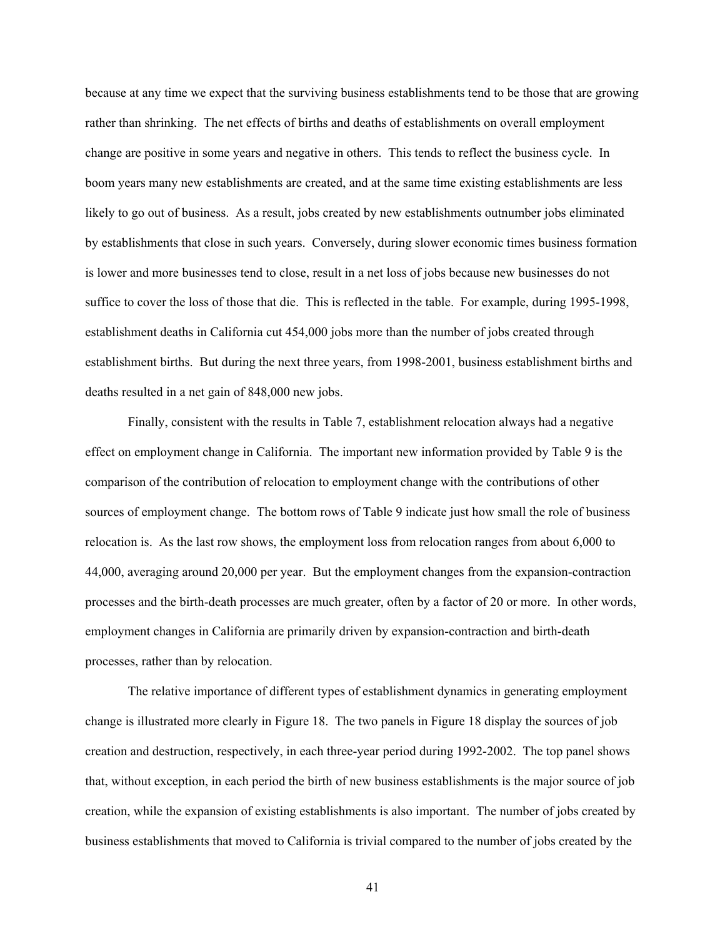because at any time we expect that the surviving business establishments tend to be those that are growing rather than shrinking. The net effects of births and deaths of establishments on overall employment change are positive in some years and negative in others. This tends to reflect the business cycle. In boom years many new establishments are created, and at the same time existing establishments are less likely to go out of business. As a result, jobs created by new establishments outnumber jobs eliminated by establishments that close in such years. Conversely, during slower economic times business formation is lower and more businesses tend to close, result in a net loss of jobs because new businesses do not suffice to cover the loss of those that die. This is reflected in the table. For example, during 1995-1998, establishment deaths in California cut 454,000 jobs more than the number of jobs created through establishment births. But during the next three years, from 1998-2001, business establishment births and deaths resulted in a net gain of 848,000 new jobs.

Finally, consistent with the results in Table 7, establishment relocation always had a negative effect on employment change in California. The important new information provided by Table 9 is the comparison of the contribution of relocation to employment change with the contributions of other sources of employment change. The bottom rows of Table 9 indicate just how small the role of business relocation is. As the last row shows, the employment loss from relocation ranges from about 6,000 to 44,000, averaging around 20,000 per year. But the employment changes from the expansion-contraction processes and the birth-death processes are much greater, often by a factor of 20 or more. In other words, employment changes in California are primarily driven by expansion-contraction and birth-death processes, rather than by relocation.

The relative importance of different types of establishment dynamics in generating employment change is illustrated more clearly in Figure 18. The two panels in Figure 18 display the sources of job creation and destruction, respectively, in each three-year period during 1992-2002. The top panel shows that, without exception, in each period the birth of new business establishments is the major source of job creation, while the expansion of existing establishments is also important. The number of jobs created by business establishments that moved to California is trivial compared to the number of jobs created by the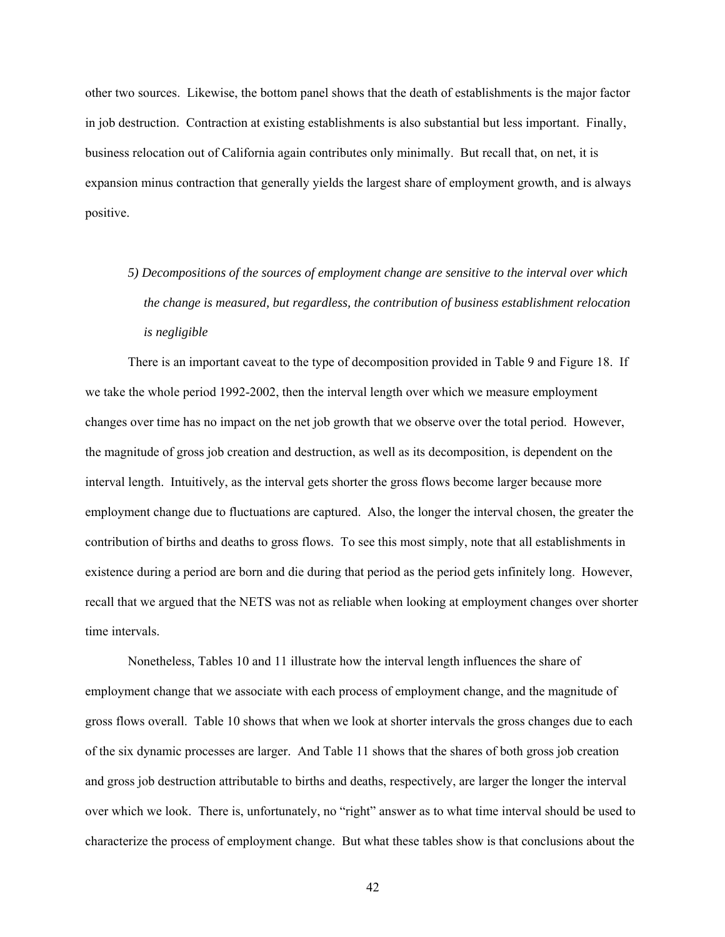other two sources. Likewise, the bottom panel shows that the death of establishments is the major factor in job destruction. Contraction at existing establishments is also substantial but less important. Finally, business relocation out of California again contributes only minimally. But recall that, on net, it is expansion minus contraction that generally yields the largest share of employment growth, and is always positive.

*5) Decompositions of the sources of employment change are sensitive to the interval over which the change is measured, but regardless, the contribution of business establishment relocation is negligible* 

There is an important caveat to the type of decomposition provided in Table 9 and Figure 18. If we take the whole period 1992-2002, then the interval length over which we measure employment changes over time has no impact on the net job growth that we observe over the total period. However, the magnitude of gross job creation and destruction, as well as its decomposition, is dependent on the interval length. Intuitively, as the interval gets shorter the gross flows become larger because more employment change due to fluctuations are captured. Also, the longer the interval chosen, the greater the contribution of births and deaths to gross flows. To see this most simply, note that all establishments in existence during a period are born and die during that period as the period gets infinitely long. However, recall that we argued that the NETS was not as reliable when looking at employment changes over shorter time intervals.

Nonetheless, Tables 10 and 11 illustrate how the interval length influences the share of employment change that we associate with each process of employment change, and the magnitude of gross flows overall. Table 10 shows that when we look at shorter intervals the gross changes due to each of the six dynamic processes are larger. And Table 11 shows that the shares of both gross job creation and gross job destruction attributable to births and deaths, respectively, are larger the longer the interval over which we look. There is, unfortunately, no "right" answer as to what time interval should be used to characterize the process of employment change. But what these tables show is that conclusions about the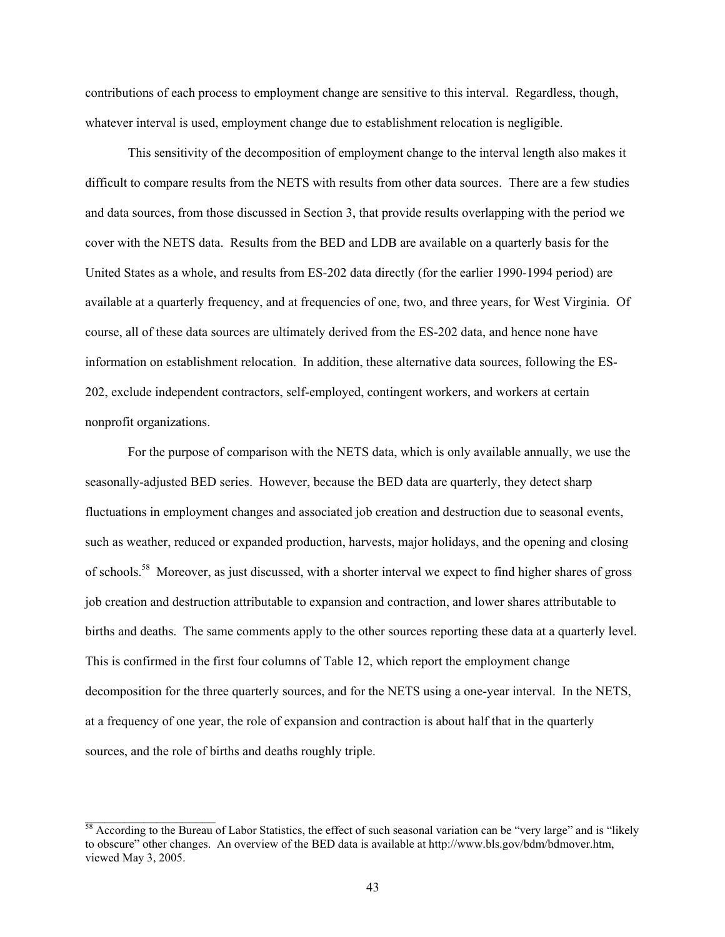contributions of each process to employment change are sensitive to this interval. Regardless, though, whatever interval is used, employment change due to establishment relocation is negligible.

This sensitivity of the decomposition of employment change to the interval length also makes it difficult to compare results from the NETS with results from other data sources. There are a few studies and data sources, from those discussed in Section 3, that provide results overlapping with the period we cover with the NETS data. Results from the BED and LDB are available on a quarterly basis for the United States as a whole, and results from ES-202 data directly (for the earlier 1990-1994 period) are available at a quarterly frequency, and at frequencies of one, two, and three years, for West Virginia. Of course, all of these data sources are ultimately derived from the ES-202 data, and hence none have information on establishment relocation. In addition, these alternative data sources, following the ES-202, exclude independent contractors, self-employed, contingent workers, and workers at certain nonprofit organizations.

For the purpose of comparison with the NETS data, which is only available annually, we use the seasonally-adjusted BED series. However, because the BED data are quarterly, they detect sharp fluctuations in employment changes and associated job creation and destruction due to seasonal events, such as weather, reduced or expanded production, harvests, major holidays, and the opening and closing of schools.[58](#page-43-0) Moreover, as just discussed, with a shorter interval we expect to find higher shares of gross job creation and destruction attributable to expansion and contraction, and lower shares attributable to births and deaths. The same comments apply to the other sources reporting these data at a quarterly level. This is confirmed in the first four columns of Table 12, which report the employment change decomposition for the three quarterly sources, and for the NETS using a one-year interval. In the NETS, at a frequency of one year, the role of expansion and contraction is about half that in the quarterly sources, and the role of births and deaths roughly triple.

 $\mathcal{L}_\text{max}$ 

<span id="page-43-0"></span> $\frac{58}{18}$  According to the Bureau of Labor Statistics, the effect of such seasonal variation can be "very large" and is "likely to obscure" other changes. An overview of the BED data is available at http://www.bls.gov/bdm/bdmover.htm, viewed May 3, 2005.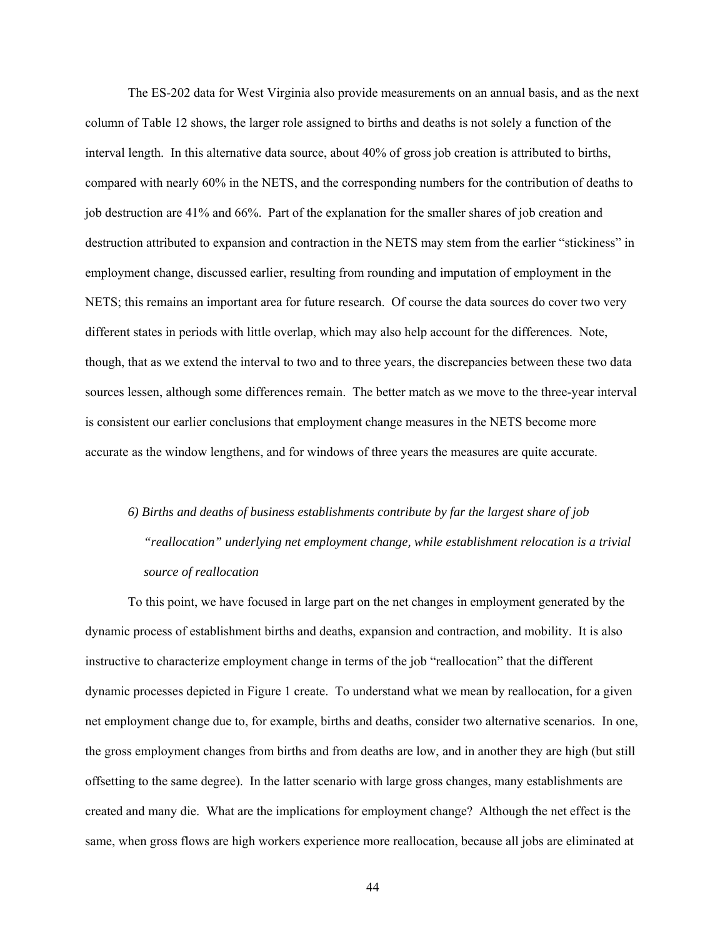The ES-202 data for West Virginia also provide measurements on an annual basis, and as the next column of Table 12 shows, the larger role assigned to births and deaths is not solely a function of the interval length. In this alternative data source, about 40% of gross job creation is attributed to births, compared with nearly 60% in the NETS, and the corresponding numbers for the contribution of deaths to job destruction are 41% and 66%. Part of the explanation for the smaller shares of job creation and destruction attributed to expansion and contraction in the NETS may stem from the earlier "stickiness" in employment change, discussed earlier, resulting from rounding and imputation of employment in the NETS; this remains an important area for future research. Of course the data sources do cover two very different states in periods with little overlap, which may also help account for the differences. Note, though, that as we extend the interval to two and to three years, the discrepancies between these two data sources lessen, although some differences remain. The better match as we move to the three-year interval is consistent our earlier conclusions that employment change measures in the NETS become more accurate as the window lengthens, and for windows of three years the measures are quite accurate.

# *6) Births and deaths of business establishments contribute by far the largest share of job "reallocation" underlying net employment change, while establishment relocation is a trivial source of reallocation*

To this point, we have focused in large part on the net changes in employment generated by the dynamic process of establishment births and deaths, expansion and contraction, and mobility. It is also instructive to characterize employment change in terms of the job "reallocation" that the different dynamic processes depicted in Figure 1 create. To understand what we mean by reallocation, for a given net employment change due to, for example, births and deaths, consider two alternative scenarios. In one, the gross employment changes from births and from deaths are low, and in another they are high (but still offsetting to the same degree). In the latter scenario with large gross changes, many establishments are created and many die. What are the implications for employment change? Although the net effect is the same, when gross flows are high workers experience more reallocation, because all jobs are eliminated at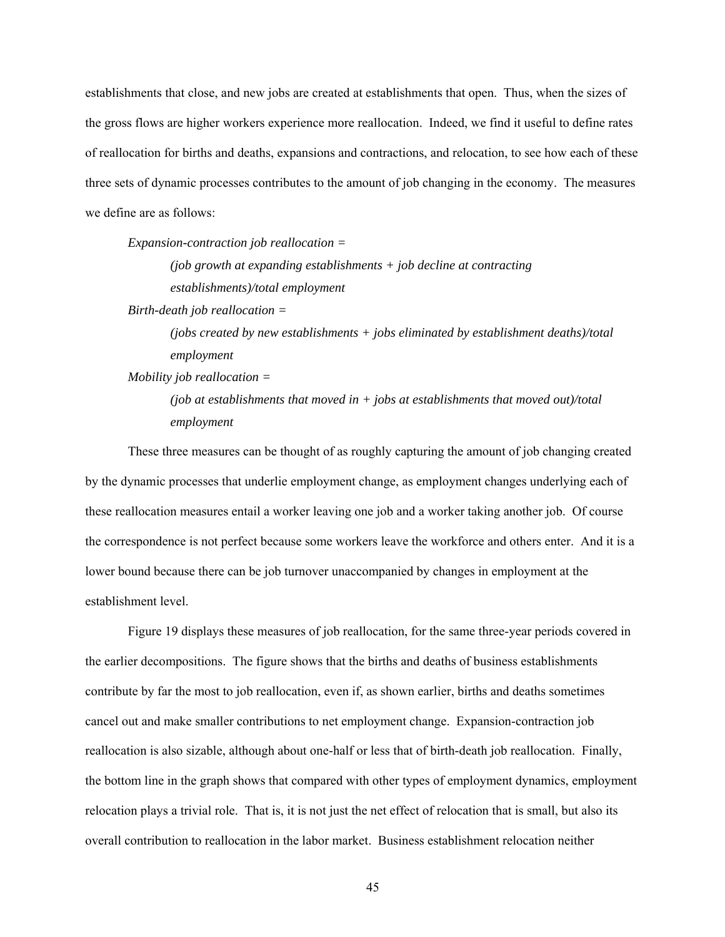establishments that close, and new jobs are created at establishments that open. Thus, when the sizes of the gross flows are higher workers experience more reallocation. Indeed, we find it useful to define rates of reallocation for births and deaths, expansions and contractions, and relocation, to see how each of these three sets of dynamic processes contributes to the amount of job changing in the economy. The measures we define are as follows:

*Expansion-contraction job reallocation =* 

*(job growth at expanding establishments + job decline at contracting establishments)/total employment* 

*Birth-death job reallocation =* 

*(jobs created by new establishments + jobs eliminated by establishment deaths)/total employment* 

*Mobility job reallocation =* 

*(job at establishments that moved in + jobs at establishments that moved out)/total employment* 

These three measures can be thought of as roughly capturing the amount of job changing created by the dynamic processes that underlie employment change, as employment changes underlying each of these reallocation measures entail a worker leaving one job and a worker taking another job. Of course the correspondence is not perfect because some workers leave the workforce and others enter. And it is a lower bound because there can be job turnover unaccompanied by changes in employment at the establishment level.

Figure 19 displays these measures of job reallocation, for the same three-year periods covered in the earlier decompositions. The figure shows that the births and deaths of business establishments contribute by far the most to job reallocation, even if, as shown earlier, births and deaths sometimes cancel out and make smaller contributions to net employment change. Expansion-contraction job reallocation is also sizable, although about one-half or less that of birth-death job reallocation. Finally, the bottom line in the graph shows that compared with other types of employment dynamics, employment relocation plays a trivial role. That is, it is not just the net effect of relocation that is small, but also its overall contribution to reallocation in the labor market. Business establishment relocation neither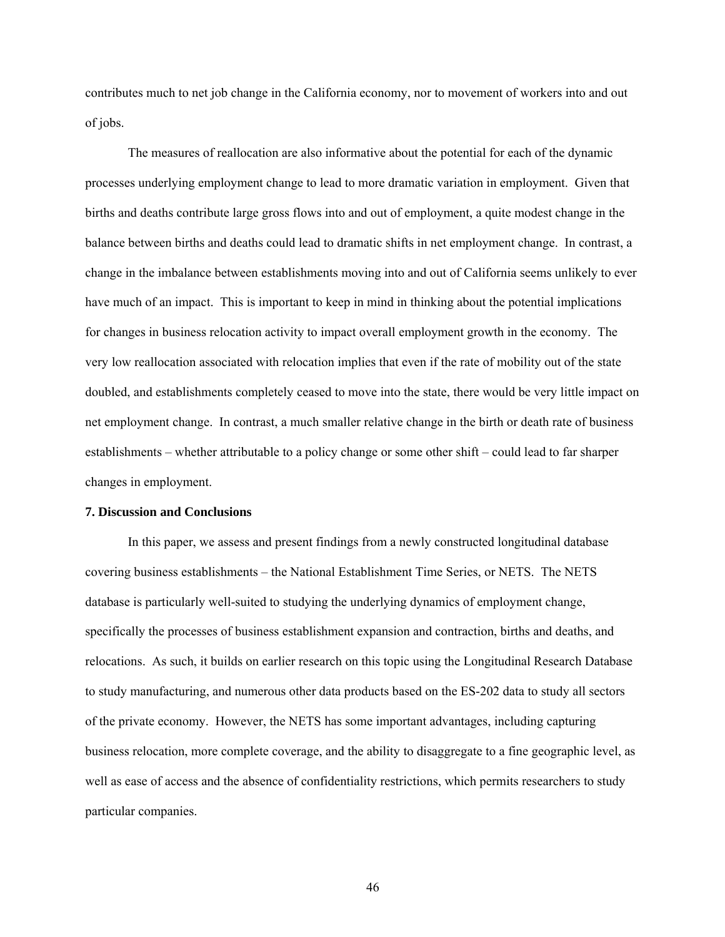contributes much to net job change in the California economy, nor to movement of workers into and out of jobs.

The measures of reallocation are also informative about the potential for each of the dynamic processes underlying employment change to lead to more dramatic variation in employment. Given that births and deaths contribute large gross flows into and out of employment, a quite modest change in the balance between births and deaths could lead to dramatic shifts in net employment change. In contrast, a change in the imbalance between establishments moving into and out of California seems unlikely to ever have much of an impact. This is important to keep in mind in thinking about the potential implications for changes in business relocation activity to impact overall employment growth in the economy. The very low reallocation associated with relocation implies that even if the rate of mobility out of the state doubled, and establishments completely ceased to move into the state, there would be very little impact on net employment change. In contrast, a much smaller relative change in the birth or death rate of business establishments – whether attributable to a policy change or some other shift – could lead to far sharper changes in employment.

#### **7. Discussion and Conclusions**

In this paper, we assess and present findings from a newly constructed longitudinal database covering business establishments – the National Establishment Time Series, or NETS. The NETS database is particularly well-suited to studying the underlying dynamics of employment change, specifically the processes of business establishment expansion and contraction, births and deaths, and relocations. As such, it builds on earlier research on this topic using the Longitudinal Research Database to study manufacturing, and numerous other data products based on the ES-202 data to study all sectors of the private economy. However, the NETS has some important advantages, including capturing business relocation, more complete coverage, and the ability to disaggregate to a fine geographic level, as well as ease of access and the absence of confidentiality restrictions, which permits researchers to study particular companies.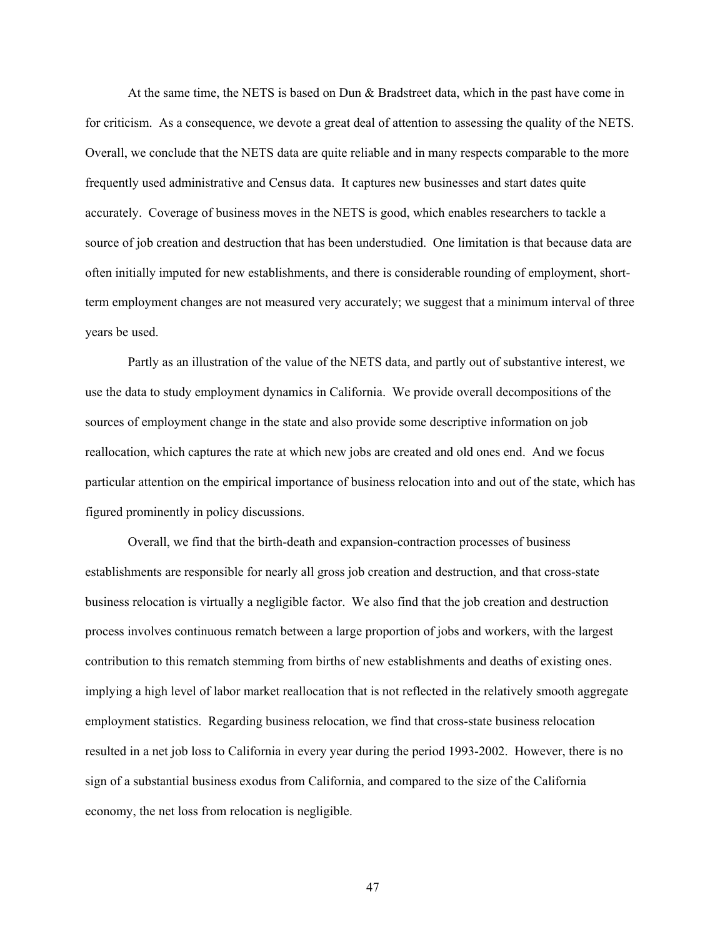At the same time, the NETS is based on Dun & Bradstreet data, which in the past have come in for criticism. As a consequence, we devote a great deal of attention to assessing the quality of the NETS. Overall, we conclude that the NETS data are quite reliable and in many respects comparable to the more frequently used administrative and Census data. It captures new businesses and start dates quite accurately. Coverage of business moves in the NETS is good, which enables researchers to tackle a source of job creation and destruction that has been understudied. One limitation is that because data are often initially imputed for new establishments, and there is considerable rounding of employment, shortterm employment changes are not measured very accurately; we suggest that a minimum interval of three years be used.

Partly as an illustration of the value of the NETS data, and partly out of substantive interest, we use the data to study employment dynamics in California. We provide overall decompositions of the sources of employment change in the state and also provide some descriptive information on job reallocation, which captures the rate at which new jobs are created and old ones end. And we focus particular attention on the empirical importance of business relocation into and out of the state, which has figured prominently in policy discussions.

Overall, we find that the birth-death and expansion-contraction processes of business establishments are responsible for nearly all gross job creation and destruction, and that cross-state business relocation is virtually a negligible factor. We also find that the job creation and destruction process involves continuous rematch between a large proportion of jobs and workers, with the largest contribution to this rematch stemming from births of new establishments and deaths of existing ones. implying a high level of labor market reallocation that is not reflected in the relatively smooth aggregate employment statistics. Regarding business relocation, we find that cross-state business relocation resulted in a net job loss to California in every year during the period 1993-2002. However, there is no sign of a substantial business exodus from California, and compared to the size of the California economy, the net loss from relocation is negligible.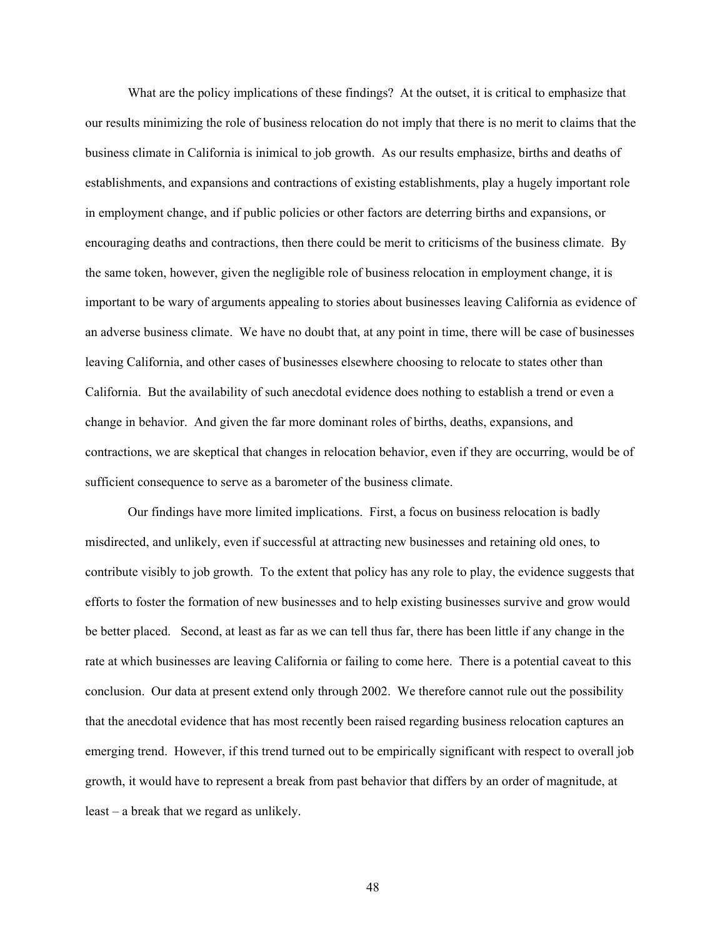What are the policy implications of these findings? At the outset, it is critical to emphasize that our results minimizing the role of business relocation do not imply that there is no merit to claims that the business climate in California is inimical to job growth. As our results emphasize, births and deaths of establishments, and expansions and contractions of existing establishments, play a hugely important role in employment change, and if public policies or other factors are deterring births and expansions, or encouraging deaths and contractions, then there could be merit to criticisms of the business climate. By the same token, however, given the negligible role of business relocation in employment change, it is important to be wary of arguments appealing to stories about businesses leaving California as evidence of an adverse business climate. We have no doubt that, at any point in time, there will be case of businesses leaving California, and other cases of businesses elsewhere choosing to relocate to states other than California. But the availability of such anecdotal evidence does nothing to establish a trend or even a change in behavior. And given the far more dominant roles of births, deaths, expansions, and contractions, we are skeptical that changes in relocation behavior, even if they are occurring, would be of sufficient consequence to serve as a barometer of the business climate.

Our findings have more limited implications. First, a focus on business relocation is badly misdirected, and unlikely, even if successful at attracting new businesses and retaining old ones, to contribute visibly to job growth. To the extent that policy has any role to play, the evidence suggests that efforts to foster the formation of new businesses and to help existing businesses survive and grow would be better placed. Second, at least as far as we can tell thus far, there has been little if any change in the rate at which businesses are leaving California or failing to come here. There is a potential caveat to this conclusion. Our data at present extend only through 2002. We therefore cannot rule out the possibility that the anecdotal evidence that has most recently been raised regarding business relocation captures an emerging trend. However, if this trend turned out to be empirically significant with respect to overall job growth, it would have to represent a break from past behavior that differs by an order of magnitude, at least – a break that we regard as unlikely.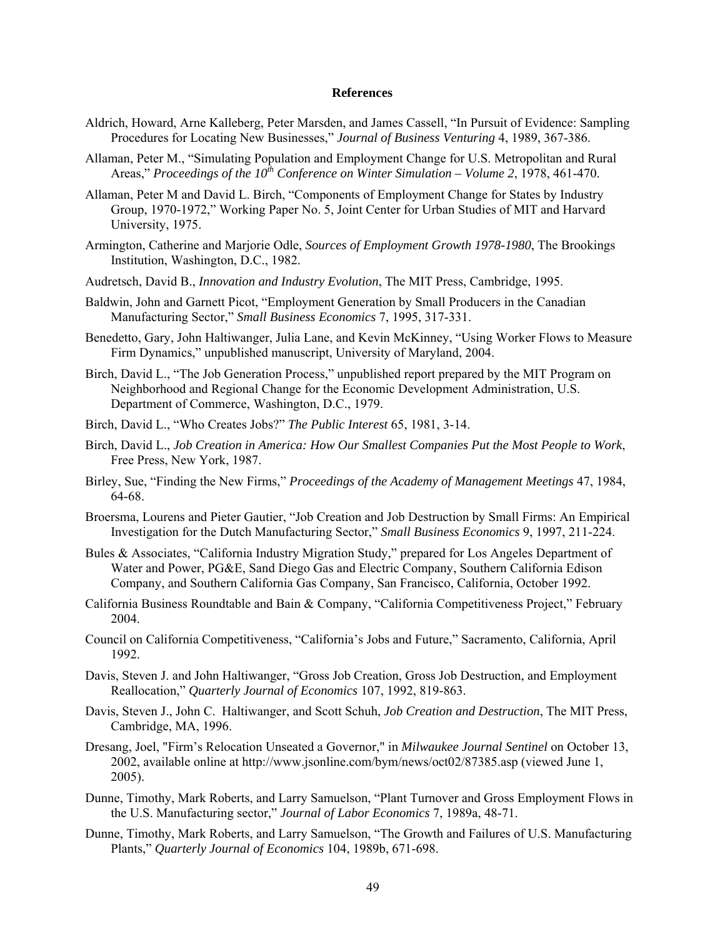### **References**

- Aldrich, Howard, Arne Kalleberg, Peter Marsden, and James Cassell, "In Pursuit of Evidence: Sampling Procedures for Locating New Businesses," *Journal of Business Venturing* 4, 1989, 367-386.
- Allaman, Peter M., "Simulating Population and Employment Change for U.S. Metropolitan and Rural Areas," *Proceedings of the 10<sup>th</sup> Conference on Winter Simulation – Volume 2, 1978, 461-470.*
- Allaman, Peter M and David L. Birch, "Components of Employment Change for States by Industry Group, 1970-1972," Working Paper No. 5, Joint Center for Urban Studies of MIT and Harvard University, 1975.
- Armington, Catherine and Marjorie Odle, *Sources of Employment Growth 1978-1980*, The Brookings Institution, Washington, D.C., 1982.
- Audretsch, David B., *Innovation and Industry Evolution*, The MIT Press, Cambridge, 1995.
- Baldwin, John and Garnett Picot, "Employment Generation by Small Producers in the Canadian Manufacturing Sector," *Small Business Economics* 7, 1995, 317-331.
- Benedetto, Gary, John Haltiwanger, Julia Lane, and Kevin McKinney, "Using Worker Flows to Measure Firm Dynamics," unpublished manuscript, University of Maryland, 2004.
- Birch, David L., "The Job Generation Process," unpublished report prepared by the MIT Program on Neighborhood and Regional Change for the Economic Development Administration, U.S. Department of Commerce, Washington, D.C., 1979.
- Birch, David L., "Who Creates Jobs?" *The Public Interest* 65, 1981, 3-14.
- Birch, David L., *Job Creation in America: How Our Smallest Companies Put the Most People to Work*, Free Press, New York, 1987.
- Birley, Sue, "Finding the New Firms," *Proceedings of the Academy of Management Meetings* 47, 1984, 64-68.
- Broersma, Lourens and Pieter Gautier, "Job Creation and Job Destruction by Small Firms: An Empirical Investigation for the Dutch Manufacturing Sector," *Small Business Economics* 9, 1997, 211-224.
- Bules & Associates, "California Industry Migration Study," prepared for Los Angeles Department of Water and Power, PG&E, Sand Diego Gas and Electric Company, Southern California Edison Company, and Southern California Gas Company, San Francisco, California, October 1992.
- California Business Roundtable and Bain & Company, "California Competitiveness Project," February 2004.
- Council on California Competitiveness, "California's Jobs and Future," Sacramento, California, April 1992.
- Davis, Steven J. and John Haltiwanger, "Gross Job Creation, Gross Job Destruction, and Employment Reallocation," *Quarterly Journal of Economics* 107, 1992, 819-863.
- Davis, Steven J., John C. Haltiwanger, and Scott Schuh, *Job Creation and Destruction*, The MIT Press, Cambridge, MA, 1996.
- Dresang, Joel, "Firm's Relocation Unseated a Governor," in *Milwaukee Journal Sentinel* on October 13, 2002, available online at<http://www.jsonline.com/bym/news/oct02/87385.asp>(viewed June 1, 2005).
- Dunne, Timothy, Mark Roberts, and Larry Samuelson, "Plant Turnover and Gross Employment Flows in the U.S. Manufacturing sector," *Journal of Labor Economics* 7, 1989a, 48-71.
- Dunne, Timothy, Mark Roberts, and Larry Samuelson, "The Growth and Failures of U.S. Manufacturing Plants," *Quarterly Journal of Economics* 104, 1989b, 671-698.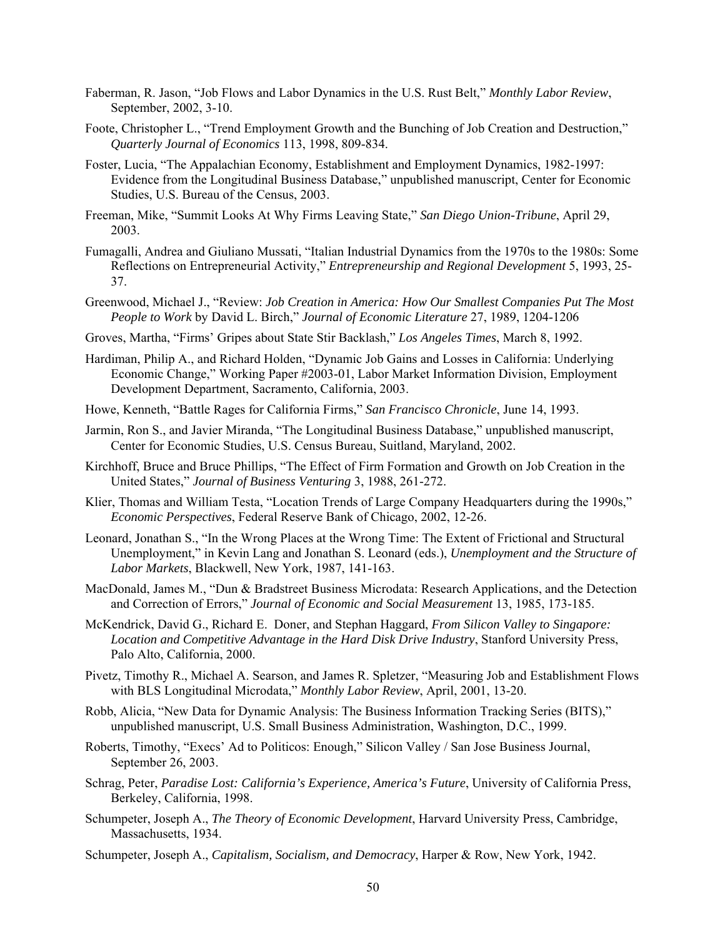- Faberman, R. Jason, "Job Flows and Labor Dynamics in the U.S. Rust Belt," *Monthly Labor Review*, September, 2002, 3-10.
- Foote, Christopher L., "Trend Employment Growth and the Bunching of Job Creation and Destruction," *Quarterly Journal of Economics* 113, 1998, 809-834.
- Foster, Lucia, "The Appalachian Economy, Establishment and Employment Dynamics, 1982-1997: Evidence from the Longitudinal Business Database," unpublished manuscript, Center for Economic Studies, U.S. Bureau of the Census, 2003.
- Freeman, Mike, "Summit Looks At Why Firms Leaving State," *San Diego Union-Tribune*, April 29, 2003.
- Fumagalli, Andrea and Giuliano Mussati, "Italian Industrial Dynamics from the 1970s to the 1980s: Some Reflections on Entrepreneurial Activity," *Entrepreneurship and Regional Development* 5, 1993, 25- 37.
- Greenwood, Michael J., "Review: *Job Creation in America: How Our Smallest Companies Put The Most People to Work* by David L. Birch," *Journal of Economic Literature* 27, 1989, 1204-1206
- Groves, Martha, "Firms' Gripes about State Stir Backlash," *Los Angeles Times*, March 8, 1992.
- Hardiman, Philip A., and Richard Holden, "Dynamic Job Gains and Losses in California: Underlying Economic Change," Working Paper #2003-01, Labor Market Information Division, Employment Development Department, Sacramento, California, 2003.
- Howe, Kenneth, "Battle Rages for California Firms," *San Francisco Chronicle*, June 14, 1993.
- Jarmin, Ron S., and Javier Miranda, "The Longitudinal Business Database," unpublished manuscript, Center for Economic Studies, U.S. Census Bureau, Suitland, Maryland, 2002.
- Kirchhoff, Bruce and Bruce Phillips, "The Effect of Firm Formation and Growth on Job Creation in the United States," *Journal of Business Venturing* 3, 1988, 261-272.
- Klier, Thomas and William Testa, "Location Trends of Large Company Headquarters during the 1990s," *Economic Perspectives*, Federal Reserve Bank of Chicago, 2002, 12-26.
- Leonard, Jonathan S., "In the Wrong Places at the Wrong Time: The Extent of Frictional and Structural Unemployment," in Kevin Lang and Jonathan S. Leonard (eds.), *Unemployment and the Structure of Labor Markets*, Blackwell, New York, 1987, 141-163.
- MacDonald, James M., "Dun & Bradstreet Business Microdata: Research Applications, and the Detection and Correction of Errors," *Journal of Economic and Social Measurement* 13, 1985, 173-185.
- McKendrick, David G., Richard E. Doner, and Stephan Haggard, *From Silicon Valley to Singapore: Location and Competitive Advantage in the Hard Disk Drive Industry*, Stanford University Press, Palo Alto, California, 2000.
- Pivetz, Timothy R., Michael A. Searson, and James R. Spletzer, "Measuring Job and Establishment Flows with BLS Longitudinal Microdata," *Monthly Labor Review*, April, 2001, 13-20.
- Robb, Alicia, "New Data for Dynamic Analysis: The Business Information Tracking Series (BITS)," unpublished manuscript, U.S. Small Business Administration, Washington, D.C., 1999.
- Roberts, Timothy, "Execs' Ad to Politicos: Enough," Silicon Valley / San Jose Business Journal, September 26, 2003.
- Schrag, Peter, *Paradise Lost: California's Experience, America's Future*, University of California Press, Berkeley, California, 1998.
- Schumpeter, Joseph A., *The Theory of Economic Development*, Harvard University Press, Cambridge, Massachusetts, 1934.
- Schumpeter, Joseph A., *Capitalism, Socialism, and Democracy*, Harper & Row, New York, 1942.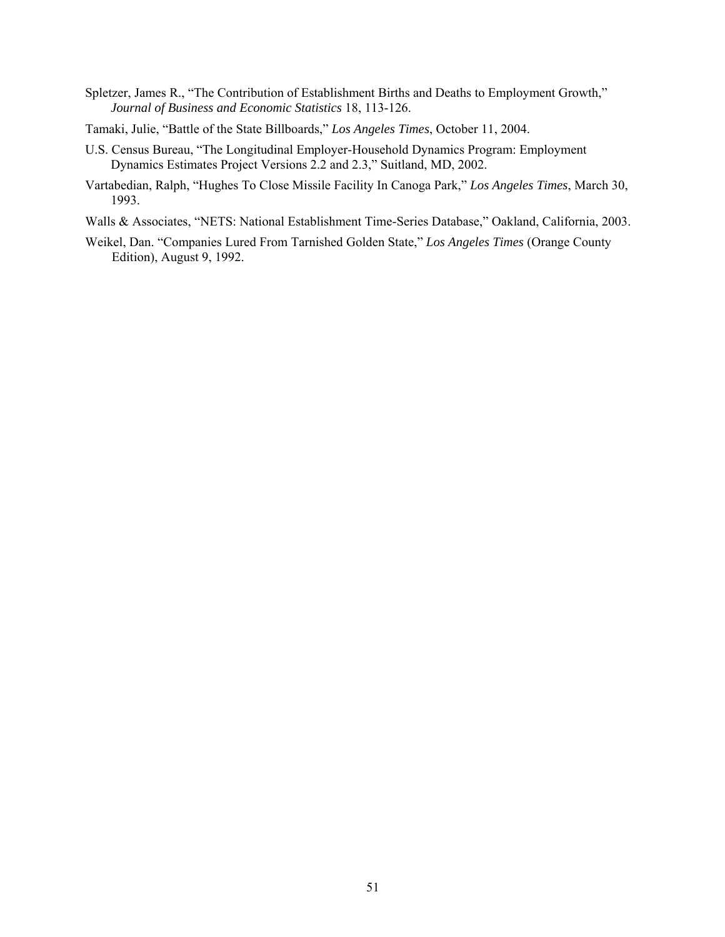- Spletzer, James R., "The Contribution of Establishment Births and Deaths to Employment Growth," *Journal of Business and Economic Statistics* 18, 113-126.
- Tamaki, Julie, "Battle of the State Billboards," *Los Angeles Times*, October 11, 2004.
- U.S. Census Bureau, "The Longitudinal Employer-Household Dynamics Program: Employment Dynamics Estimates Project Versions 2.2 and 2.3," Suitland, MD, 2002.
- Vartabedian, Ralph, "Hughes To Close Missile Facility In Canoga Park," *Los Angeles Times*, March 30, 1993.
- Walls & Associates, "NETS: National Establishment Time-Series Database," Oakland, California, 2003.
- Weikel, Dan. "Companies Lured From Tarnished Golden State," *Los Angeles Times* (Orange County Edition), August 9, 1992.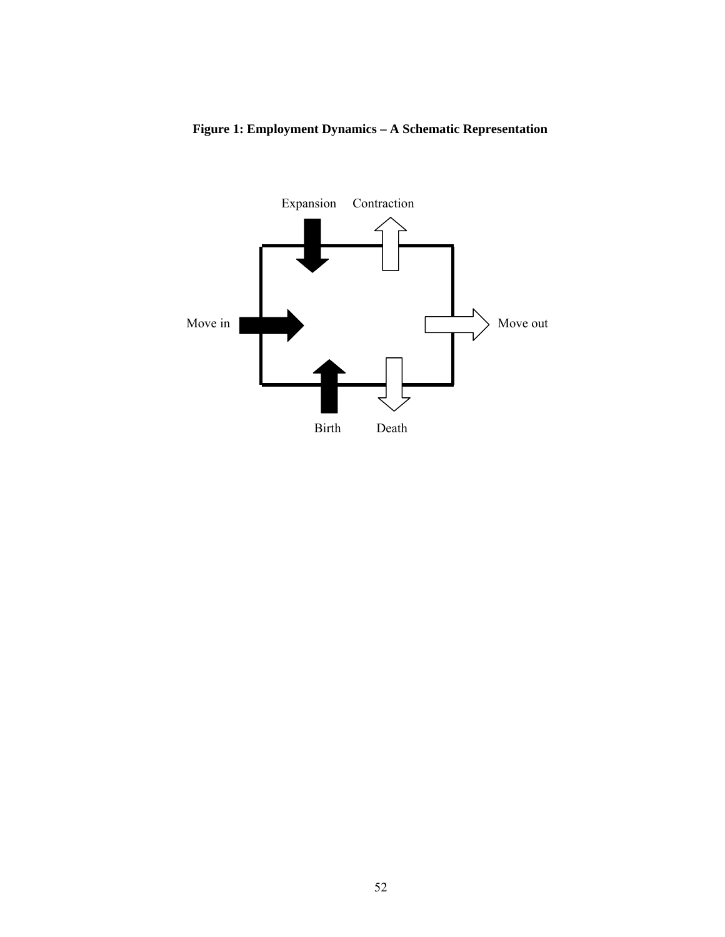

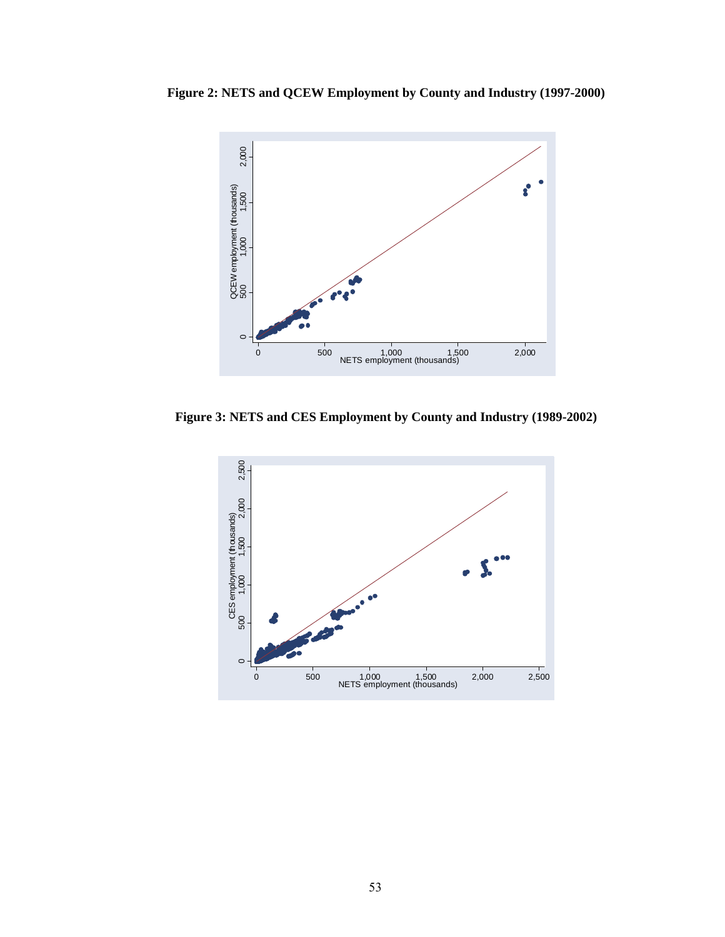**Figure 2: NETS and QCEW Employment by County and Industry (1997-2000)** 



**Figure 3: NETS and CES Employment by County and Industry (1989-2002)** 

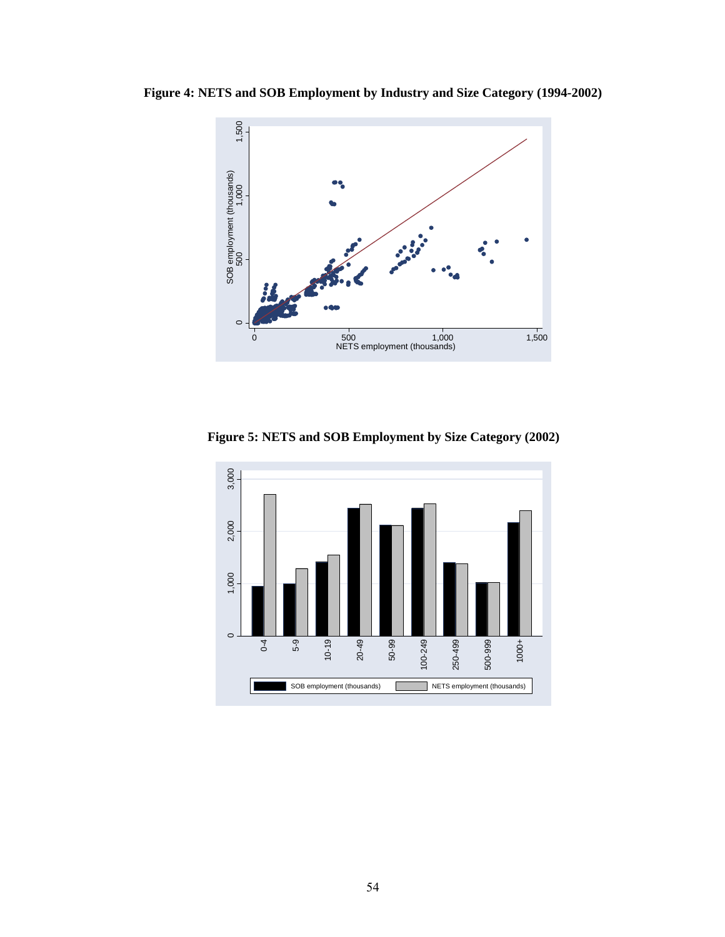**Figure 4: NETS and SOB Employment by Industry and Size Category (1994-2002)** 



**Figure 5: NETS and SOB Employment by Size Category (2002)**

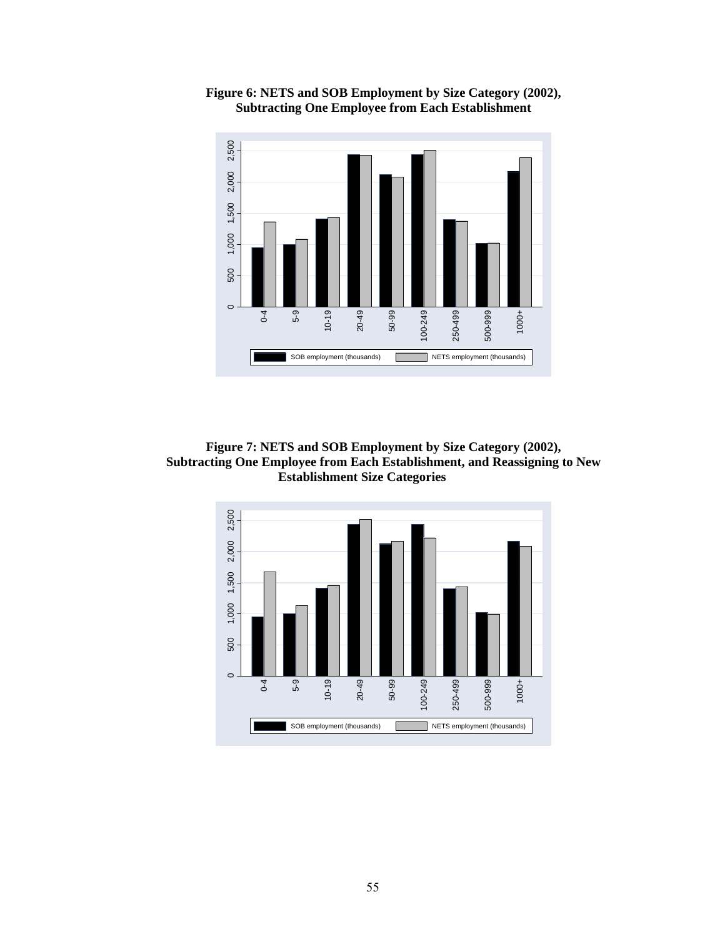

**Figure 6: NETS and SOB Employment by Size Category (2002), Subtracting One Employee from Each Establishment** 

**Figure 7: NETS and SOB Employment by Size Category (2002), Subtracting One Employee from Each Establishment, and Reassigning to New Establishment Size Categories** 

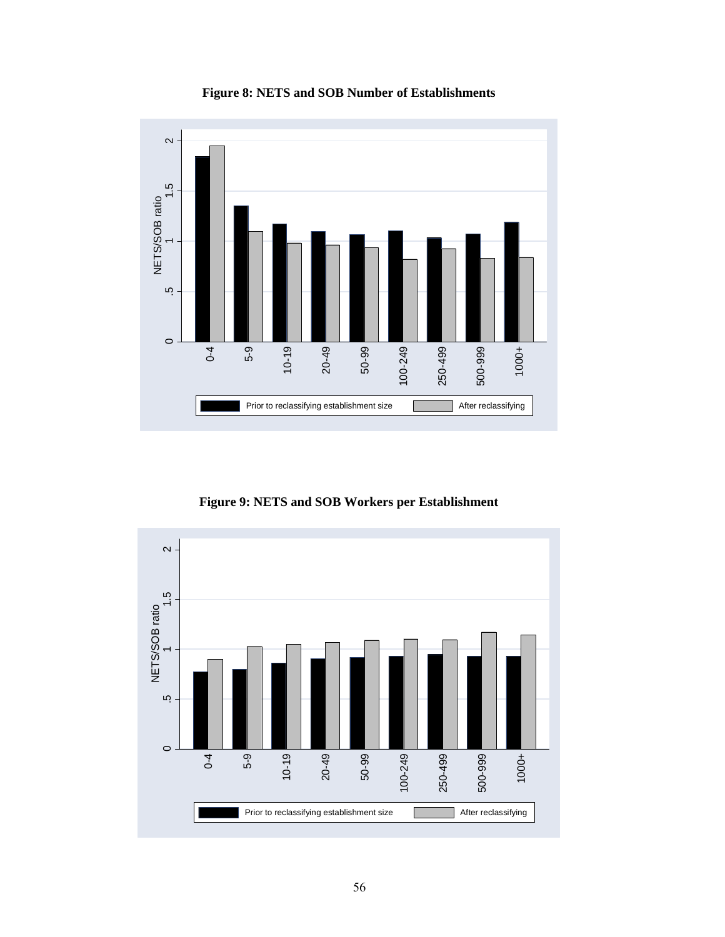



**Figure 9: NETS and SOB Workers per Establishment** 

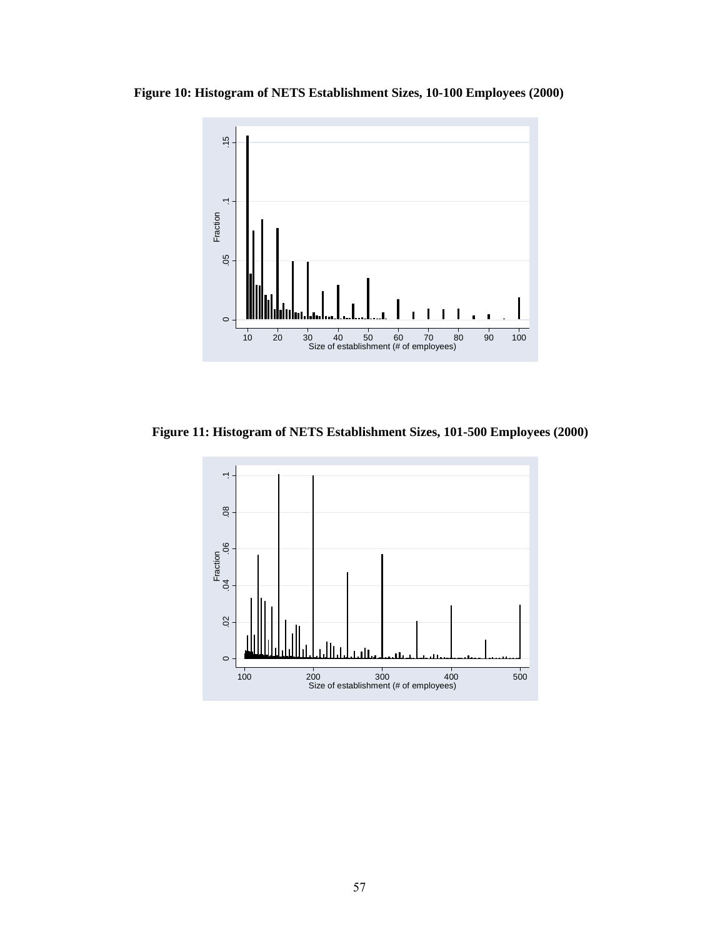**Figure 10: Histogram of NETS Establishment Sizes, 10-100 Employees (2000)** 



**Figure 11: Histogram of NETS Establishment Sizes, 101-500 Employees (2000)** 

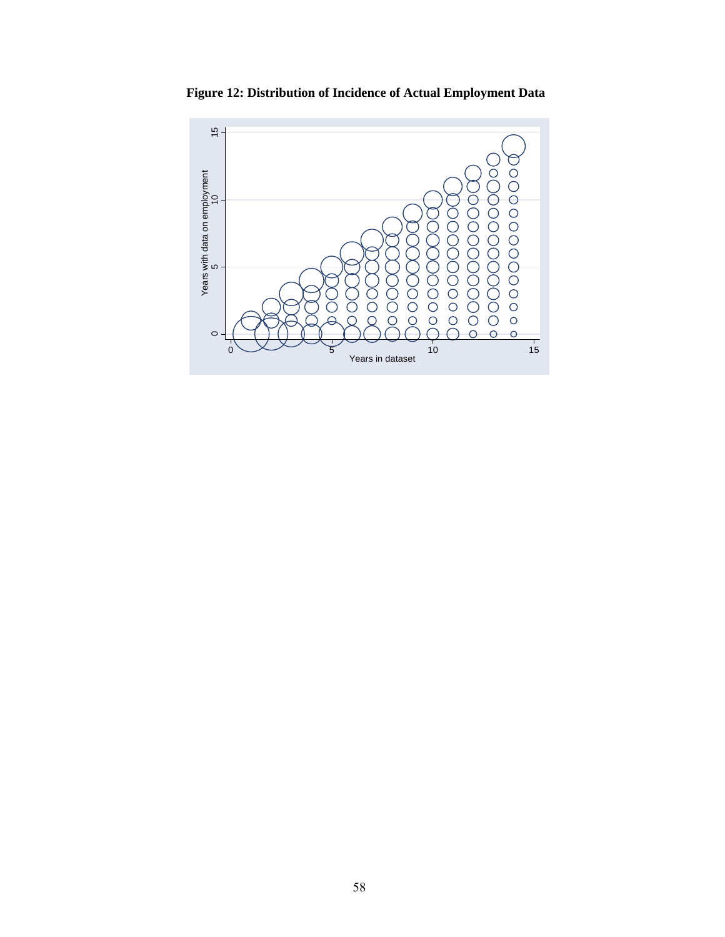

**Figure 12: Distribution of Incidence of Actual Employment Data**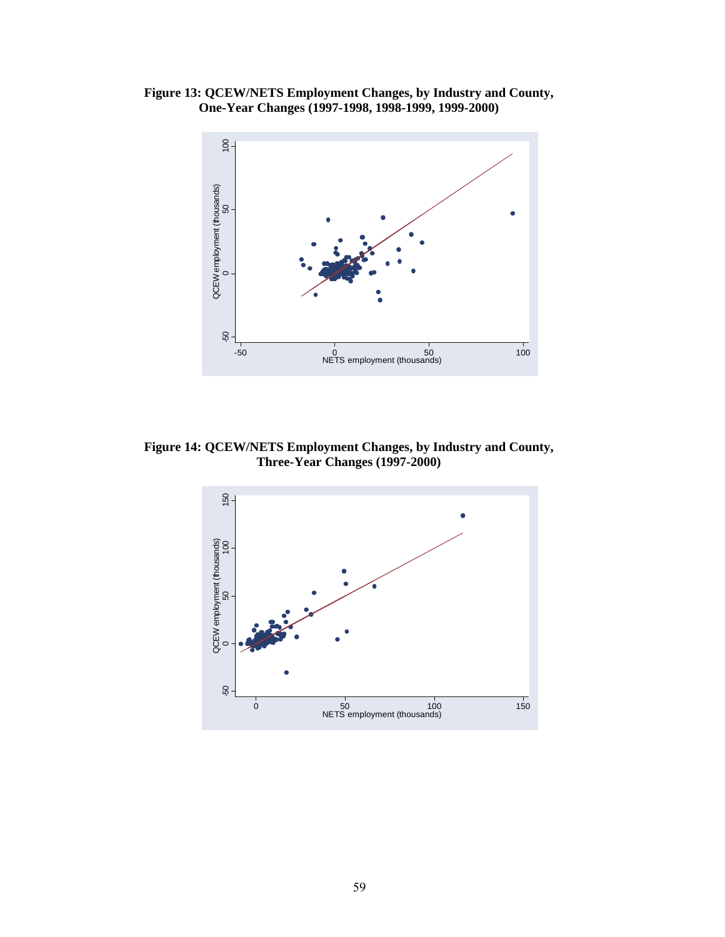**Figure 13: QCEW/NETS Employment Changes, by Industry and County, One-Year Changes (1997-1998, 1998-1999, 1999-2000)** 



**Figure 14: QCEW/NETS Employment Changes, by Industry and County, Three-Year Changes (1997-2000)** 

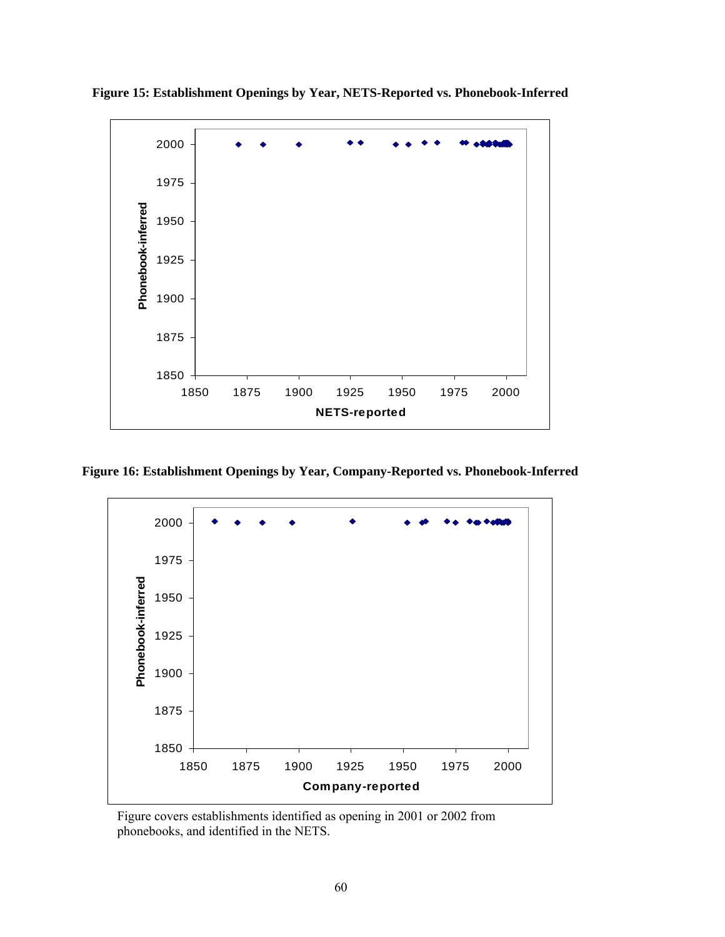

**Figure 15: Establishment Openings by Year, NETS-Reported vs. Phonebook-Inferred** 

**Figure 16: Establishment Openings by Year, Company-Reported vs. Phonebook-Inferred** 



Figure covers establishments identified as opening in 2001 or 2002 from phonebooks, and identified in the NETS.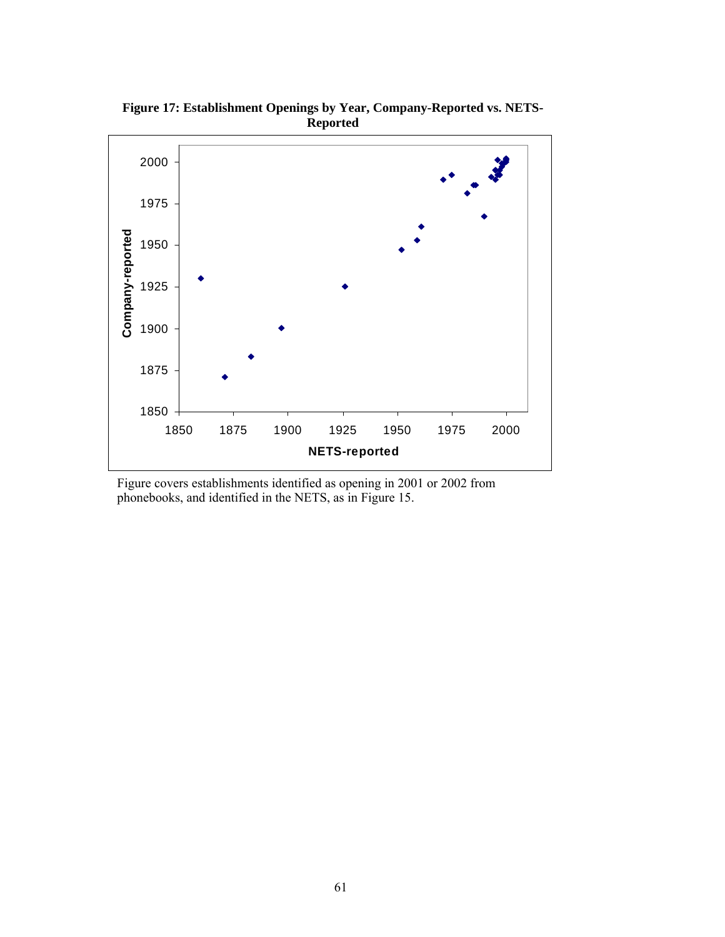

**Figure 17: Establishment Openings by Year, Company-Reported vs. NETS-Reported** 

Figure covers establishments identified as opening in 2001 or 2002 from phonebooks, and identified in the NETS, as in Figure 15.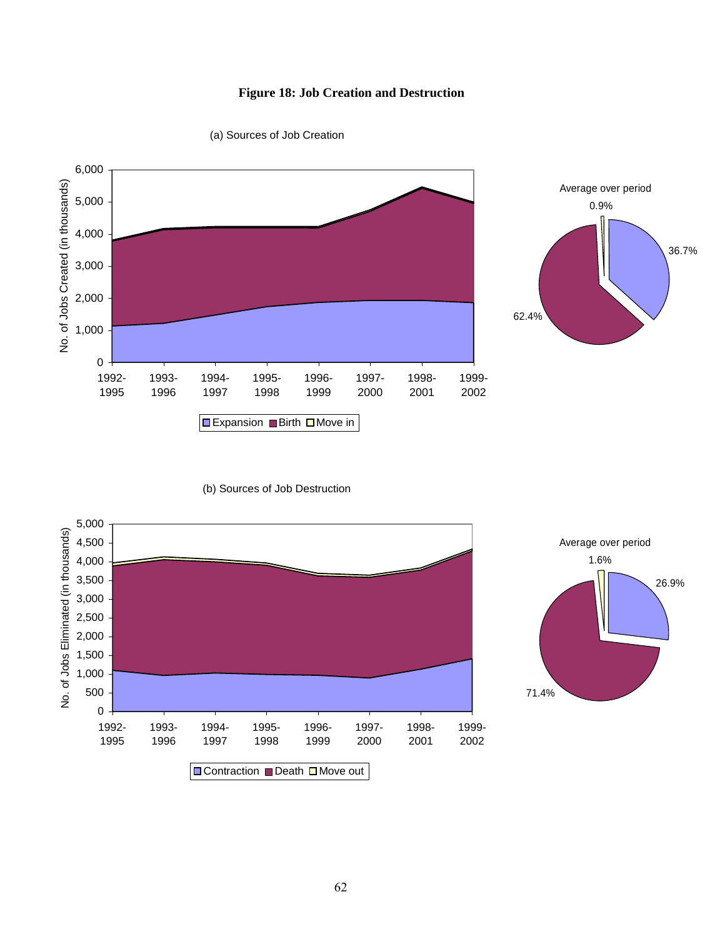# **Figure 18: Job Creation and Destruction**



(a) Sources of Job Creation

### (b) Sources of Job Destruction





36.7%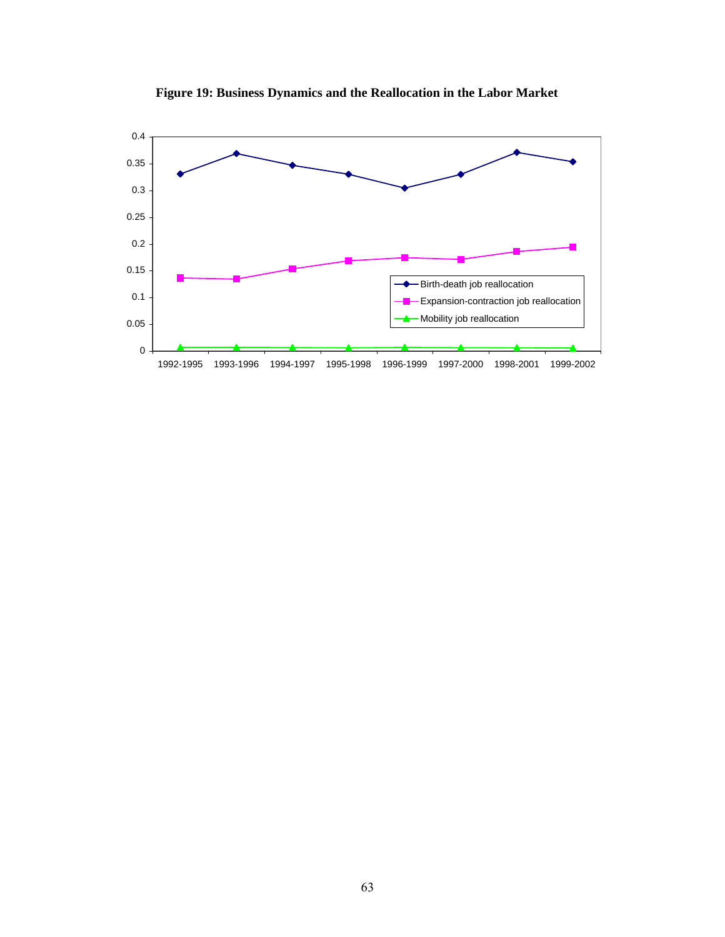

**Figure 19: Business Dynamics and the Reallocation in the Labor Market**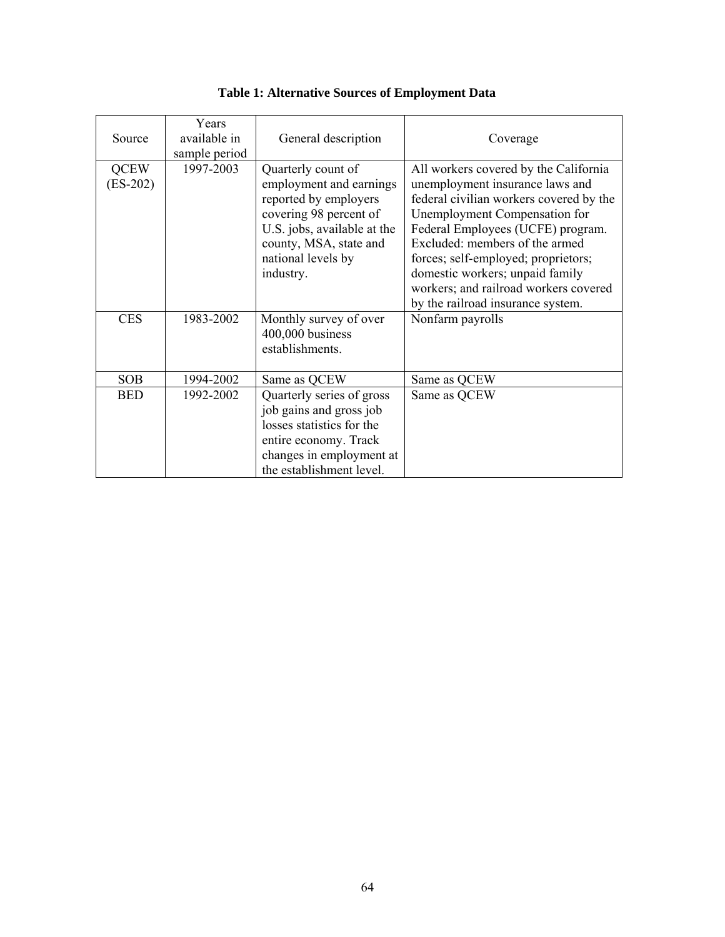| Source                    | Years<br>available in<br>sample period | General description                                                                                                                                                                          | Coverage                                                                                                                                                                                                                                                                                                                                                                            |
|---------------------------|----------------------------------------|----------------------------------------------------------------------------------------------------------------------------------------------------------------------------------------------|-------------------------------------------------------------------------------------------------------------------------------------------------------------------------------------------------------------------------------------------------------------------------------------------------------------------------------------------------------------------------------------|
| <b>QCEW</b><br>$(ES-202)$ | 1997-2003                              | Quarterly count of<br>employment and earnings<br>reported by employers<br>covering 98 percent of<br>U.S. jobs, available at the<br>county, MSA, state and<br>national levels by<br>industry. | All workers covered by the California<br>unemployment insurance laws and<br>federal civilian workers covered by the<br>Unemployment Compensation for<br>Federal Employees (UCFE) program.<br>Excluded: members of the armed<br>forces; self-employed; proprietors;<br>domestic workers; unpaid family<br>workers; and railroad workers covered<br>by the railroad insurance system. |
| <b>CES</b>                | 1983-2002                              | Monthly survey of over<br>400,000 business<br>establishments.                                                                                                                                | Nonfarm payrolls                                                                                                                                                                                                                                                                                                                                                                    |
| <b>SOB</b><br><b>BED</b>  | 1994-2002<br>1992-2002                 | Same as QCEW<br>Quarterly series of gross<br>job gains and gross job<br>losses statistics for the<br>entire economy. Track<br>changes in employment at<br>the establishment level.           | Same as QCEW<br>Same as QCEW                                                                                                                                                                                                                                                                                                                                                        |

| Table 1: Alternative Sources of Employment Data |  |
|-------------------------------------------------|--|
|-------------------------------------------------|--|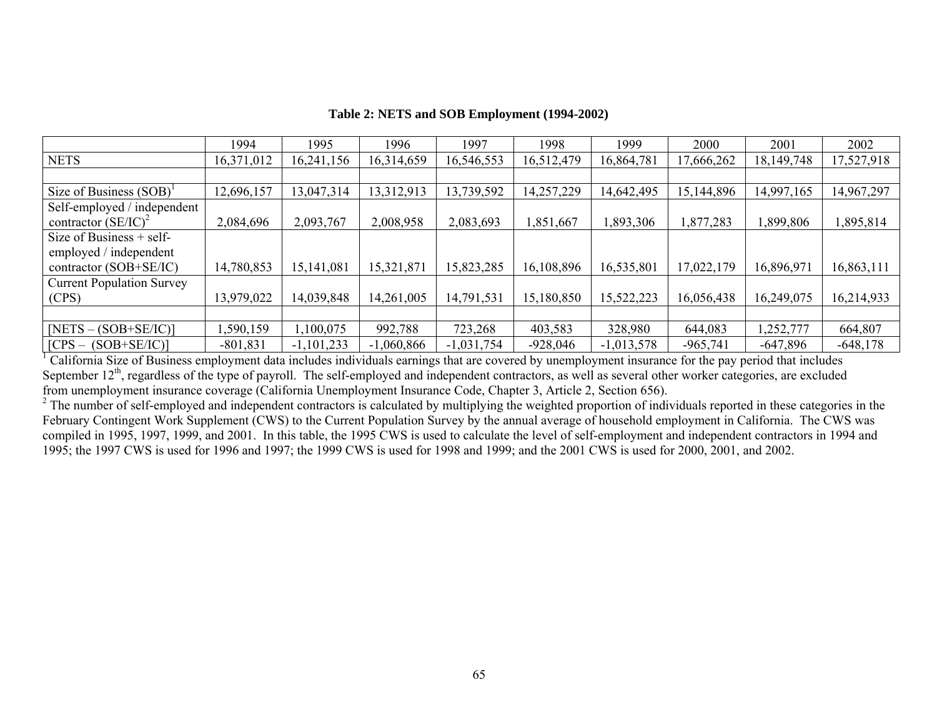|  |  | Table 2: NETS and SOB Employment (1994-2002) |  |
|--|--|----------------------------------------------|--|
|--|--|----------------------------------------------|--|

|                                  | 1994       | 1995         | 1996         | 1997         | 1998       | 1999         | 2000       | 2001         | 2002       |
|----------------------------------|------------|--------------|--------------|--------------|------------|--------------|------------|--------------|------------|
| <b>NETS</b>                      | 16,371,012 | 16,241,156   | 16,314,659   | 16,546,553   | 16,512,479 | 16,864,781   | 17,666,262 | 18, 149, 748 | 17,527,918 |
|                                  |            |              |              |              |            |              |            |              |            |
| Size of Business $(SOB)^{1}$     | 12,696,157 | 13,047,314   | 13,312,913   | 13,739,592   | 14,257,229 | 14,642,495   | 15,144,896 | 14,997,165   | 14,967,297 |
| Self-employed / independent      |            |              |              |              |            |              |            |              |            |
| contractor $(SE/IC)^2$           | 2,084,696  | 2,093,767    | 2,008,958    | 2,083,693    | 1,851,667  | ,893,306     | ,877,283   | ,899,806     | 1,895,814  |
| Size of Business $+$ self-       |            |              |              |              |            |              |            |              |            |
| employed / independent           |            |              |              |              |            |              |            |              |            |
| contractor $(SOB + SE/IC)$       | 14,780,853 | 15, 141, 081 | 15,321,871   | 15,823,285   | 16,108,896 | 16,535,801   | 17,022,179 | 16,896,971   | 16,863,111 |
| <b>Current Population Survey</b> |            |              |              |              |            |              |            |              |            |
| (CPS)                            | 13,979,022 | 14,039,848   | 14,261,005   | 14,791,531   | 15,180,850 | 15,522,223   | 16,056,438 | 16,249,075   | 16,214,933 |
|                                  |            |              |              |              |            |              |            |              |            |
| $NETS - (SOB + SE/IC)$           | ,590,159   | 1,100,075    | 992,788      | 723,268      | 403,583    | 328,980      | 644,083    | 1,252,777    | 664,807    |
| $[CPS - (SOB + SE/IC)]$          | $-801,831$ | $-1,101,233$ | $-1,060,866$ | $-1,031,754$ | $-928,046$ | $-1,013,578$ | $-965,741$ | $-647,896$   | $-648,178$ |

<sup>1</sup> California Size of Business employment data includes individuals earnings that are covered by unemployment insurance for the pay period that includes September  $12<sup>th</sup>$ , regardless of the type of payroll. The self-employed and independent contractors, as well as several other worker categories, are excluded from unemployment insurance coverage (California Unemployment Insurance Code, Chapter 3, Article 2, Section 656).

<sup>2</sup> The number of self-employed and independent contractors is calculated by multiplying the weighted proportion of individuals reported in these categories in the February Contingent Work Supplement (CWS) to the Current Population Survey by the annual average of household employment in California. The CWS was compiled in 1995, 1997, 1999, and 2001. In this table, the 1995 CWS is used to calculate the level of self-employment and independent contractors in 1994 and 1995; the 1997 CWS is used for 1996 and 1997; the 1999 CWS is used for 1998 and 1999; and the 2001 CWS is used for 2000, 2001, and 2002.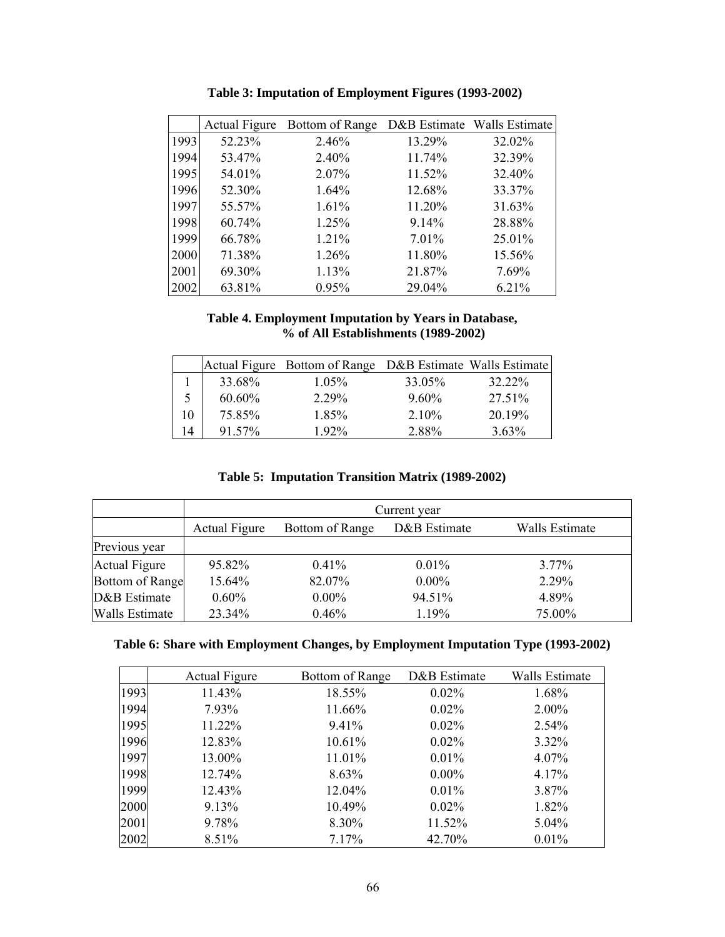|      | <b>Actual Figure</b> | Bottom of Range |        | D&B Estimate Walls Estimate |
|------|----------------------|-----------------|--------|-----------------------------|
| 1993 | 52.23%               | 2.46%           | 13.29% | 32.02%                      |
| 1994 | 53.47%               | 2.40%           | 11.74% | 32.39%                      |
| 1995 | 54.01%               | 2.07%           | 11.52% | 32.40%                      |
| 1996 | 52.30%               | $1.64\%$        | 12.68% | 33.37%                      |
| 1997 | 55.57%               | 1.61%           | 11.20% | 31.63%                      |
| 1998 | 60.74%               | 1.25%           | 9.14%  | 28.88%                      |
| 1999 | 66.78%               | 1.21%           | 7.01%  | 25.01%                      |
| 2000 | 71.38%               | 1.26%           | 11.80% | 15.56%                      |
| 2001 | 69.30%               | 1.13%           | 21.87% | 7.69%                       |
| 2002 | 63.81%               | 0.95%           | 29.04% | 6.21%                       |

**Table 3: Imputation of Employment Figures (1993-2002)** 

## **Table 4. Employment Imputation by Years in Database, % of All Establishments (1989-2002)**

|           | Actual Figure Bottom of Range D&B Estimate Walls Estimate |          |          |
|-----------|-----------------------------------------------------------|----------|----------|
| 33.68%    | $1.05\%$                                                  | 33.05%   | 32.22%   |
| $60.60\%$ | 2 2 9 %                                                   | $9.60\%$ | 27.51%   |
| 75.85%    | 185%                                                      | $2.10\%$ | 2019%    |
| 91.57%    | $1.92\%$                                                  | 2.88%    | $3.63\%$ |

| Table 5: Imputation Transition Matrix (1989-2002) |  |  |  |
|---------------------------------------------------|--|--|--|
|---------------------------------------------------|--|--|--|

|                        | Current year         |                 |              |                |  |  |  |
|------------------------|----------------------|-----------------|--------------|----------------|--|--|--|
|                        | <b>Actual Figure</b> | Bottom of Range | D&B Estimate | Walls Estimate |  |  |  |
| Previous year          |                      |                 |              |                |  |  |  |
| <b>Actual Figure</b>   | 95.82%               | $0.41\%$        | $0.01\%$     | $3.77\%$       |  |  |  |
| <b>Bottom of Range</b> | 15.64%               | 82.07%          | $0.00\%$     | 2.29%          |  |  |  |
| D&B Estimate           | 0.60%                | $0.00\%$        | 94.51%       | 4.89%          |  |  |  |
| Walls Estimate         | 23.34%               | 0.46%           | 1.19%        | 75.00%         |  |  |  |

| Table 6: Share with Employment Changes, by Employment Imputation Type (1993-2002) |  |  |
|-----------------------------------------------------------------------------------|--|--|
|                                                                                   |  |  |

|      | <b>Actual Figure</b> | Bottom of Range | D&B Estimate | <b>Walls Estimate</b> |
|------|----------------------|-----------------|--------------|-----------------------|
| 1993 | 11.43%               | 18.55%          | $0.02\%$     | 1.68%                 |
| 1994 | 7.93%                | 11.66%          | $0.02\%$     | 2.00%                 |
| 1995 | 11.22%               | 9.41%           | $0.02\%$     | 2.54%                 |
| 1996 | 12.83%               | 10.61%          | $0.02\%$     | 3.32%                 |
| 1997 | 13.00%               | 11.01%          | 0.01%        | 4.07%                 |
| 1998 | 12.74%               | 8.63%           | $0.00\%$     | 4.17%                 |
| 1999 | 12.43%               | 12.04%          | $0.01\%$     | 3.87%                 |
| 2000 | 9.13%                | 10.49%          | 0.02%        | 1.82%                 |
| 2001 | 9.78%                | 8.30%           | 11.52%       | $5.04\%$              |
| 2002 | 8.51%                | 7.17%           | 42.70%       | 0.01%                 |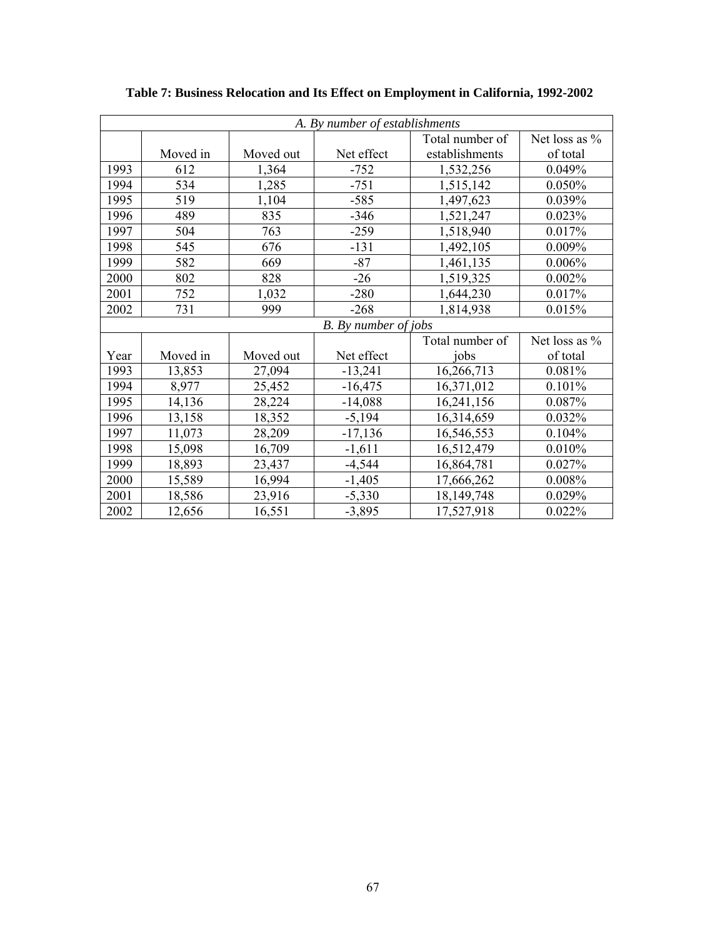|      | A. By number of establishments |           |                      |                 |               |  |  |
|------|--------------------------------|-----------|----------------------|-----------------|---------------|--|--|
|      |                                |           |                      | Total number of | Net loss as % |  |  |
|      | Moved in                       | Moved out | Net effect           | establishments  | of total      |  |  |
| 1993 | 612                            | 1,364     | $-752$               | 1,532,256       | 0.049%        |  |  |
| 1994 | 534                            | 1,285     | $-751$               | 1,515,142       | 0.050%        |  |  |
| 1995 | 519                            | 1,104     | $-585$               | 1,497,623       | 0.039%        |  |  |
| 1996 | 489                            | 835       | $-346$               | 1,521,247       | 0.023%        |  |  |
| 1997 | 504                            | 763       | $-259$               | 1,518,940       | 0.017%        |  |  |
| 1998 | 545                            | 676       | $-131$               | 1,492,105       | 0.009%        |  |  |
| 1999 | 582                            | 669       | $-87$                | 1,461,135       | 0.006%        |  |  |
| 2000 | 802                            | 828       | $-26$                | 1,519,325       | 0.002%        |  |  |
| 2001 | 752                            | 1,032     | $-280$               | 1,644,230       | 0.017%        |  |  |
| 2002 | 731                            | 999       | $-268$               | 1,814,938       | 0.015%        |  |  |
|      |                                |           | B. By number of jobs |                 |               |  |  |
|      |                                |           |                      | Total number of | Net loss as % |  |  |
| Year | Moved in                       | Moved out | Net effect           | jobs            | of total      |  |  |
| 1993 | 13,853                         | 27,094    | $-13,241$            | 16,266,713      | 0.081%        |  |  |
| 1994 | 8,977                          | 25,452    | $-16,475$            | 16,371,012      | 0.101%        |  |  |
| 1995 | 14,136                         | 28,224    | $-14,088$            | 16,241,156      | 0.087%        |  |  |
| 1996 | 13,158                         | 18,352    | $-5,194$             | 16,314,659      | 0.032%        |  |  |
| 1997 | 11,073                         | 28,209    | $-17,136$            | 16,546,553      | 0.104%        |  |  |
| 1998 | 15,098                         | 16,709    | $-1,611$             | 16,512,479      | 0.010%        |  |  |
| 1999 | 18,893                         | 23,437    | $-4,544$             | 16,864,781      | 0.027%        |  |  |
| 2000 | 15,589                         | 16,994    | $-1,405$             | 17,666,262      | 0.008%        |  |  |
| 2001 | 18,586                         | 23,916    | $-5,330$             | 18, 149, 748    | 0.029%        |  |  |
| 2002 | 12,656                         | 16,551    | $-3,895$             | 17,527,918      | 0.022%        |  |  |

**Table 7: Business Relocation and Its Effect on Employment in California, 1992-2002**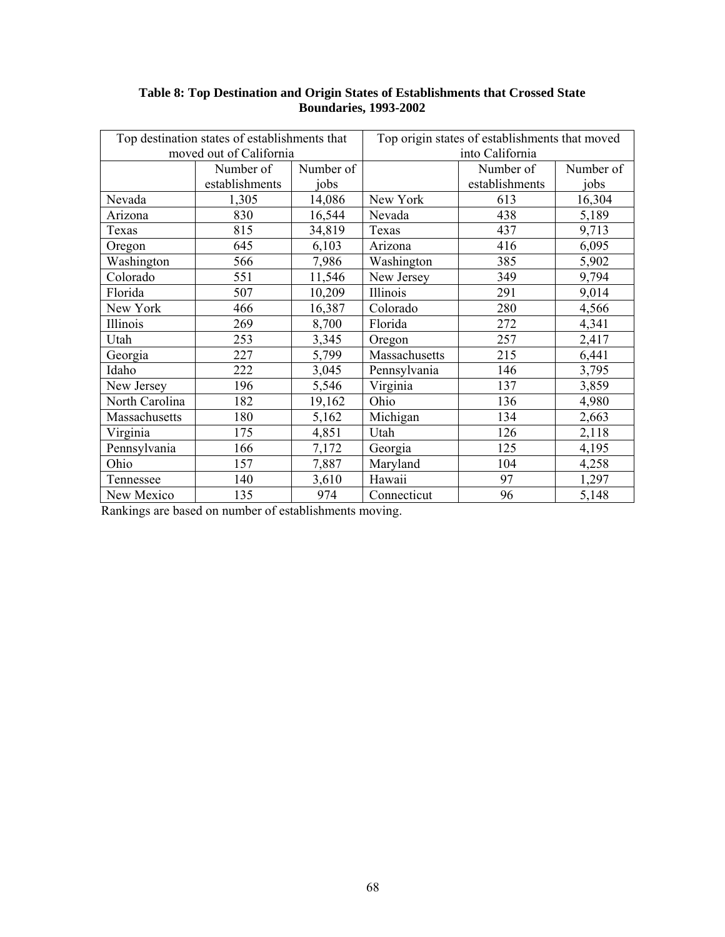| Top destination states of establishments that |                         |           | Top origin states of establishments that moved |                |           |  |  |
|-----------------------------------------------|-------------------------|-----------|------------------------------------------------|----------------|-----------|--|--|
|                                               | moved out of California |           | into California                                |                |           |  |  |
|                                               | Number of               | Number of |                                                | Number of      | Number of |  |  |
|                                               | establishments          | jobs      |                                                | establishments | jobs      |  |  |
| Nevada                                        | 1,305                   | 14,086    | New York                                       | 613            | 16,304    |  |  |
| Arizona                                       | 830                     | 16,544    | Nevada                                         | 438            | 5,189     |  |  |
| Texas                                         | 815                     | 34,819    | Texas                                          | 437            | 9,713     |  |  |
| Oregon                                        | 645                     | 6,103     | Arizona                                        | 416            | 6,095     |  |  |
| Washington                                    | 566                     | 7,986     | Washington                                     | 385            | 5,902     |  |  |
| Colorado                                      | 551                     | 11,546    | New Jersey                                     | 349            | 9,794     |  |  |
| Florida                                       | 507                     | 10,209    | Illinois                                       | 291            | 9,014     |  |  |
| New York                                      | 466                     | 16,387    | Colorado                                       | 280            | 4,566     |  |  |
| Illinois                                      | 269                     | 8,700     | Florida                                        | 272            | 4,341     |  |  |
| Utah                                          | 253                     | 3,345     | Oregon                                         | 257            | 2,417     |  |  |
| Georgia                                       | 227                     | 5,799     | Massachusetts                                  | 215            | 6,441     |  |  |
| Idaho                                         | 222                     | 3,045     | Pennsylvania                                   | 146            | 3,795     |  |  |
| New Jersey                                    | 196                     | 5,546     | Virginia                                       | 137            | 3,859     |  |  |
| North Carolina                                | 182                     | 19,162    | Ohio                                           | 136            | 4,980     |  |  |
| Massachusetts                                 | 180                     | 5,162     | Michigan                                       | 134            | 2,663     |  |  |
| Virginia                                      | 175                     | 4,851     | Utah                                           | 126            | 2,118     |  |  |
| Pennsylvania                                  | 166                     | 7,172     | Georgia                                        | 125            | 4,195     |  |  |
| Ohio                                          | 157                     | 7,887     | Maryland                                       | 104            | 4,258     |  |  |
| Tennessee                                     | 140                     | 3,610     | Hawaii                                         | 97             | 1,297     |  |  |
| New Mexico                                    | 135                     | 974       | Connecticut                                    | 96             | 5,148     |  |  |

## **Table 8: Top Destination and Origin States of Establishments that Crossed State Boundaries, 1993-2002**

Rankings are based on number of establishments moving.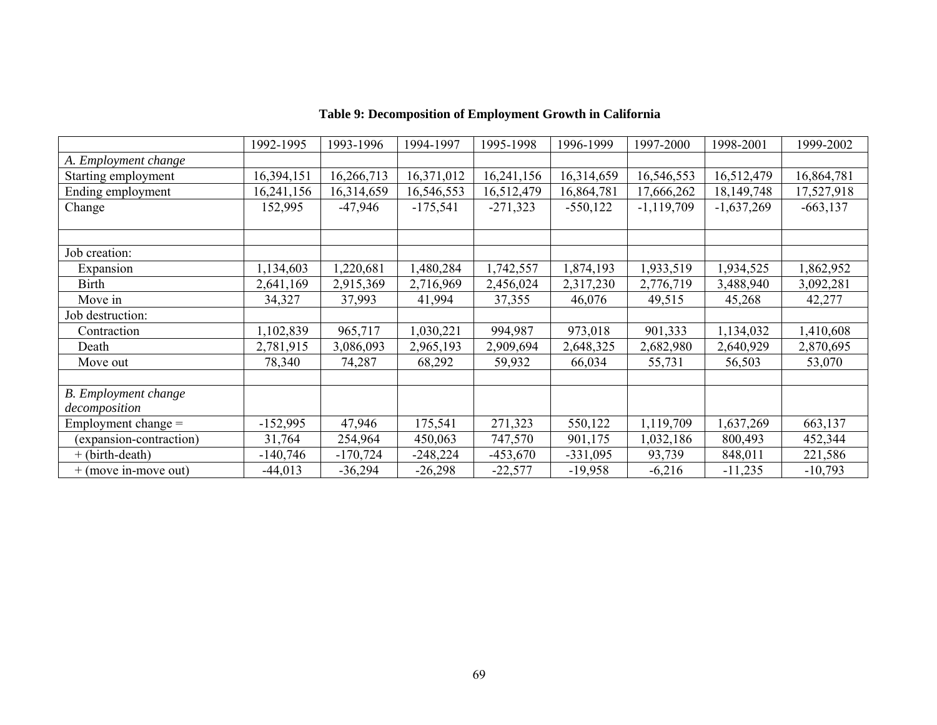|                             | 1992-1995  | 1993-1996  | 1994-1997  | 1995-1998  | 1996-1999  | 1997-2000    | 1998-2001    | 1999-2002   |
|-----------------------------|------------|------------|------------|------------|------------|--------------|--------------|-------------|
| A. Employment change        |            |            |            |            |            |              |              |             |
| Starting employment         | 16,394,151 | 16,266,713 | 16,371,012 | 16,241,156 | 16,314,659 | 16,546,553   | 16,512,479   | 16,864,781  |
| Ending employment           | 16,241,156 | 16,314,659 | 16,546,553 | 16,512,479 | 16,864,781 | 17,666,262   | 18, 149, 748 | 17,527,918  |
| Change                      | 152,995    | $-47,946$  | $-175,541$ | $-271,323$ | $-550,122$ | $-1,119,709$ | $-1,637,269$ | $-663, 137$ |
|                             |            |            |            |            |            |              |              |             |
|                             |            |            |            |            |            |              |              |             |
| Job creation:               |            |            |            |            |            |              |              |             |
| Expansion                   | ,134,603   | ,220,681   | ,480,284   | 1,742,557  | 1,874,193  | 1,933,519    | 1,934,525    | ,862,952    |
| <b>Birth</b>                | 2,641,169  | 2,915,369  | 2,716,969  | 2,456,024  | 2,317,230  | 2,776,719    | 3,488,940    | 3,092,281   |
| Move in                     | 34,327     | 37,993     | 41,994     | 37,355     | 46,076     | 49,515       | 45,268       | 42,277      |
| Job destruction:            |            |            |            |            |            |              |              |             |
| Contraction                 | ,102,839   | 965,717    | 1,030,221  | 994,987    | 973,018    | 901,333      | 1,134,032    | 410,608     |
| Death                       | 2,781,915  | 3,086,093  | 2,965,193  | 2,909,694  | 2,648,325  | 2,682,980    | 2,640,929    | 2,870,695   |
| Move out                    | 78,340     | 74,287     | 68,292     | 59,932     | 66,034     | 55,731       | 56,503       | 53,070      |
|                             |            |            |            |            |            |              |              |             |
| <b>B.</b> Employment change |            |            |            |            |            |              |              |             |
| decomposition               |            |            |            |            |            |              |              |             |
| Employment change $=$       | $-152,995$ | 47,946     | 175,541    | 271,323    | 550,122    | 1,119,709    | ,637,269     | 663,137     |
| (expansion-contraction)     | 31,764     | 254,964    | 450,063    | 747,570    | 901,175    | 1,032,186    | 800,493      | 452,344     |
| + (birth-death)             | $-140,746$ | $-170,724$ | $-248,224$ | $-453,670$ | $-331,095$ | 93,739       | 848,011      | 221,586     |
| $+$ (move in-move out)      | $-44,013$  | $-36,294$  | $-26,298$  | $-22,577$  | $-19,958$  | $-6,216$     | $-11,235$    | $-10,793$   |

# **Table 9: Decomposition of Employment Growth in California**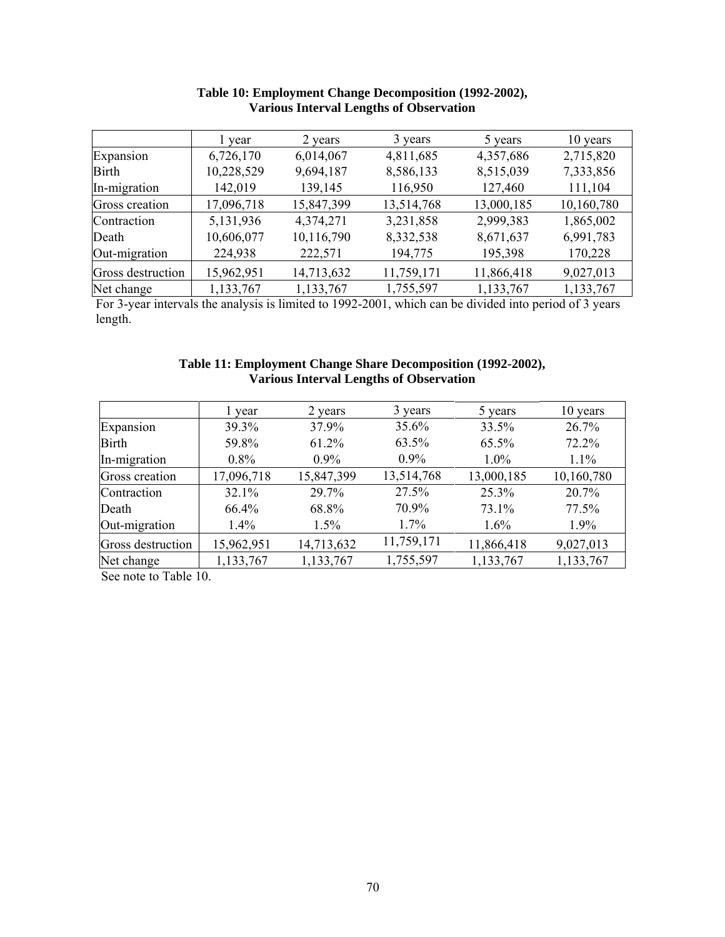|                   | l year     | 2 years    | 3 years    | 5 years    | 10 years   |  |
|-------------------|------------|------------|------------|------------|------------|--|
| Expansion         | 6,726,170  | 6,014,067  | 4,811,685  | 4,357,686  | 2,715,820  |  |
| <b>Birth</b>      | 10,228,529 | 9,694,187  | 8,586,133  | 8,515,039  | 7,333,856  |  |
| In-migration      | 142,019    | 139,145    | 116,950    | 127,460    | 111,104    |  |
| Gross creation    | 17,096,718 | 15,847,399 | 13,514,768 | 13,000,185 | 10,160,780 |  |
| Contraction       | 5,131,936  | 4,374,271  | 3,231,858  | 2,999,383  | 1,865,002  |  |
| Death             | 10,606,077 | 10,116,790 | 8,332,538  | 8,671,637  | 6,991,783  |  |
| Out-migration     | 224,938    | 222,571    | 194,775    | 195,398    | 170,228    |  |
| Gross destruction | 15,962,951 | 14,713,632 | 11,759,171 | 11,866,418 | 9,027,013  |  |
| Net change        | 1,133,767  | 1,133,767  | 1,755,597  | 1,133,767  | 1,133,767  |  |

# **Table 10: Employment Change Decomposition (1992-2002), Various Interval Lengths of Observation**

For 3-year intervals the analysis is limited to 1992-2001, which can be divided into period of 3 years length.

## **Table 11: Employment Change Share Decomposition (1992-2002), Various Interval Lengths of Observation**

|                   | l year     | 2 years    | 3 years    | 5 years    | 10 years   |  |
|-------------------|------------|------------|------------|------------|------------|--|
| Expansion         | 39.3%      | 37.9%      | 35.6%      | 33.5%      | 26.7%      |  |
| <b>Birth</b>      | 59.8%      | 61.2%      | 63.5%      | 65.5%      | 72.2%      |  |
| In-migration      | $0.8\%$    | $0.9\%$    | $0.9\%$    | $1.0\%$    | 1.1%       |  |
| Gross creation    | 17,096,718 | 15,847,399 | 13,514,768 | 13,000,185 | 10,160,780 |  |
| Contraction       | 32.1%      | 29.7%      | 27.5%      | 25.3%      | 20.7%      |  |
| Death             | 66.4%      | 68.8%      | 70.9%      | 73.1%      | 77.5%      |  |
| Out-migration     | 1.4%       | 1.5%       | $1.7\%$    | 1.6%       | 1.9%       |  |
| Gross destruction | 15,962,951 | 14,713,632 | 11,759,171 | 11,866,418 | 9,027,013  |  |
| Net change        | 1,133,767  | 1,133,767  | 1,755,597  | 1,133,767  | 1,133,767  |  |

See note to Table 10.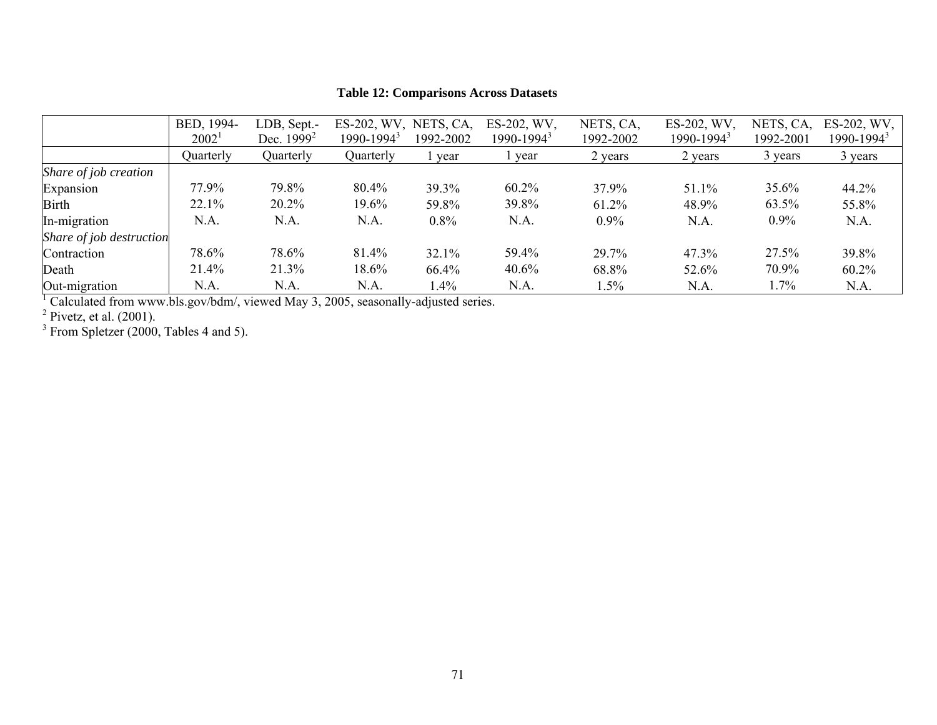|                          | BED, 1994-<br>$2002^1$ | LDB, Sept.-<br>Dec. $1999^2$ | ES-202, WV,<br>$1990 - 1994^3$ | NETS, CA,<br>1992-2002 | ES-202, WV,<br>$1990 - 1994^3$ | NETS, CA,<br>1992-2002 | ES-202, WV,<br>$1990 - 1994^3$ | NETS, CA,<br>1992-2001 | ES-202, WV,<br>1990-1994 <sup>3</sup> |
|--------------------------|------------------------|------------------------------|--------------------------------|------------------------|--------------------------------|------------------------|--------------------------------|------------------------|---------------------------------------|
|                          | Quarterly              | Quarterly                    | Quarterly                      | year                   | year                           | 2 years                | 2 years                        | 3 years                | 3 years                               |
| Share of job creation    |                        |                              |                                |                        |                                |                        |                                |                        |                                       |
| Expansion                | 77.9%                  | 79.8%                        | 80.4%                          | 39.3%                  | 60.2%                          | 37.9%                  | 51.1%                          | 35.6%                  | 44.2%                                 |
| <b>Birth</b>             | 22.1%                  | 20.2%                        | 19.6%                          | 59.8%                  | 39.8%                          | 61.2%                  | 48.9%                          | 63.5%                  | 55.8%                                 |
| In-migration             | N.A.                   | N.A.                         | N.A.                           | 0.8%                   | N.A.                           | $0.9\%$                | N.A.                           | $0.9\%$                | N.A.                                  |
| Share of job destruction |                        |                              |                                |                        |                                |                        |                                |                        |                                       |
| Contraction              | 78.6%                  | 78.6%                        | 81.4%                          | 32.1%                  | 59.4%                          | 29.7%                  | 47.3%                          | 27.5%                  | 39.8%                                 |
| Death                    | 21.4%                  | 21.3%                        | 18.6%                          | 66.4%                  | 40.6%                          | 68.8%                  | 52.6%                          | 70.9%                  | $60.2\%$                              |
| Out-migration            | N.A.                   | N.A.                         | N.A.                           | 1.4%                   | N.A.                           | $1.5\%$                | N.A.                           | 1.7%                   | N.A.                                  |

# **Table 12: Comparisons Across Datasets**

 $1$  Calculated from www.bls.gov/bdm/, viewed May 3, 2005, seasonally-adjusted series.

 $<sup>2</sup>$  Pivetz, et al. (2001).</sup>

 $3$  From Spletzer (2000, Tables 4 and 5).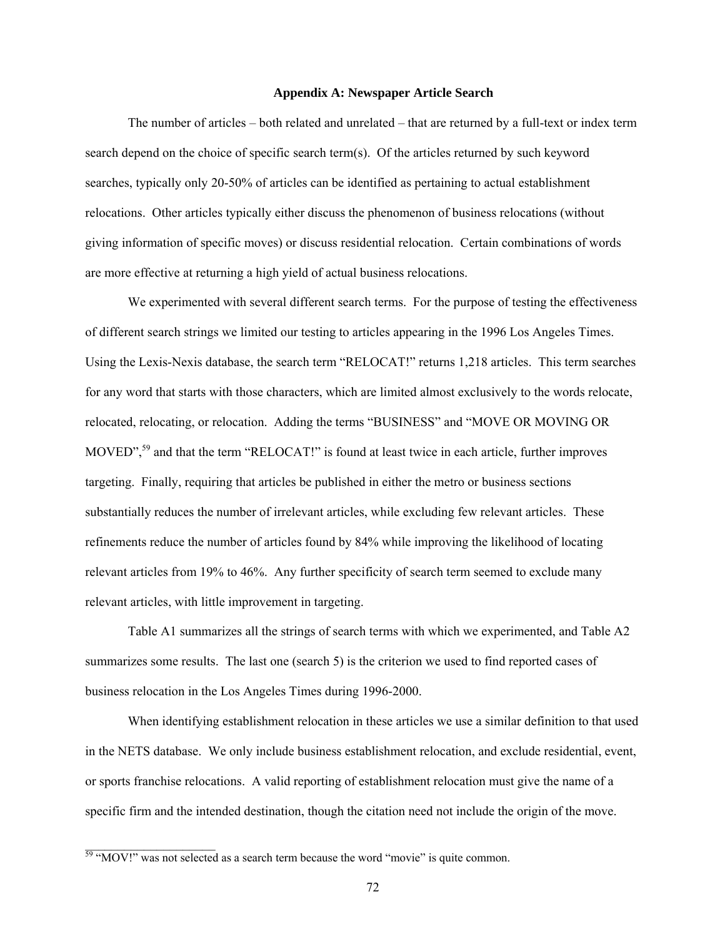## **Appendix A: Newspaper Article Search**

The number of articles – both related and unrelated – that are returned by a full-text or index term search depend on the choice of specific search term(s). Of the articles returned by such keyword searches, typically only 20-50% of articles can be identified as pertaining to actual establishment relocations. Other articles typically either discuss the phenomenon of business relocations (without giving information of specific moves) or discuss residential relocation. Certain combinations of words are more effective at returning a high yield of actual business relocations.

We experimented with several different search terms. For the purpose of testing the effectiveness of different search strings we limited our testing to articles appearing in the 1996 Los Angeles Times. Using the Lexis-Nexis database, the search term "RELOCAT!" returns 1,218 articles. This term searches for any word that starts with those characters, which are limited almost exclusively to the words relocate, relocated, relocating, or relocation. Adding the terms "BUSINESS" and "MOVE OR MOVING OR MOVED",<sup>59</sup> and that the term "RELOCAT!" is found at least twice in each article, further improves targeting. Finally, requiring that articles be published in either the metro or business sections substantially reduces the number of irrelevant articles, while excluding few relevant articles. These refinements reduce the number of articles found by 84% while improving the likelihood of locating relevant articles from 19% to 46%. Any further specificity of search term seemed to exclude many relevant articles, with little improvement in targeting.

Table A1 summarizes all the strings of search terms with which we experimented, and Table A2 summarizes some results. The last one (search 5) is the criterion we used to find reported cases of business relocation in the Los Angeles Times during 1996-2000.

When identifying establishment relocation in these articles we use a similar definition to that used in the NETS database. We only include business establishment relocation, and exclude residential, event, or sports franchise relocations. A valid reporting of establishment relocation must give the name of a specific firm and the intended destination, though the citation need not include the origin of the move.

<span id="page-72-0"></span> $\frac{59 \text{ }}{\text{ }}^{\text{}}\text{MOV!}$ " was not selected as a search term because the word "movie" is quite common.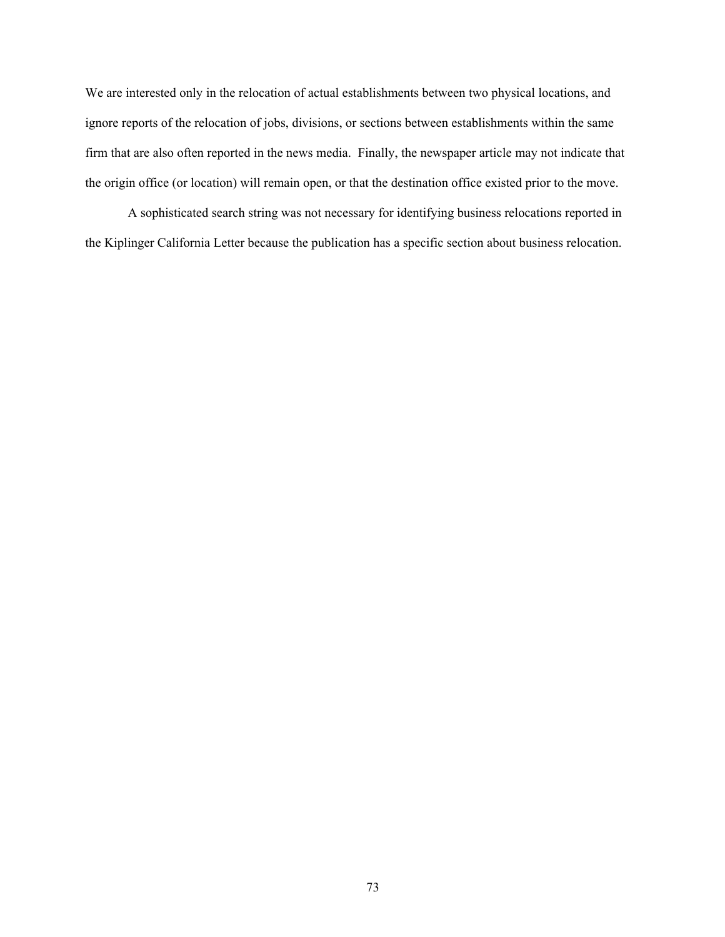We are interested only in the relocation of actual establishments between two physical locations, and ignore reports of the relocation of jobs, divisions, or sections between establishments within the same firm that are also often reported in the news media. Finally, the newspaper article may not indicate that the origin office (or location) will remain open, or that the destination office existed prior to the move.

A sophisticated search string was not necessary for identifying business relocations reported in the Kiplinger California Letter because the publication has a specific section about business relocation.